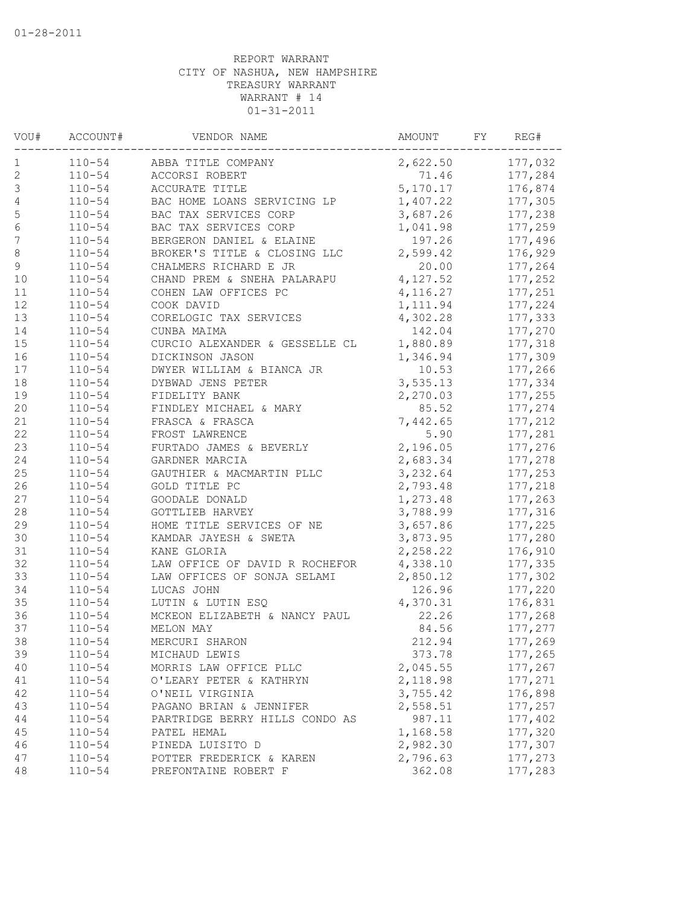| VOU#             | ACCOUNT#   | VENDOR NAME                    | AMOUNT   | FY | REG#    |
|------------------|------------|--------------------------------|----------|----|---------|
| 1                | $110 - 54$ | ABBA TITLE COMPANY             | 2,622.50 |    | 177,032 |
| $\sqrt{2}$       | $110 - 54$ | ACCORSI ROBERT                 | 71.46    |    | 177,284 |
| $\mathsf 3$      | $110 - 54$ | ACCURATE TITLE                 | 5,170.17 |    | 176,874 |
| $\sqrt{4}$       | $110 - 54$ | BAC HOME LOANS SERVICING LP    | 1,407.22 |    | 177,305 |
| 5                | $110 - 54$ | BAC TAX SERVICES CORP          | 3,687.26 |    | 177,238 |
| $\sqrt{6}$       | $110 - 54$ | BAC TAX SERVICES CORP          | 1,041.98 |    | 177,259 |
| $\boldsymbol{7}$ | $110 - 54$ | BERGERON DANIEL & ELAINE       | 197.26   |    | 177,496 |
| $\,8\,$          | $110 - 54$ | BROKER'S TITLE & CLOSING LLC   | 2,599.42 |    | 176,929 |
| $\mathsf 9$      | $110 - 54$ | CHALMERS RICHARD E JR          | 20.00    |    | 177,264 |
| 10               | $110 - 54$ | CHAND PREM & SNEHA PALARAPU    | 4,127.52 |    | 177,252 |
| 11               | $110 - 54$ | COHEN LAW OFFICES PC           | 4,116.27 |    | 177,251 |
| 12               | $110 - 54$ | COOK DAVID                     | 1,111.94 |    | 177,224 |
| 13               | $110 - 54$ | CORELOGIC TAX SERVICES         | 4,302.28 |    | 177,333 |
| 14               | $110 - 54$ | CUNBA MAIMA                    | 142.04   |    | 177,270 |
| 15               | $110 - 54$ | CURCIO ALEXANDER & GESSELLE CL | 1,880.89 |    | 177,318 |
| 16               | $110 - 54$ | DICKINSON JASON                | 1,346.94 |    | 177,309 |
| 17               | $110 - 54$ | DWYER WILLIAM & BIANCA JR      | 10.53    |    | 177,266 |
| $1\,8$           | $110 - 54$ | DYBWAD JENS PETER              | 3,535.13 |    | 177,334 |
| 19               | $110 - 54$ | FIDELITY BANK                  | 2,270.03 |    | 177,255 |
| 20               | $110 - 54$ | FINDLEY MICHAEL & MARY         | 85.52    |    | 177,274 |
| 21               | $110 - 54$ | FRASCA & FRASCA                | 7,442.65 |    | 177,212 |
| 22               | $110 - 54$ | FROST LAWRENCE                 | 5.90     |    | 177,281 |
| 23               | $110 - 54$ | FURTADO JAMES & BEVERLY        | 2,196.05 |    | 177,276 |
| 24               | $110 - 54$ | GARDNER MARCIA                 | 2,683.34 |    | 177,278 |
| 25               | $110 - 54$ | GAUTHIER & MACMARTIN PLLC      | 3,232.64 |    | 177,253 |
| 26               | $110 - 54$ | GOLD TITLE PC                  | 2,793.48 |    | 177,218 |
| 27               | $110 - 54$ | GOODALE DONALD                 | 1,273.48 |    | 177,263 |
| 28               | $110 - 54$ | GOTTLIEB HARVEY                | 3,788.99 |    | 177,316 |
| 29               | $110 - 54$ | HOME TITLE SERVICES OF NE      | 3,657.86 |    | 177,225 |
| 30               | $110 - 54$ | KAMDAR JAYESH & SWETA          | 3,873.95 |    | 177,280 |
| 31               | $110 - 54$ | KANE GLORIA                    | 2,258.22 |    | 176,910 |
| 32               | $110 - 54$ | LAW OFFICE OF DAVID R ROCHEFOR | 4,338.10 |    | 177,335 |
| 33               | $110 - 54$ | LAW OFFICES OF SONJA SELAMI    | 2,850.12 |    | 177,302 |
| 34               | $110 - 54$ | LUCAS JOHN                     | 126.96   |    | 177,220 |
| 35               | $110 - 54$ | LUTIN & LUTIN ESQ              |          |    | 176,831 |
|                  |            |                                | 4,370.31 |    |         |
| 36               | $110 - 54$ | MCKEON ELIZABETH & NANCY PAUL  | 22.26    |    | 177,268 |
| 37               | $110 - 54$ | MELON MAY                      | 84.56    |    | 177,277 |
| 38               | $110 - 54$ | MERCURI SHARON                 | 212.94   |    | 177,269 |
| 39               | $110 - 54$ | MICHAUD LEWIS                  | 373.78   |    | 177,265 |
| 40               | $110 - 54$ | MORRIS LAW OFFICE PLLC         | 2,045.55 |    | 177,267 |
| 41               | $110 - 54$ | O'LEARY PETER & KATHRYN        | 2,118.98 |    | 177,271 |
| 42               | $110 - 54$ | O'NEIL VIRGINIA                | 3,755.42 |    | 176,898 |
| 43               | $110 - 54$ | PAGANO BRIAN & JENNIFER        | 2,558.51 |    | 177,257 |
| 44               | $110 - 54$ | PARTRIDGE BERRY HILLS CONDO AS | 987.11   |    | 177,402 |
| 45               | $110 - 54$ | PATEL HEMAL                    | 1,168.58 |    | 177,320 |
| 46               | $110 - 54$ | PINEDA LUISITO D               | 2,982.30 |    | 177,307 |
| 47               | $110 - 54$ | POTTER FREDERICK & KAREN       | 2,796.63 |    | 177,273 |
| 48               | $110 - 54$ | PREFONTAINE ROBERT F           | 362.08   |    | 177,283 |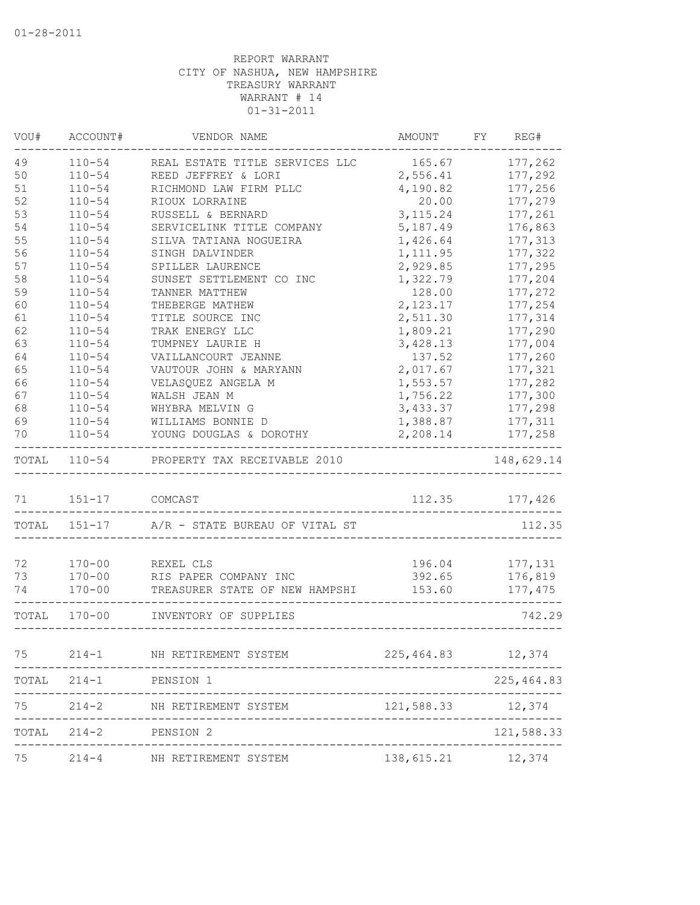| VOU#  | ACCOUNT#     | VENDOR NAME                         | AMOUNT              | FY REG#        |
|-------|--------------|-------------------------------------|---------------------|----------------|
| 49    | $110 - 54$   | REAL ESTATE TITLE SERVICES LLC      | 165.67              | 177,262        |
| 50    | $110 - 54$   | REED JEFFREY & LORI                 | 2,556.41            | 177,292        |
| 51    | $110 - 54$   | RICHMOND LAW FIRM PLLC              | 4,190.82            | 177,256        |
| 52    | $110 - 54$   | RIOUX LORRAINE                      | 20.00               | 177,279        |
| 53    | $110 - 54$   | RUSSELL & BERNARD                   | 3,115.24            | 177,261        |
| 54    | $110 - 54$   | SERVICELINK TITLE COMPANY           | 5,187.49            | 176,863        |
| 55    | $110 - 54$   | SILVA TATIANA NOGUEIRA              | 1,426.64            | 177,313        |
| 56    | $110 - 54$   | SINGH DALVINDER                     | 1, 111.95           | 177,322        |
| 57    | $110 - 54$   | SPILLER LAURENCE                    | 2,929.85            | 177,295        |
| 58    | $110 - 54$   | SUNSET SETTLEMENT CO INC            | 1,322.79            | 177,204        |
| 59    | $110 - 54$   | TANNER MATTHEW                      | 128.00              | 177,272        |
| 60    | $110 - 54$   | THEBERGE MATHEW                     | 2,123.17            | 177,254        |
| 61    | $110 - 54$   | TITLE SOURCE INC                    | 2,511.30            | 177,314        |
| 62    | $110 - 54$   | TRAK ENERGY LLC                     | 1,809.21            | 177,290        |
| 63    | $110 - 54$   | TUMPNEY LAURIE H                    | 3,428.13            | 177,004        |
| 64    | $110 - 54$   | VAILLANCOURT JEANNE                 | 137.52              | 177,260        |
| 65    | $110 - 54$   | VAUTOUR JOHN & MARYANN              | 2,017.67            | 177,321        |
| 66    | $110 - 54$   | VELASQUEZ ANGELA M                  | 1,553.57            | 177,282        |
| 67    | $110 - 54$   | WALSH JEAN M                        | 1,756.22            | 177,300        |
| 68    | $110 - 54$   | WHYBRA MELVIN G                     | 3,433.37            | 177,298        |
| 69    | $110 - 54$   | WILLIAMS BONNIE D                   | 1,388.87            | 177,311        |
| 70    | $110 - 54$   | YOUNG DOUGLAS & DOROTHY             | 2,208.14            | 177,258        |
| TOTAL |              | 110-54 PROPERTY TAX RECEIVABLE 2010 |                     | 148,629.14     |
| 71    | $151 - 17$   | COMCAST                             |                     | 112.35 177,426 |
|       |              |                                     |                     |                |
|       | TOTAL 151-17 | A/R - STATE BUREAU OF VITAL ST      |                     | 112.35         |
| 72    | $170 - 00$   | REXEL CLS                           | 196.04              | 177,131        |
| 73    | $170 - 00$   | RIS PAPER COMPANY INC               | 392.65              | 176,819        |
| 74    | $170 - 00$   | TREASURER STATE OF NEW HAMPSHI      | 153.60              | 177,475        |
|       | TOTAL 170-00 | INVENTORY OF SUPPLIES               |                     | 742.29         |
| 75    | $214 - 1$    | NH RETIREMENT SYSTEM                | 225, 464.83 12, 374 |                |
|       |              | TOTAL 214-1 PENSION 1               |                     | 225, 464.83    |
| 75    |              |                                     |                     |                |
| TOTAL |              | 214-2 PENSION 2                     |                     | 121,588.33     |
|       |              |                                     |                     |                |
| 75    |              | 214-4 NH RETIREMENT SYSTEM          | 138, 615.21 12, 374 |                |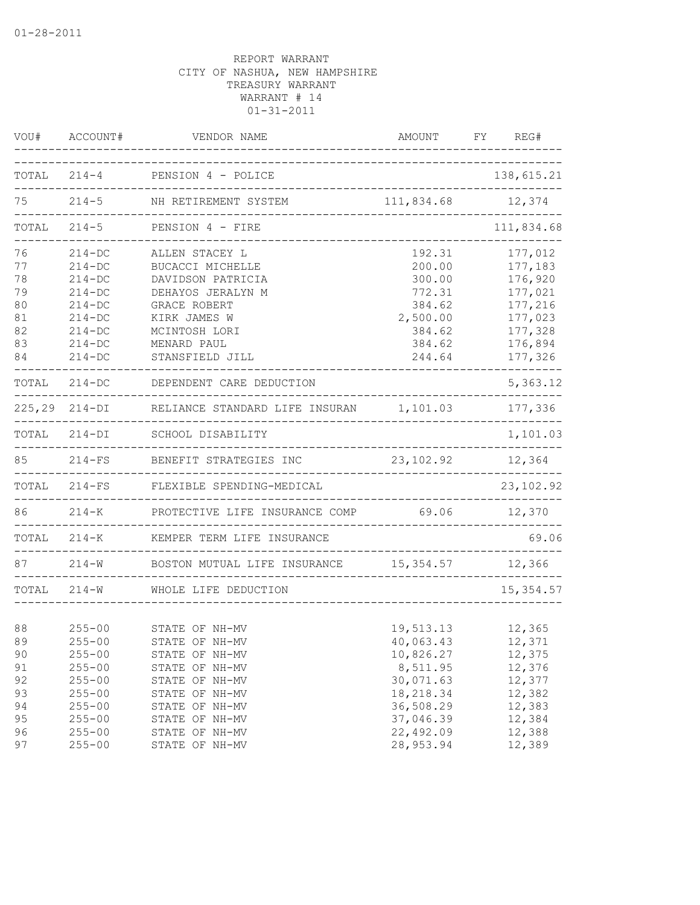| VOU#                                               | ACCOUNT#                                                                                                           | VENDOR NAME                                                                                                                                                     | AMOUNT                                                                                   | FY<br>REG#                                                                                      |
|----------------------------------------------------|--------------------------------------------------------------------------------------------------------------------|-----------------------------------------------------------------------------------------------------------------------------------------------------------------|------------------------------------------------------------------------------------------|-------------------------------------------------------------------------------------------------|
|                                                    |                                                                                                                    | TOTAL 214-4 PENSION 4 - POLICE                                                                                                                                  |                                                                                          | 138,615.21                                                                                      |
| 75                                                 |                                                                                                                    | 214-5 NH RETIREMENT SYSTEM                                                                                                                                      | 111,834.68                                                                               | 12,374                                                                                          |
| TOTAL                                              | $214 - 5$                                                                                                          | PENSION 4 - FIRE                                                                                                                                                |                                                                                          | ----------------<br>111,834.68                                                                  |
| 76<br>77<br>78<br>79<br>80<br>81<br>82<br>83<br>84 | $214 - DC$<br>$214 - DC$<br>$214 - DC$<br>$214 - DC$<br>$214 - DC$<br>$214-DC$<br>$214-DC$<br>$214-DC$<br>$214-DC$ | ALLEN STACEY L<br>BUCACCI MICHELLE<br>DAVIDSON PATRICIA<br>DEHAYOS JERALYN M<br>GRACE ROBERT<br>KIRK JAMES W<br>MCINTOSH LORI<br>MENARD PAUL<br>STANSFIELD JILL | 192.31<br>200.00<br>300.00<br>772.31<br>384.62<br>2,500.00<br>384.62<br>384.62<br>244.64 | 177,012<br>177,183<br>176,920<br>177,021<br>177,216<br>177,023<br>177,328<br>176,894<br>177,326 |
|                                                    |                                                                                                                    | TOTAL 214-DC DEPENDENT CARE DEDUCTION                                                                                                                           |                                                                                          | 5,363.12                                                                                        |
|                                                    |                                                                                                                    | 225,29 214-DI RELIANCE STANDARD LIFE INSURAN 1,101.03 177,336                                                                                                   |                                                                                          |                                                                                                 |
|                                                    |                                                                                                                    | TOTAL 214-DI SCHOOL DISABILITY                                                                                                                                  |                                                                                          | 1,101.03                                                                                        |
| 85                                                 |                                                                                                                    | 214-FS BENEFIT STRATEGIES INC<br>--------------------                                                                                                           | 23, 102.92                                                                               | 12,364                                                                                          |
| TOTAL                                              | $214-FS$                                                                                                           | FLEXIBLE SPENDING-MEDICAL                                                                                                                                       |                                                                                          | 23,102.92                                                                                       |
| 86                                                 |                                                                                                                    | 214-K PROTECTIVE LIFE INSURANCE COMP 69.06                                                                                                                      | ---------------------------------                                                        | 12,370                                                                                          |
|                                                    | TOTAL 214-K                                                                                                        | KEMPER TERM LIFE INSURANCE                                                                                                                                      |                                                                                          | 69.06                                                                                           |
| 87                                                 |                                                                                                                    | 214-W BOSTON MUTUAL LIFE INSURANCE 15,354.57 12,366                                                                                                             | -------------------------------                                                          |                                                                                                 |
|                                                    | TOTAL 214-W                                                                                                        | WHOLE LIFE DEDUCTION<br>____________________                                                                                                                    |                                                                                          | 15, 354.57                                                                                      |
| 88<br>89<br>90<br>91<br>92                         | $255 - 00$<br>$255 - 00$<br>$255 - 00$<br>$255 - 00$<br>$255 - 00$                                                 | STATE OF NH-MV<br>STATE OF NH-MV<br>STATE OF NH-MV<br>STATE OF NH-MV<br>STATE OF NH-MV                                                                          | 19,513.13<br>40,063.43<br>10,826.27<br>8,511.95<br>30,071.63                             | 12,365<br>12,371<br>12,375<br>12,376<br>12,377                                                  |
| 93<br>94<br>95<br>96<br>97                         | $255 - 00$<br>$255 - 00$<br>$255 - 00$<br>$255 - 00$<br>$255 - 00$                                                 | STATE OF NH-MV<br>STATE OF NH-MV<br>STATE OF NH-MV<br>STATE OF NH-MV<br>STATE OF NH-MV                                                                          | 18,218.34<br>36,508.29<br>37,046.39<br>22,492.09<br>28,953.94                            | 12,382<br>12,383<br>12,384<br>12,388<br>12,389                                                  |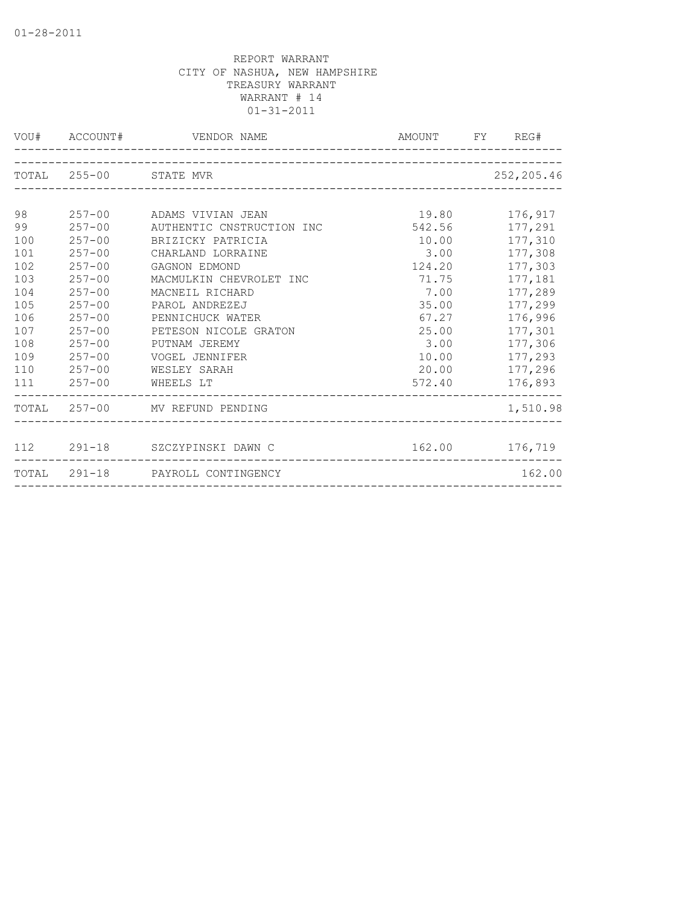|     |            | VOU# ACCOUNT# VENDOR NAME        | AMOUNT FY REG# |                |
|-----|------------|----------------------------------|----------------|----------------|
|     |            | TOTAL 255-00 STATE MVR           |                | 252,205.46     |
|     |            |                                  |                |                |
| 98  |            | 257-00 ADAMS VIVIAN JEAN         | 19.80          | 176,917        |
| 99  | $257 - 00$ | AUTHENTIC CNSTRUCTION INC        | 542.56         | 177,291        |
| 100 | $257 - 00$ | BRIZICKY PATRICIA                | 10.00          | 177,310        |
| 101 | $257 - 00$ | CHARLAND LORRAINE                | 3.00           | 177,308        |
| 102 | $257 - 00$ | GAGNON EDMOND                    | 124.20         | 177,303        |
| 103 | $257 - 00$ | MACMULKIN CHEVROLET INC          | 71.75          | 177,181        |
| 104 | $257 - 00$ | MACNEIL RICHARD                  | 7.00           | 177,289        |
| 105 | $257 - 00$ | PAROL ANDREZEJ                   | 35.00          | 177,299        |
| 106 | $257 - 00$ | PENNICHUCK WATER                 | 67.27          | 176,996        |
| 107 | $257 - 00$ | PETESON NICOLE GRATON            | 25.00          | 177,301        |
| 108 | $257 - 00$ | PUTNAM JEREMY                    | 3.00           | 177,306        |
| 109 | $257 - 00$ | VOGEL JENNIFER                   |                | 10.00 177,293  |
| 110 | $257 - 00$ | WESLEY SARAH                     | 20.00          | 177,296        |
| 111 | $257 - 00$ | WHEELS LT                        |                | 572.40 176,893 |
|     |            | TOTAL 257-00 MV REFUND PENDING   |                | 1,510.98       |
|     |            |                                  |                |                |
|     |            | 112 291-18 SZCZYPINSKI DAWN C    |                | 162.00 176,719 |
|     |            | TOTAL 291-18 PAYROLL CONTINGENCY |                | 162.00         |
|     |            |                                  |                |                |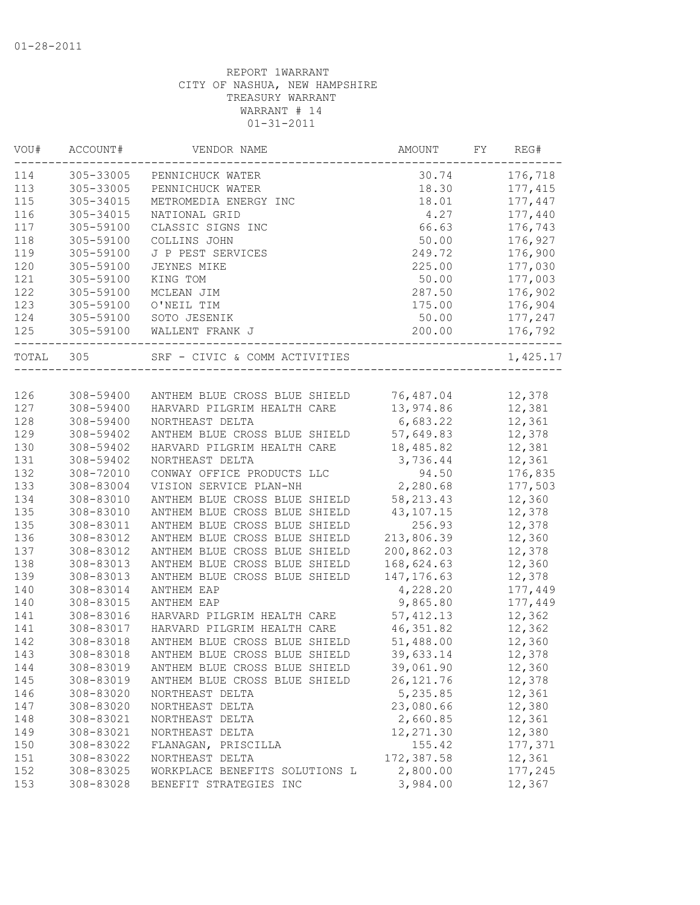| VOU#  | ACCOUNT#  | VENDOR NAME                    | AMOUNT      | FY | REG#     |
|-------|-----------|--------------------------------|-------------|----|----------|
| 114   | 305-33005 | PENNICHUCK WATER               | 30.74       |    | 176,718  |
| 113   | 305-33005 | PENNICHUCK WATER               | 18.30       |    | 177,415  |
| 115   | 305-34015 | METROMEDIA ENERGY INC          | 18.01       |    | 177,447  |
| 116   | 305-34015 | NATIONAL GRID                  | 4.27        |    | 177,440  |
| 117   | 305-59100 | CLASSIC SIGNS INC              | 66.63       |    | 176,743  |
| 118   | 305-59100 | COLLINS JOHN                   | 50.00       |    | 176,927  |
| 119   | 305-59100 | J P PEST SERVICES              | 249.72      |    | 176,900  |
| 120   | 305-59100 | JEYNES MIKE                    | 225.00      |    | 177,030  |
| 121   | 305-59100 | KING TOM                       | 50.00       |    | 177,003  |
| 122   | 305-59100 | MCLEAN JIM                     | 287.50      |    | 176,902  |
| 123   | 305-59100 | O'NEIL TIM                     | 175.00      |    | 176,904  |
| 124   | 305-59100 | SOTO JESENIK                   | 50.00       |    | 177,247  |
| 125   | 305-59100 | WALLENT FRANK J                | 200.00      |    | 176,792  |
| TOTAL | 305       | SRF - CIVIC & COMM ACTIVITIES  |             |    | 1,425.17 |
|       |           |                                |             |    |          |
| 126   | 308-59400 | ANTHEM BLUE CROSS BLUE SHIELD  | 76,487.04   |    | 12,378   |
| 127   | 308-59400 | HARVARD PILGRIM HEALTH CARE    | 13,974.86   |    | 12,381   |
| 128   | 308-59400 | NORTHEAST DELTA                | 6,683.22    |    | 12,361   |
| 129   | 308-59402 | ANTHEM BLUE CROSS BLUE SHIELD  | 57,649.83   |    | 12,378   |
| 130   | 308-59402 | HARVARD PILGRIM HEALTH CARE    | 18,485.82   |    | 12,381   |
| 131   | 308-59402 | NORTHEAST DELTA                | 3,736.44    |    | 12,361   |
| 132   | 308-72010 | CONWAY OFFICE PRODUCTS LLC     | 94.50       |    | 176,835  |
| 133   | 308-83004 | VISION SERVICE PLAN-NH         | 2,280.68    |    | 177,503  |
| 134   | 308-83010 | ANTHEM BLUE CROSS BLUE SHIELD  | 58, 213.43  |    | 12,360   |
| 135   | 308-83010 | ANTHEM BLUE CROSS BLUE SHIELD  | 43,107.15   |    | 12,378   |
| 135   | 308-83011 | ANTHEM BLUE CROSS BLUE SHIELD  | 256.93      |    | 12,378   |
| 136   | 308-83012 | ANTHEM BLUE CROSS BLUE SHIELD  | 213,806.39  |    | 12,360   |
| 137   | 308-83012 | ANTHEM BLUE CROSS BLUE SHIELD  | 200,862.03  |    | 12,378   |
| 138   | 308-83013 | ANTHEM BLUE CROSS BLUE SHIELD  | 168,624.63  |    | 12,360   |
| 139   | 308-83013 | ANTHEM BLUE CROSS BLUE SHIELD  | 147, 176.63 |    | 12,378   |
| 140   | 308-83014 | ANTHEM EAP                     | 4,228.20    |    | 177,449  |
| 140   | 308-83015 | ANTHEM EAP                     | 9,865.80    |    | 177,449  |
| 141   | 308-83016 | HARVARD PILGRIM HEALTH CARE    | 57, 412.13  |    | 12,362   |
| 141   | 308-83017 | HARVARD PILGRIM HEALTH CARE    | 46, 351.82  |    | 12,362   |
| 142   | 308-83018 | ANTHEM BLUE CROSS BLUE SHIELD  | 51,488.00   |    | 12,360   |
| 143   | 308-83018 | ANTHEM BLUE CROSS BLUE SHIELD  | 39,633.14   |    | 12,378   |
| 144   | 308-83019 | ANTHEM BLUE CROSS BLUE SHIELD  | 39,061.90   |    | 12,360   |
| 145   | 308-83019 | ANTHEM BLUE CROSS BLUE SHIELD  | 26, 121.76  |    | 12,378   |
| 146   | 308-83020 | NORTHEAST DELTA                | 5,235.85    |    | 12,361   |
| 147   | 308-83020 | NORTHEAST DELTA                | 23,080.66   |    | 12,380   |
| 148   | 308-83021 | NORTHEAST DELTA                | 2,660.85    |    | 12,361   |
| 149   | 308-83021 | NORTHEAST DELTA                | 12,271.30   |    | 12,380   |
| 150   | 308-83022 | FLANAGAN, PRISCILLA            | 155.42      |    | 177,371  |
| 151   | 308-83022 | NORTHEAST DELTA                | 172,387.58  |    | 12,361   |
| 152   | 308-83025 | WORKPLACE BENEFITS SOLUTIONS L | 2,800.00    |    | 177,245  |
| 153   | 308-83028 | BENEFIT STRATEGIES INC         | 3,984.00    |    | 12,367   |
|       |           |                                |             |    |          |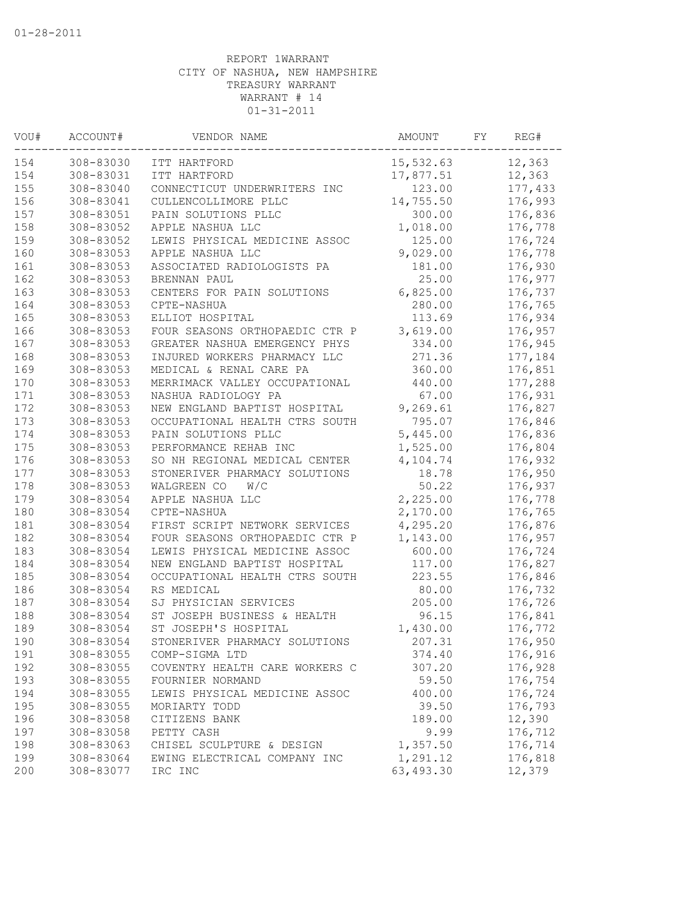| VOU# | ACCOUNT#  | VENDOR NAME                    | AMOUNT    | FY. | REG#    |
|------|-----------|--------------------------------|-----------|-----|---------|
| 154  | 308-83030 | ITT HARTFORD                   | 15,532.63 |     | 12,363  |
| 154  | 308-83031 | ITT HARTFORD                   | 17,877.51 |     | 12,363  |
| 155  | 308-83040 | CONNECTICUT UNDERWRITERS INC   | 123.00    |     | 177,433 |
| 156  | 308-83041 | CULLENCOLLIMORE PLLC           | 14,755.50 |     | 176,993 |
| 157  | 308-83051 | PAIN SOLUTIONS PLLC            | 300.00    |     | 176,836 |
| 158  | 308-83052 | APPLE NASHUA LLC               | 1,018.00  |     | 176,778 |
| 159  | 308-83052 | LEWIS PHYSICAL MEDICINE ASSOC  | 125.00    |     | 176,724 |
| 160  | 308-83053 | APPLE NASHUA LLC               | 9,029.00  |     | 176,778 |
| 161  | 308-83053 | ASSOCIATED RADIOLOGISTS PA     | 181.00    |     | 176,930 |
| 162  | 308-83053 | BRENNAN PAUL                   | 25.00     |     | 176,977 |
| 163  | 308-83053 | CENTERS FOR PAIN SOLUTIONS     | 6,825.00  |     | 176,737 |
| 164  | 308-83053 | CPTE-NASHUA                    | 280.00    |     | 176,765 |
| 165  | 308-83053 | ELLIOT HOSPITAL                | 113.69    |     | 176,934 |
| 166  | 308-83053 | FOUR SEASONS ORTHOPAEDIC CTR P | 3,619.00  |     | 176,957 |
| 167  | 308-83053 | GREATER NASHUA EMERGENCY PHYS  | 334.00    |     | 176,945 |
| 168  | 308-83053 | INJURED WORKERS PHARMACY LLC   | 271.36    |     | 177,184 |
| 169  | 308-83053 | MEDICAL & RENAL CARE PA        | 360.00    |     | 176,851 |
| 170  | 308-83053 | MERRIMACK VALLEY OCCUPATIONAL  | 440.00    |     | 177,288 |
| 171  | 308-83053 | NASHUA RADIOLOGY PA            | 67.00     |     | 176,931 |
| 172  | 308-83053 | NEW ENGLAND BAPTIST HOSPITAL   | 9,269.61  |     | 176,827 |
| 173  | 308-83053 | OCCUPATIONAL HEALTH CTRS SOUTH | 795.07    |     | 176,846 |
| 174  | 308-83053 | PAIN SOLUTIONS PLLC            | 5,445.00  |     | 176,836 |
| 175  | 308-83053 | PERFORMANCE REHAB INC          | 1,525.00  |     | 176,804 |
| 176  | 308-83053 | SO NH REGIONAL MEDICAL CENTER  | 4,104.74  |     | 176,932 |
| 177  | 308-83053 | STONERIVER PHARMACY SOLUTIONS  | 18.78     |     | 176,950 |
| 178  | 308-83053 | WALGREEN CO<br>W/C             | 50.22     |     | 176,937 |
| 179  | 308-83054 | APPLE NASHUA LLC               | 2,225.00  |     | 176,778 |
| 180  | 308-83054 | CPTE-NASHUA                    | 2,170.00  |     | 176,765 |
| 181  | 308-83054 | FIRST SCRIPT NETWORK SERVICES  | 4,295.20  |     | 176,876 |
| 182  | 308-83054 | FOUR SEASONS ORTHOPAEDIC CTR P | 1,143.00  |     | 176,957 |
| 183  | 308-83054 | LEWIS PHYSICAL MEDICINE ASSOC  | 600.00    |     | 176,724 |
| 184  | 308-83054 | NEW ENGLAND BAPTIST HOSPITAL   | 117.00    |     | 176,827 |
| 185  | 308-83054 | OCCUPATIONAL HEALTH CTRS SOUTH | 223.55    |     | 176,846 |
| 186  | 308-83054 | RS MEDICAL                     | 80.00     |     |         |
| 187  | 308-83054 |                                | 205.00    |     | 176,732 |
|      |           | SJ PHYSICIAN SERVICES          |           |     | 176,726 |
| 188  | 308-83054 | ST JOSEPH BUSINESS & HEALTH    | 96.15     |     | 176,841 |
| 189  | 308-83054 | ST JOSEPH'S HOSPITAL           | 1,430.00  |     | 176,772 |
| 190  | 308-83054 | STONERIVER PHARMACY SOLUTIONS  | 207.31    |     | 176,950 |
| 191  | 308-83055 | COMP-SIGMA LTD                 | 374.40    |     | 176,916 |
| 192  | 308-83055 | COVENTRY HEALTH CARE WORKERS C | 307.20    |     | 176,928 |
| 193  | 308-83055 | FOURNIER NORMAND               | 59.50     |     | 176,754 |
| 194  | 308-83055 | LEWIS PHYSICAL MEDICINE ASSOC  | 400.00    |     | 176,724 |
| 195  | 308-83055 | MORIARTY TODD                  | 39.50     |     | 176,793 |
| 196  | 308-83058 | CITIZENS BANK                  | 189.00    |     | 12,390  |
| 197  | 308-83058 | PETTY CASH                     | 9.99      |     | 176,712 |
| 198  | 308-83063 | CHISEL SCULPTURE & DESIGN      | 1,357.50  |     | 176,714 |
| 199  | 308-83064 | EWING ELECTRICAL COMPANY INC   | 1,291.12  |     | 176,818 |
| 200  | 308-83077 | IRC INC                        | 63,493.30 |     | 12,379  |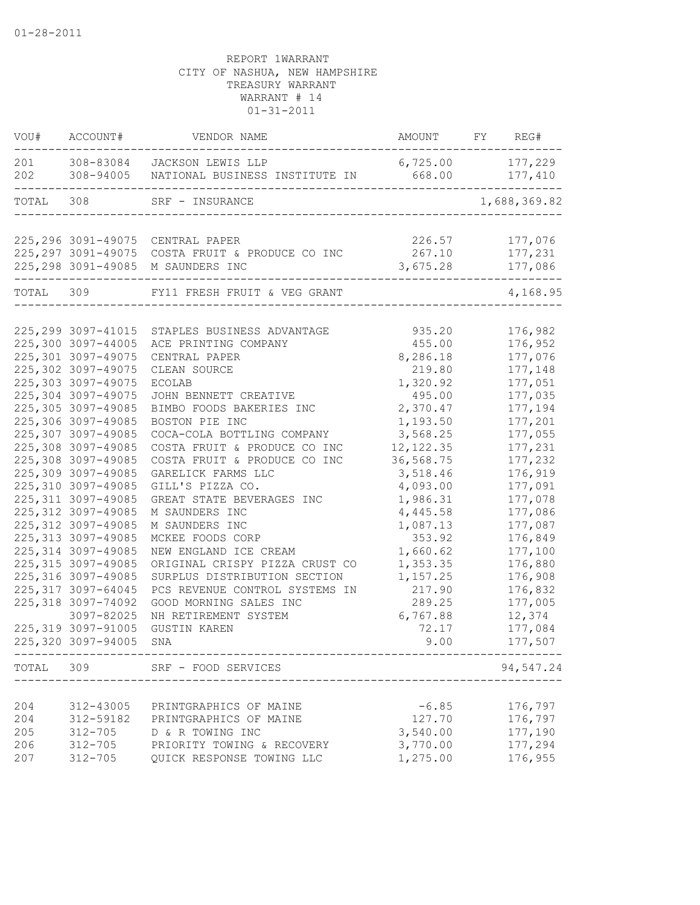| VOU#       | ACCOUNT#                   | VENDOR NAME                                                                                                 | AMOUNT FY REG#                                |              |
|------------|----------------------------|-------------------------------------------------------------------------------------------------------------|-----------------------------------------------|--------------|
| 201<br>202 | 308-94005                  | 308-83084 JACKSON LEWIS LLP<br>NATIONAL BUSINESS INSTITUTE IN 668.00 177,410<br>--------------------------- | 6,725.00 177,229<br>------------------------- |              |
| TOTAL      | -------------------<br>308 | SRF - INSURANCE                                                                                             |                                               | 1,688,369.82 |
|            |                            |                                                                                                             |                                               |              |
|            |                            | 225, 296 3091-49075 CENTRAL PAPER                                                                           | 226.57                                        | 177,076      |
|            |                            | 225,297 3091-49075 COSTA FRUIT & PRODUCE CO INC                                                             | 267.10                                        | 177,231      |
|            |                            | 225, 298 3091-49085 M SAUNDERS INC<br>-------------------------------                                       | 3,675.28                                      | 177,086      |
| TOTAL 309  |                            | FY11 FRESH FRUIT & VEG GRANT                                                                                |                                               | 4,168.95     |
|            |                            |                                                                                                             |                                               |              |
|            | 225, 299 3097-41015        | STAPLES BUSINESS ADVANTAGE                                                                                  | 935.20                                        | 176,982      |
|            | 225,300 3097-44005         | ACE PRINTING COMPANY                                                                                        | 455.00                                        | 176,952      |
|            | 225,301 3097-49075         | CENTRAL PAPER                                                                                               | 8,286.18                                      | 177,076      |
|            | 225,302 3097-49075         | CLEAN SOURCE                                                                                                | 219.80                                        | 177,148      |
|            | 225,303 3097-49075         | ECOLAB                                                                                                      | 1,320.92                                      | 177,051      |
|            | 225,304 3097-49075         | JOHN BENNETT CREATIVE                                                                                       | 495.00                                        | 177,035      |
|            | 225,305 3097-49085         | BIMBO FOODS BAKERIES INC                                                                                    | 2,370.47                                      | 177,194      |
|            | 225,306 3097-49085         | BOSTON PIE INC                                                                                              | 1,193.50                                      | 177,201      |
|            | 225,307 3097-49085         | COCA-COLA BOTTLING COMPANY                                                                                  | 3,568.25                                      | 177,055      |
|            | 225,308 3097-49085         | COSTA FRUIT & PRODUCE CO INC                                                                                | 12, 122.35                                    | 177,231      |
|            | 225,308 3097-49085         | COSTA FRUIT & PRODUCE CO INC                                                                                | 36,568.75                                     | 177,232      |
|            | 225,309 3097-49085         | GARELICK FARMS LLC                                                                                          | 3,518.46                                      | 176,919      |
|            | 225,310 3097-49085         | GILL'S PIZZA CO.                                                                                            | 4,093.00                                      | 177,091      |
|            | 225, 311 3097-49085        | GREAT STATE BEVERAGES INC                                                                                   | 1,986.31                                      | 177,078      |
|            | 225, 312 3097-49085        | M SAUNDERS INC                                                                                              | 4,445.58                                      | 177,086      |
|            | 225, 312 3097-49085        | M SAUNDERS INC                                                                                              | 1,087.13                                      | 177,087      |
|            | 225, 313 3097-49085        | MCKEE FOODS CORP                                                                                            | 353.92                                        | 176,849      |
|            | 225, 314 3097-49085        | NEW ENGLAND ICE CREAM                                                                                       | 1,660.62                                      | 177,100      |
|            | 225, 315 3097-49085        | ORIGINAL CRISPY PIZZA CRUST CO                                                                              | 1,353.35                                      | 176,880      |
|            | 225, 316 3097-49085        | SURPLUS DISTRIBUTION SECTION                                                                                | 1,157.25                                      | 176,908      |
|            | 225, 317 3097-64045        | PCS REVENUE CONTROL SYSTEMS IN                                                                              | 217.90                                        | 176,832      |
|            | 225,318 3097-74092         | GOOD MORNING SALES INC                                                                                      | 289.25                                        | 177,005      |
|            | 3097-82025                 | NH RETIREMENT SYSTEM                                                                                        | 6,767.88                                      | 12,374       |
|            | 225,319 3097-91005         | <b>GUSTIN KAREN</b>                                                                                         | 72.17                                         | 177,084      |
|            | 225,320 3097-94005         | SNA                                                                                                         | 9.00                                          | 177,507      |
|            |                            | TOTAL 309 SRF - FOOD SERVICES                                                                               |                                               | 94,547.24    |
|            |                            |                                                                                                             |                                               |              |
| 204        | 312-43005                  | PRINTGRAPHICS OF MAINE                                                                                      | $-6.85$                                       | 176,797      |
| 204        | 312-59182                  | PRINTGRAPHICS OF MAINE                                                                                      | 127.70                                        | 176,797      |
| 205        | $312 - 705$                | D & R TOWING INC                                                                                            | 3,540.00                                      | 177,190      |
| 206        | 312-705                    | PRIORITY TOWING & RECOVERY                                                                                  | 3,770.00                                      | 177,294      |
| 207        | $312 - 705$                | QUICK RESPONSE TOWING LLC                                                                                   | 1,275.00                                      | 176,955      |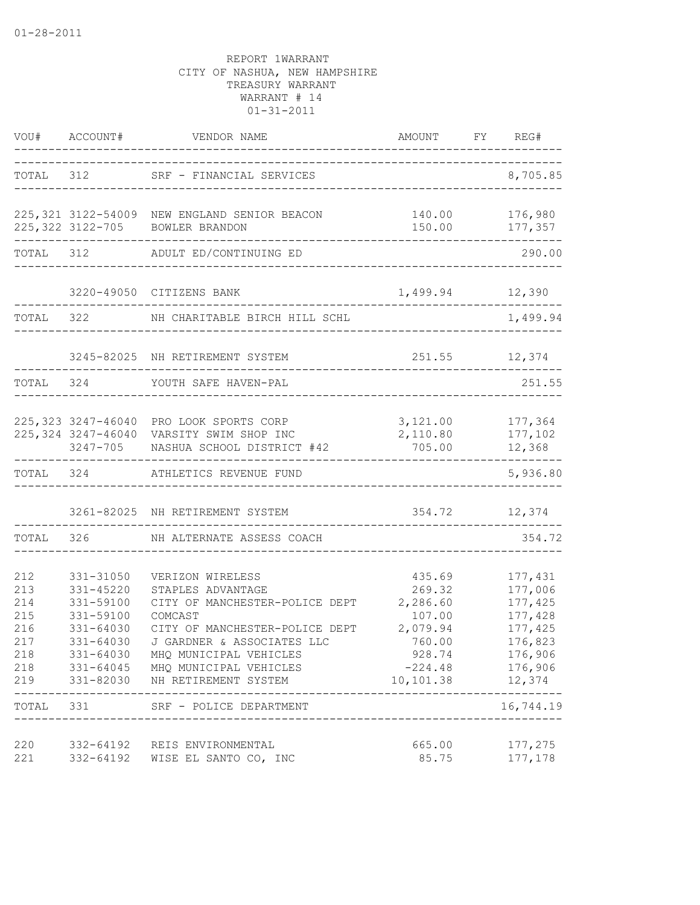|                                                             | VOU# ACCOUNT#                                                              | VENDOR NAME                                                                                                                                                                                                                                                                                       | AMOUNT                                                                                                    | FY REG#                                                                                                |
|-------------------------------------------------------------|----------------------------------------------------------------------------|---------------------------------------------------------------------------------------------------------------------------------------------------------------------------------------------------------------------------------------------------------------------------------------------------|-----------------------------------------------------------------------------------------------------------|--------------------------------------------------------------------------------------------------------|
| TOTAL 312                                                   |                                                                            | SRF - FINANCIAL SERVICES                                                                                                                                                                                                                                                                          |                                                                                                           | 8,705.85                                                                                               |
|                                                             |                                                                            | 225,321 3122-54009 NEW ENGLAND SENIOR BEACON<br>225, 322 3122-705 BOWLER BRANDON                                                                                                                                                                                                                  |                                                                                                           | 140.00 176,980<br>150.00 177,357                                                                       |
|                                                             | TOTAL 312                                                                  | ADULT ED/CONTINUING ED                                                                                                                                                                                                                                                                            |                                                                                                           | 290.00                                                                                                 |
|                                                             |                                                                            | 3220-49050 CITIZENS BANK                                                                                                                                                                                                                                                                          |                                                                                                           | 1,499.94 12,390                                                                                        |
| TOTAL 322                                                   |                                                                            | NH CHARITABLE BIRCH HILL SCHL                                                                                                                                                                                                                                                                     |                                                                                                           | 1,499.94                                                                                               |
|                                                             |                                                                            | 3245-82025 NH RETIREMENT SYSTEM                                                                                                                                                                                                                                                                   |                                                                                                           | 251.55 12,374                                                                                          |
| TOTAL 324                                                   |                                                                            | YOUTH SAFE HAVEN-PAL                                                                                                                                                                                                                                                                              |                                                                                                           | 251.55                                                                                                 |
|                                                             |                                                                            | 225,323 3247-46040 PRO LOOK SPORTS CORP<br>225, 324 3247-46040 VARSITY SWIM SHOP INC<br>3247-705 NASHUA SCHOOL DISTRICT #42                                                                                                                                                                       | 705.00                                                                                                    | 3, 121.00 177, 364<br>2,110.80 177,102<br>12,368                                                       |
|                                                             | TOTAL 324                                                                  | ATHLETICS REVENUE FUND                                                                                                                                                                                                                                                                            |                                                                                                           | 5,936.80                                                                                               |
|                                                             |                                                                            | 3261-82025 NH RETIREMENT SYSTEM                                                                                                                                                                                                                                                                   | 354.72 12,374                                                                                             |                                                                                                        |
| TOTAL                                                       | 326                                                                        | NH ALTERNATE ASSESS COACH                                                                                                                                                                                                                                                                         |                                                                                                           | 354.72                                                                                                 |
| 212<br>213<br>214<br>215<br>216<br>217<br>218<br>218<br>219 | 331-31050<br>331-45220<br>331-59100<br>331-59100<br>331-64030<br>331-64030 | VERIZON WIRELESS<br>STAPLES ADVANTAGE<br>CITY OF MANCHESTER-POLICE DEPT<br>COMCAST<br>CITY OF MANCHESTER-POLICE DEPT<br>J GARDNER & ASSOCIATES LLC<br>331-64030 MHQ MUNICIPAL VEHICLES<br>331-64045 MHQ MUNICIPAL VEHICLES<br>331-82030 NH RETIREMENT SYSTEM<br>TOTAL 331 SRF - POLICE DEPARTMENT | 435.69<br>269.32<br>2,286.60<br>107.00<br>2,079.94<br>760.00<br>928.74<br>$-224.48$<br>10, 101.38 12, 374 | 177,431<br>177,006<br>177,425<br>177,428<br>177,425<br>176,823<br>176,906<br>176,906<br>.<br>16,744.19 |
| 220<br>221                                                  |                                                                            | 332-64192 REIS ENVIRONMENTAL<br>332-64192 WISE EL SANTO CO, INC                                                                                                                                                                                                                                   | 665.00<br>85.75                                                                                           | 177,275<br>177,178                                                                                     |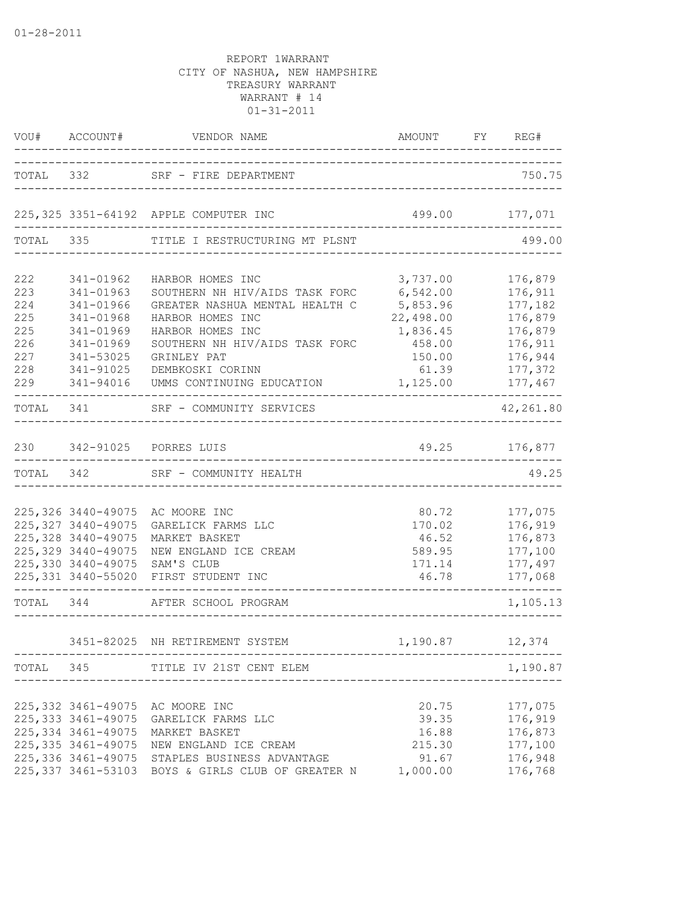|                                                      | VOU# ACCOUNT#                                                                                        | VENDOR NAME<br>---------------------------                                                                                                                                                                                                                       | AMOUNT<br>__________________________                                                   | FY REG#                                                                              |
|------------------------------------------------------|------------------------------------------------------------------------------------------------------|------------------------------------------------------------------------------------------------------------------------------------------------------------------------------------------------------------------------------------------------------------------|----------------------------------------------------------------------------------------|--------------------------------------------------------------------------------------|
|                                                      |                                                                                                      | TOTAL 332 SRF - FIRE DEPARTMENT                                                                                                                                                                                                                                  | --------------------------------------                                                 | 750.75                                                                               |
|                                                      |                                                                                                      | 225, 325 3351-64192 APPLE COMPUTER INC                                                                                                                                                                                                                           | 499.00 177,071                                                                         |                                                                                      |
|                                                      |                                                                                                      | TOTAL 335 TITLE I RESTRUCTURING MT PLSNT                                                                                                                                                                                                                         | _______________________________                                                        | 499.00                                                                               |
| 222<br>223<br>224<br>225<br>225<br>226<br>227<br>228 | 341-01962<br>341-01963<br>341-01966<br>341-01968<br>341-01969<br>341-01969<br>341-53025<br>341-91025 | HARBOR HOMES INC<br>SOUTHERN NH HIV/AIDS TASK FORC<br>GREATER NASHUA MENTAL HEALTH C<br>HARBOR HOMES INC<br>HARBOR HOMES INC<br>SOUTHERN NH HIV/AIDS TASK FORC<br>GRINLEY PAT<br>DEMBKOSKI CORINN                                                                | 3,737.00<br>6,542.00<br>5,853.96<br>22,498.00<br>1,836.45<br>458.00<br>150.00<br>61.39 | 176,879<br>176,911<br>177,182<br>176,879<br>176,879<br>176,911<br>176,944<br>177,372 |
| 229                                                  | 341-94016                                                                                            | UMMS CONTINUING EDUCATION 1,125.00 177,467                                                                                                                                                                                                                       |                                                                                        |                                                                                      |
|                                                      |                                                                                                      | TOTAL 341 SRF - COMMUNITY SERVICES                                                                                                                                                                                                                               |                                                                                        | 42,261.80                                                                            |
|                                                      |                                                                                                      | 230 342-91025 PORRES LUIS                                                                                                                                                                                                                                        | 49.25 176,877                                                                          |                                                                                      |
|                                                      | TOTAL 342                                                                                            | SRF - COMMUNITY HEALTH                                                                                                                                                                                                                                           |                                                                                        | 49.25                                                                                |
|                                                      | 225, 327 3440-49075<br>225, 328 3440-49075<br>225, 329 3440-49075<br>225,330 3440-49075              | 225,326 3440-49075 AC MOORE INC<br>GARELICK FARMS LLC<br>MARKET BASKET<br>NEW ENGLAND ICE CREAM<br>SAM'S CLUB<br>225,331 3440-55020 FIRST STUDENT INC                                                                                                            | 80.72<br>170.02<br>46.52<br>589.95<br>171.14<br>46.78<br>____________________          | 177,075<br>176,919<br>176,873<br>177,100<br>177,497<br>177,068                       |
| TOTAL 344                                            |                                                                                                      | AFTER SCHOOL PROGRAM                                                                                                                                                                                                                                             |                                                                                        | 1,105.13                                                                             |
|                                                      |                                                                                                      | 3451-82025 NH RETIREMENT SYSTEM 1,190.87 12,374                                                                                                                                                                                                                  |                                                                                        |                                                                                      |
|                                                      |                                                                                                      | TOTAL 345 TITLE IV 21ST CENT ELEM                                                                                                                                                                                                                                | ---------------------------                                                            | 1,190.87                                                                             |
|                                                      |                                                                                                      | 225,332 3461-49075 AC MOORE INC<br>225,333 3461-49075 GARELICK FARMS LLC<br>225,334 3461-49075 MARKET BASKET<br>225, 335 3461-49075 NEW ENGLAND ICE CREAM<br>225, 336 3461-49075 STAPLES BUSINESS ADVANTAGE<br>225,337 3461-53103 BOYS & GIRLS CLUB OF GREATER N | 20.75<br>39.35<br>16.88<br>215.30<br>91.67<br>1,000.00                                 | 177,075<br>176,919<br>176,873<br>177,100<br>176,948<br>176,768                       |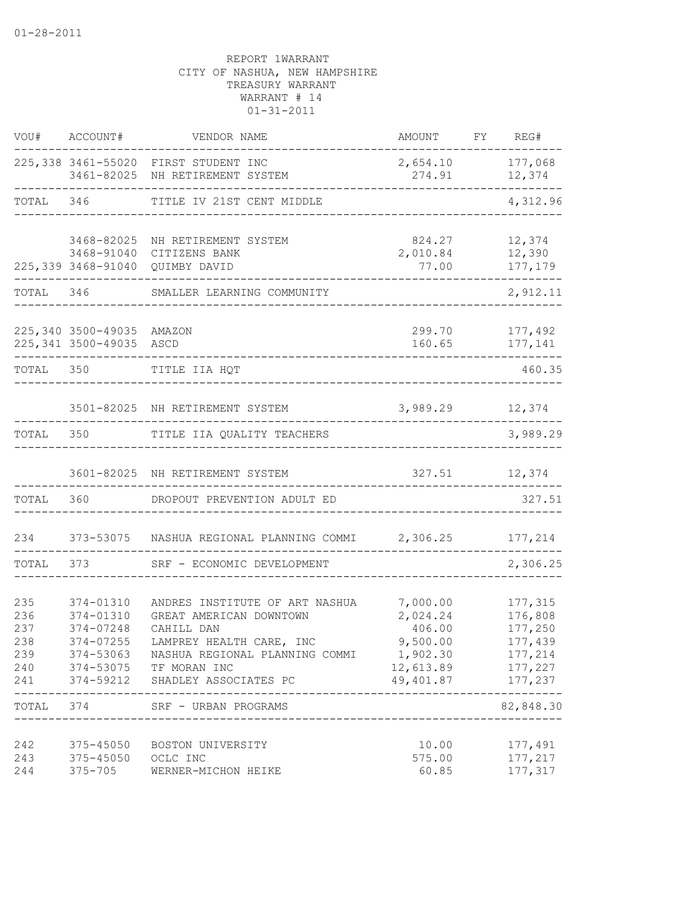| VOU#                                          | ACCOUNT#                                                      | VENDOR NAME                                                                                                                                                                                        | AMOUNT                                                                           | FY. | REG#                                                                      |
|-----------------------------------------------|---------------------------------------------------------------|----------------------------------------------------------------------------------------------------------------------------------------------------------------------------------------------------|----------------------------------------------------------------------------------|-----|---------------------------------------------------------------------------|
|                                               |                                                               | 225,338 3461-55020 FIRST STUDENT INC<br>3461-82025 NH RETIREMENT SYSTEM                                                                                                                            | 2,654.10<br>274.91                                                               |     | 177,068<br>12,374                                                         |
| TOTAL                                         | 346                                                           | TITLE IV 21ST CENT MIDDLE                                                                                                                                                                          |                                                                                  |     | 4,312.96                                                                  |
|                                               | 3468-82025<br>3468-91040<br>225,339 3468-91040                | NH RETIREMENT SYSTEM<br>CITIZENS BANK<br>QUIMBY DAVID                                                                                                                                              | 824.27<br>2,010.84<br>77.00                                                      |     | 12,374<br>12,390<br>177,179                                               |
| TOTAL                                         | 346                                                           | SMALLER LEARNING COMMUNITY                                                                                                                                                                         |                                                                                  |     | 2,912.11                                                                  |
|                                               | 225,340 3500-49035 AMAZON<br>225,341 3500-49035 ASCD          |                                                                                                                                                                                                    | 299.70<br>160.65                                                                 |     | 177,492<br>177,141                                                        |
| TOTAL 350                                     |                                                               | TITLE IIA HQT                                                                                                                                                                                      |                                                                                  |     | 460.35                                                                    |
|                                               |                                                               | 3501-82025 NH RETIREMENT SYSTEM                                                                                                                                                                    | 3,989.29                                                                         |     | 12,374                                                                    |
| TOTAL                                         | 350                                                           | TITLE IIA QUALITY TEACHERS                                                                                                                                                                         |                                                                                  |     | 3,989.29                                                                  |
|                                               |                                                               | 3601-82025 NH RETIREMENT SYSTEM                                                                                                                                                                    | 327.51                                                                           |     | 12,374                                                                    |
| TOTAL                                         | 360                                                           | DROPOUT PREVENTION ADULT ED                                                                                                                                                                        |                                                                                  |     | 327.51                                                                    |
| 234                                           | 373-53075                                                     | NASHUA REGIONAL PLANNING COMMI 2,306.25                                                                                                                                                            |                                                                                  |     | 177,214                                                                   |
| TOTAL                                         | 373                                                           | SRF - ECONOMIC DEVELOPMENT                                                                                                                                                                         |                                                                                  |     | 2,306.25                                                                  |
| 235<br>236<br>237<br>238<br>239<br>240<br>241 | 374-01310<br>374-01310<br>374-07248<br>374-07255<br>374-53063 | ANDRES INSTITUTE OF ART NASHUA<br>GREAT AMERICAN DOWNTOWN<br>CAHILL DAN<br>LAMPREY HEALTH CARE, INC<br>NASHUA REGIONAL PLANNING COMMI<br>374-53075 TF MORAN INC<br>374-59212 SHADLEY ASSOCIATES PC | 7,000.00<br>2,024.24<br>406.00<br>9,500.00<br>1,902.30<br>12,613.89<br>49,401.87 |     | 177,315<br>176,808<br>177,250<br>177,439<br>177,214<br>177,227<br>177,237 |
|                                               |                                                               | TOTAL 374 SRF - URBAN PROGRAMS                                                                                                                                                                     |                                                                                  |     | --------<br>82,848.30                                                     |
| 242<br>243<br>244                             | 375-45050<br>375-45050 OCLC INC<br>$375 - 705$                | --------------------------------------<br>BOSTON UNIVERSITY<br>WERNER-MICHON HEIKE                                                                                                                 | 10.00<br>575.00<br>60.85                                                         |     | 177,491<br>177,217<br>177,317                                             |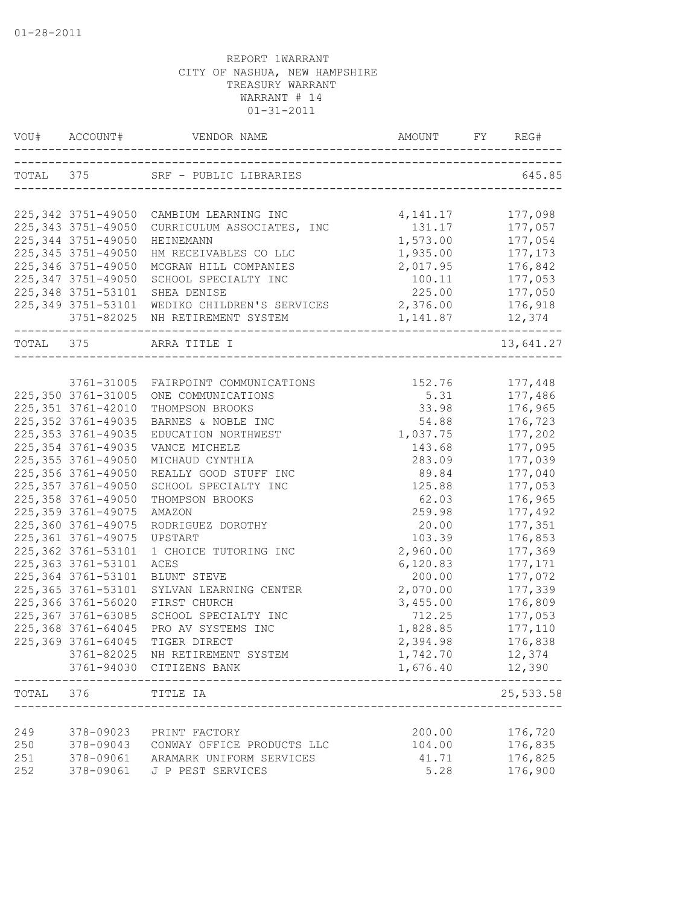|            | VOU# ACCOUNT#          |                                                                                         |                   | REG#               |
|------------|------------------------|-----------------------------------------------------------------------------------------|-------------------|--------------------|
|            |                        | TOTAL 375 SRF - PUBLIC LIBRARIES                                                        |                   | 645.85             |
|            |                        | 225,342 3751-49050 CAMBIUM LEARNING INC                                                 | 4, 141. 17        | 177,098            |
|            | 225, 343 3751-49050    | CURRICULUM ASSOCIATES, INC                                                              | 131.17            | 177,057            |
|            | 225, 344 3751-49050    | HEINEMANN                                                                               | 1,573.00          | 177,054            |
|            | 225, 345 3751-49050    | HM RECEIVABLES CO LLC                                                                   | 1,935.00          | 177, 173           |
|            | 225, 346 3751-49050    | MCGRAW HILL COMPANIES                                                                   | 2,017.95          | 176,842            |
|            | 225, 347 3751-49050    | SCHOOL SPECIALTY INC                                                                    | 100.11            | 177,053            |
|            | 225, 348 3751-53101    | SHEA DENISE                                                                             | 225.00 177,050    |                    |
|            | 225, 349 3751-53101    | WEDIKO CHILDREN'S SERVICES 2,376.00 176,918                                             |                   |                    |
|            |                        | 3751-82025 NH RETIREMENT SYSTEM                                                         | 1, 141.87 12, 374 |                    |
|            |                        | ------------------------<br>TOTAL 375 ARRA TITLE I<br>--------------------------------- |                   | 13,641.27          |
|            |                        |                                                                                         |                   |                    |
|            |                        | 3761-31005 FAIRPOINT COMMUNICATIONS 152.76                                              |                   | 177,448            |
|            | 225,350 3761-31005     | ONE COMMUNICATIONS                                                                      | 5.31              | 177,486            |
|            | 225, 351 3761-42010    | THOMPSON BROOKS                                                                         | 33.98             | 176,965            |
|            | 225, 352 3761-49035    | BARNES & NOBLE INC                                                                      | 54.88             | 176,723            |
|            | 225, 353 3761-49035    | EDUCATION NORTHWEST                                                                     | 1,037.75          | 177,202            |
|            | 225, 354 3761-49035    | VANCE MICHELE                                                                           | 143.68            | 177,095            |
|            | 225, 355 3761-49050    | MICHAUD CYNTHIA                                                                         | 283.09            | 177,039            |
|            | 225,356 3761-49050     | REALLY GOOD STUFF INC                                                                   | 89.84             | 177,040            |
|            | 225, 357 3761-49050    | SCHOOL SPECIALTY INC                                                                    | 125.88            | 177,053            |
|            | 225, 358 3761-49050    | THOMPSON BROOKS                                                                         | 62.03             | 176,965            |
|            | 225, 359 3761-49075    | AMAZON                                                                                  | 259.98            | 177,492            |
|            | 225,360 3761-49075     | RODRIGUEZ DOROTHY                                                                       | 20.00             | 177,351            |
|            | 225, 361 3761-49075    | UPSTART                                                                                 | 103.39            | 176,853            |
|            | 225, 362 3761-53101    | 1 CHOICE TUTORING INC                                                                   | 2,960.00          | 177,369            |
|            | 225, 363 3761-53101    | ACES                                                                                    | 6,120.83          | 177,171            |
|            | 225,364 3761-53101     | BLUNT STEVE                                                                             | 200.00            | 177,072            |
|            | 225, 365 3761-53101    | SYLVAN LEARNING CENTER                                                                  | 2,070.00          | 177,339            |
|            | 225,366 3761-56020     | FIRST CHURCH                                                                            | 3,455.00          | 176,809            |
|            | 225, 367 3761-63085    | SCHOOL SPECIALTY INC                                                                    | 712.25            | 177,053            |
|            | 225,368 3761-64045     | PRO AV SYSTEMS INC                                                                      | 1,828.85          | 177,110            |
|            | 225,369 3761-64045     | TIGER DIRECT                                                                            | 2,394.98          | 176,838            |
|            |                        | 3761-82025 NH RETIREMENT SYSTEM                                                         | 1,742.70          | 12,374             |
|            | 3761-94030             | CITIZENS BANK                                                                           | 1,676.40          | 12,390             |
| TOTAL      | 376                    | TITLE IA<br>--------------------------                                                  |                   | 25,533.58          |
|            |                        |                                                                                         |                   |                    |
| 249        | 378-09023              | PRINT FACTORY                                                                           | 200.00            | 176,720<br>176,835 |
| 250<br>251 | 378-09043<br>378-09061 | CONWAY OFFICE PRODUCTS LLC<br>ARAMARK UNIFORM SERVICES                                  | 104.00<br>41.71   | 176,825            |
| 252        | 378-09061              | J P PEST SERVICES                                                                       | 5.28              | 176,900            |
|            |                        |                                                                                         |                   |                    |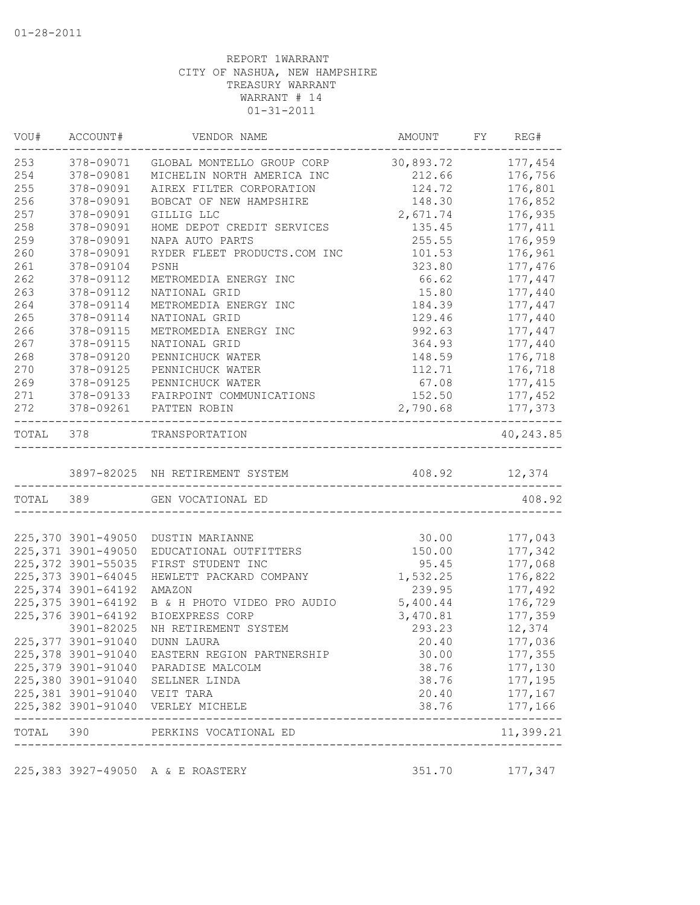| 378-09071<br>GLOBAL MONTELLO GROUP CORP 30,893.72<br>378-09081<br>MICHELIN NORTH AMERICA INC<br>212.66<br>378-09091<br>AIREX FILTER CORPORATION<br>124.72<br>378-09091<br>BOBCAT OF NEW HAMPSHIRE<br>148.30<br>2,671.74<br>378-09091<br>GILLIG LLC<br>378-09091<br>HOME DEPOT CREDIT SERVICES<br>135.45<br>378-09091<br>255.55<br>NAPA AUTO PARTS<br>378-09091<br>RYDER FLEET PRODUCTS.COM INC<br>101.53<br>378-09104<br>PSNH<br>323.80<br>378-09112<br>66.62<br>METROMEDIA ENERGY INC<br>378-09112<br>NATIONAL GRID<br>15.80<br>378-09114<br>METROMEDIA ENERGY INC<br>184.39<br>378-09114<br>NATIONAL GRID<br>129.46<br>378-09115<br>992.63<br>METROMEDIA ENERGY INC<br>378-09115<br>NATIONAL GRID<br>364.93<br>378-09120<br>148.59<br>PENNICHUCK WATER<br>378-09125<br>112.71<br>PENNICHUCK WATER<br>378-09125<br>67.08<br>PENNICHUCK WATER<br>378-09133<br>FAIRPOINT COMMUNICATIONS<br>152.50<br>272<br>378-09261<br>2,790.68<br>PATTEN ROBIN<br>$- - - - -$<br>TOTAL 378<br>TRANSPORTATION<br>3897-82025 NH RETIREMENT SYSTEM<br>408.92 12,374<br>TOTAL 389<br>GEN VOCATIONAL ED<br>30.00<br>DUSTIN MARIANNE<br>150.00<br>EDUCATIONAL OUTFITTERS<br>FIRST STUDENT INC<br>95.45<br>1,532.25<br>176,822<br>HEWLETT PACKARD COMPANY<br>239.95<br>AMAZON<br>5,400.44<br>B & H PHOTO VIDEO PRO AUDIO<br>BIOEXPRESS CORP<br>3,470.81<br>3901-82025<br>NH RETIREMENT SYSTEM<br>293.23<br>12,374<br><b>DUNN LAURA</b><br>20.40<br>225,378 3901-91040 EASTERN REGION PARTNERSHIP<br>30.00<br>38.76<br>38.76<br>177,195<br>177, 167<br>20.40<br>177,166<br>38.76<br>______________<br>11,399.21 | VOU# | ACCOUNT# | VENDOR NAME | AMOUNT | FY | REG#      |
|-------------------------------------------------------------------------------------------------------------------------------------------------------------------------------------------------------------------------------------------------------------------------------------------------------------------------------------------------------------------------------------------------------------------------------------------------------------------------------------------------------------------------------------------------------------------------------------------------------------------------------------------------------------------------------------------------------------------------------------------------------------------------------------------------------------------------------------------------------------------------------------------------------------------------------------------------------------------------------------------------------------------------------------------------------------------------------------------------------------------------------------------------------------------------------------------------------------------------------------------------------------------------------------------------------------------------------------------------------------------------------------------------------------------------------------------------------------------------------------------------------------------------------------------------------------------------------------------|------|----------|-------------|--------|----|-----------|
| 254<br>255<br>257<br>258<br>259<br>261<br>262<br>263<br>264<br>265<br>266<br>267<br>268<br>270<br>269<br>271<br>225, 373 3901-64045<br>225, 374 3901-64192<br>225,376 3901-64192<br>225,382 3901-91040 VERLEY MICHELE<br>TOTAL 390 PERKINS VOCATIONAL ED                                                                                                                                                                                                                                                                                                                                                                                                                                                                                                                                                                                                                                                                                                                                                                                                                                                                                                                                                                                                                                                                                                                                                                                                                                                                                                                                  | 253  |          |             |        |    | 177,454   |
| 256                                                                                                                                                                                                                                                                                                                                                                                                                                                                                                                                                                                                                                                                                                                                                                                                                                                                                                                                                                                                                                                                                                                                                                                                                                                                                                                                                                                                                                                                                                                                                                                       |      |          |             |        |    | 176,756   |
| 260<br>225,370 3901-49050<br>225, 371 3901-49050<br>225, 372 3901-55035<br>225, 375 3901-64192<br>225,377 3901-91040<br>225,379 3901-91040 PARADISE MALCOLM<br>225,380 3901-91040 SELLNER LINDA<br>225,381 3901-91040 VEIT TARA                                                                                                                                                                                                                                                                                                                                                                                                                                                                                                                                                                                                                                                                                                                                                                                                                                                                                                                                                                                                                                                                                                                                                                                                                                                                                                                                                           |      |          |             |        |    | 176,801   |
|                                                                                                                                                                                                                                                                                                                                                                                                                                                                                                                                                                                                                                                                                                                                                                                                                                                                                                                                                                                                                                                                                                                                                                                                                                                                                                                                                                                                                                                                                                                                                                                           |      |          |             |        |    | 176,852   |
|                                                                                                                                                                                                                                                                                                                                                                                                                                                                                                                                                                                                                                                                                                                                                                                                                                                                                                                                                                                                                                                                                                                                                                                                                                                                                                                                                                                                                                                                                                                                                                                           |      |          |             |        |    | 176,935   |
|                                                                                                                                                                                                                                                                                                                                                                                                                                                                                                                                                                                                                                                                                                                                                                                                                                                                                                                                                                                                                                                                                                                                                                                                                                                                                                                                                                                                                                                                                                                                                                                           |      |          |             |        |    | 177, 411  |
|                                                                                                                                                                                                                                                                                                                                                                                                                                                                                                                                                                                                                                                                                                                                                                                                                                                                                                                                                                                                                                                                                                                                                                                                                                                                                                                                                                                                                                                                                                                                                                                           |      |          |             |        |    | 176,959   |
|                                                                                                                                                                                                                                                                                                                                                                                                                                                                                                                                                                                                                                                                                                                                                                                                                                                                                                                                                                                                                                                                                                                                                                                                                                                                                                                                                                                                                                                                                                                                                                                           |      |          |             |        |    | 176,961   |
|                                                                                                                                                                                                                                                                                                                                                                                                                                                                                                                                                                                                                                                                                                                                                                                                                                                                                                                                                                                                                                                                                                                                                                                                                                                                                                                                                                                                                                                                                                                                                                                           |      |          |             |        |    | 177,476   |
|                                                                                                                                                                                                                                                                                                                                                                                                                                                                                                                                                                                                                                                                                                                                                                                                                                                                                                                                                                                                                                                                                                                                                                                                                                                                                                                                                                                                                                                                                                                                                                                           |      |          |             |        |    | 177,447   |
|                                                                                                                                                                                                                                                                                                                                                                                                                                                                                                                                                                                                                                                                                                                                                                                                                                                                                                                                                                                                                                                                                                                                                                                                                                                                                                                                                                                                                                                                                                                                                                                           |      |          |             |        |    | 177,440   |
|                                                                                                                                                                                                                                                                                                                                                                                                                                                                                                                                                                                                                                                                                                                                                                                                                                                                                                                                                                                                                                                                                                                                                                                                                                                                                                                                                                                                                                                                                                                                                                                           |      |          |             |        |    | 177,447   |
|                                                                                                                                                                                                                                                                                                                                                                                                                                                                                                                                                                                                                                                                                                                                                                                                                                                                                                                                                                                                                                                                                                                                                                                                                                                                                                                                                                                                                                                                                                                                                                                           |      |          |             |        |    | 177,440   |
|                                                                                                                                                                                                                                                                                                                                                                                                                                                                                                                                                                                                                                                                                                                                                                                                                                                                                                                                                                                                                                                                                                                                                                                                                                                                                                                                                                                                                                                                                                                                                                                           |      |          |             |        |    | 177,447   |
|                                                                                                                                                                                                                                                                                                                                                                                                                                                                                                                                                                                                                                                                                                                                                                                                                                                                                                                                                                                                                                                                                                                                                                                                                                                                                                                                                                                                                                                                                                                                                                                           |      |          |             |        |    | 177,440   |
|                                                                                                                                                                                                                                                                                                                                                                                                                                                                                                                                                                                                                                                                                                                                                                                                                                                                                                                                                                                                                                                                                                                                                                                                                                                                                                                                                                                                                                                                                                                                                                                           |      |          |             |        |    | 176,718   |
|                                                                                                                                                                                                                                                                                                                                                                                                                                                                                                                                                                                                                                                                                                                                                                                                                                                                                                                                                                                                                                                                                                                                                                                                                                                                                                                                                                                                                                                                                                                                                                                           |      |          |             |        |    | 176,718   |
|                                                                                                                                                                                                                                                                                                                                                                                                                                                                                                                                                                                                                                                                                                                                                                                                                                                                                                                                                                                                                                                                                                                                                                                                                                                                                                                                                                                                                                                                                                                                                                                           |      |          |             |        |    | 177, 415  |
|                                                                                                                                                                                                                                                                                                                                                                                                                                                                                                                                                                                                                                                                                                                                                                                                                                                                                                                                                                                                                                                                                                                                                                                                                                                                                                                                                                                                                                                                                                                                                                                           |      |          |             |        |    | 177,452   |
|                                                                                                                                                                                                                                                                                                                                                                                                                                                                                                                                                                                                                                                                                                                                                                                                                                                                                                                                                                                                                                                                                                                                                                                                                                                                                                                                                                                                                                                                                                                                                                                           |      |          |             |        |    | 177,373   |
|                                                                                                                                                                                                                                                                                                                                                                                                                                                                                                                                                                                                                                                                                                                                                                                                                                                                                                                                                                                                                                                                                                                                                                                                                                                                                                                                                                                                                                                                                                                                                                                           |      |          |             |        |    | 40,243.85 |
|                                                                                                                                                                                                                                                                                                                                                                                                                                                                                                                                                                                                                                                                                                                                                                                                                                                                                                                                                                                                                                                                                                                                                                                                                                                                                                                                                                                                                                                                                                                                                                                           |      |          |             |        |    |           |
|                                                                                                                                                                                                                                                                                                                                                                                                                                                                                                                                                                                                                                                                                                                                                                                                                                                                                                                                                                                                                                                                                                                                                                                                                                                                                                                                                                                                                                                                                                                                                                                           |      |          |             |        |    | 408.92    |
|                                                                                                                                                                                                                                                                                                                                                                                                                                                                                                                                                                                                                                                                                                                                                                                                                                                                                                                                                                                                                                                                                                                                                                                                                                                                                                                                                                                                                                                                                                                                                                                           |      |          |             |        |    |           |
|                                                                                                                                                                                                                                                                                                                                                                                                                                                                                                                                                                                                                                                                                                                                                                                                                                                                                                                                                                                                                                                                                                                                                                                                                                                                                                                                                                                                                                                                                                                                                                                           |      |          |             |        |    | 177,043   |
|                                                                                                                                                                                                                                                                                                                                                                                                                                                                                                                                                                                                                                                                                                                                                                                                                                                                                                                                                                                                                                                                                                                                                                                                                                                                                                                                                                                                                                                                                                                                                                                           |      |          |             |        |    | 177,342   |
|                                                                                                                                                                                                                                                                                                                                                                                                                                                                                                                                                                                                                                                                                                                                                                                                                                                                                                                                                                                                                                                                                                                                                                                                                                                                                                                                                                                                                                                                                                                                                                                           |      |          |             |        |    | 177,068   |
|                                                                                                                                                                                                                                                                                                                                                                                                                                                                                                                                                                                                                                                                                                                                                                                                                                                                                                                                                                                                                                                                                                                                                                                                                                                                                                                                                                                                                                                                                                                                                                                           |      |          |             |        |    |           |
|                                                                                                                                                                                                                                                                                                                                                                                                                                                                                                                                                                                                                                                                                                                                                                                                                                                                                                                                                                                                                                                                                                                                                                                                                                                                                                                                                                                                                                                                                                                                                                                           |      |          |             |        |    | 177,492   |
|                                                                                                                                                                                                                                                                                                                                                                                                                                                                                                                                                                                                                                                                                                                                                                                                                                                                                                                                                                                                                                                                                                                                                                                                                                                                                                                                                                                                                                                                                                                                                                                           |      |          |             |        |    | 176,729   |
|                                                                                                                                                                                                                                                                                                                                                                                                                                                                                                                                                                                                                                                                                                                                                                                                                                                                                                                                                                                                                                                                                                                                                                                                                                                                                                                                                                                                                                                                                                                                                                                           |      |          |             |        |    | 177,359   |
|                                                                                                                                                                                                                                                                                                                                                                                                                                                                                                                                                                                                                                                                                                                                                                                                                                                                                                                                                                                                                                                                                                                                                                                                                                                                                                                                                                                                                                                                                                                                                                                           |      |          |             |        |    |           |
|                                                                                                                                                                                                                                                                                                                                                                                                                                                                                                                                                                                                                                                                                                                                                                                                                                                                                                                                                                                                                                                                                                                                                                                                                                                                                                                                                                                                                                                                                                                                                                                           |      |          |             |        |    | 177,036   |
|                                                                                                                                                                                                                                                                                                                                                                                                                                                                                                                                                                                                                                                                                                                                                                                                                                                                                                                                                                                                                                                                                                                                                                                                                                                                                                                                                                                                                                                                                                                                                                                           |      |          |             |        |    | 177,355   |
|                                                                                                                                                                                                                                                                                                                                                                                                                                                                                                                                                                                                                                                                                                                                                                                                                                                                                                                                                                                                                                                                                                                                                                                                                                                                                                                                                                                                                                                                                                                                                                                           |      |          |             |        |    | 177,130   |
|                                                                                                                                                                                                                                                                                                                                                                                                                                                                                                                                                                                                                                                                                                                                                                                                                                                                                                                                                                                                                                                                                                                                                                                                                                                                                                                                                                                                                                                                                                                                                                                           |      |          |             |        |    |           |
|                                                                                                                                                                                                                                                                                                                                                                                                                                                                                                                                                                                                                                                                                                                                                                                                                                                                                                                                                                                                                                                                                                                                                                                                                                                                                                                                                                                                                                                                                                                                                                                           |      |          |             |        |    |           |
|                                                                                                                                                                                                                                                                                                                                                                                                                                                                                                                                                                                                                                                                                                                                                                                                                                                                                                                                                                                                                                                                                                                                                                                                                                                                                                                                                                                                                                                                                                                                                                                           |      |          |             |        |    |           |
|                                                                                                                                                                                                                                                                                                                                                                                                                                                                                                                                                                                                                                                                                                                                                                                                                                                                                                                                                                                                                                                                                                                                                                                                                                                                                                                                                                                                                                                                                                                                                                                           |      |          |             |        |    |           |
| 225,383 3927-49050 A & E ROASTERY<br>351.70 177,347                                                                                                                                                                                                                                                                                                                                                                                                                                                                                                                                                                                                                                                                                                                                                                                                                                                                                                                                                                                                                                                                                                                                                                                                                                                                                                                                                                                                                                                                                                                                       |      |          |             |        |    |           |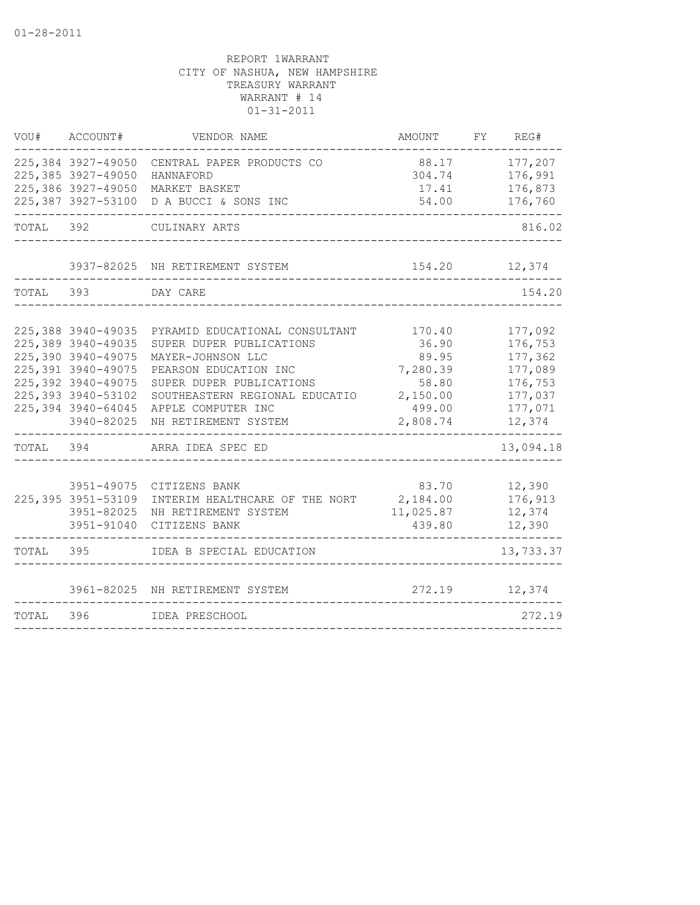| VOU#      | ACCOUNT#                                                                                                                                                             | VENDOR NAME                                                                                                                                                                                                          | AMOUNT                                                                          | FY | REG#                                                                                |
|-----------|----------------------------------------------------------------------------------------------------------------------------------------------------------------------|----------------------------------------------------------------------------------------------------------------------------------------------------------------------------------------------------------------------|---------------------------------------------------------------------------------|----|-------------------------------------------------------------------------------------|
|           | 225,384 3927-49050<br>225,385 3927-49050<br>225,386 3927-49050<br>225,387 3927-53100                                                                                 | CENTRAL PAPER PRODUCTS CO<br>HANNAFORD<br>MARKET BASKET<br>D A BUCCI & SONS INC                                                                                                                                      | 88.17<br>304.74<br>17.41<br>54.00                                               |    | 177,207<br>176,991<br>176,873<br>176,760                                            |
| TOTAL 392 |                                                                                                                                                                      | CULINARY ARTS                                                                                                                                                                                                        |                                                                                 |    | 816.02                                                                              |
|           |                                                                                                                                                                      | 3937-82025 NH RETIREMENT SYSTEM                                                                                                                                                                                      | 154.20                                                                          |    | 12,374                                                                              |
| TOTAL     | 393                                                                                                                                                                  | DAY CARE                                                                                                                                                                                                             |                                                                                 |    | 154.20                                                                              |
|           | 225,388 3940-49035<br>225,389 3940-49035<br>225,390 3940-49075<br>225,391 3940-49075<br>225,392 3940-49075<br>225,393 3940-53102<br>225,394 3940-64045<br>3940-82025 | PYRAMID EDUCATIONAL CONSULTANT<br>SUPER DUPER PUBLICATIONS<br>MAYER-JOHNSON LLC<br>PEARSON EDUCATION INC<br>SUPER DUPER PUBLICATIONS<br>SOUTHEASTERN REGIONAL EDUCATIO<br>APPLE COMPUTER INC<br>NH RETIREMENT SYSTEM | 170.40<br>36.90<br>89.95<br>7,280.39<br>58.80<br>2,150.00<br>499.00<br>2,808.74 |    | 177,092<br>176,753<br>177,362<br>177,089<br>176,753<br>177,037<br>177,071<br>12,374 |
| TOTAL 394 |                                                                                                                                                                      | ARRA IDEA SPEC ED                                                                                                                                                                                                    |                                                                                 |    | 13,094.18                                                                           |
|           | 3951-49075<br>225, 395 3951-53109<br>3951-82025<br>3951-91040                                                                                                        | CITIZENS BANK<br>INTERIM HEALTHCARE OF THE NORT<br>NH RETIREMENT SYSTEM<br>CITIZENS BANK                                                                                                                             | 83.70<br>2,184.00<br>11,025.87<br>439.80                                        |    | 12,390<br>176,913<br>12,374<br>12,390                                               |
| TOTAL     | 395                                                                                                                                                                  | IDEA B SPECIAL EDUCATION                                                                                                                                                                                             |                                                                                 |    | 13,733.37                                                                           |
|           |                                                                                                                                                                      | 3961-82025 NH RETIREMENT SYSTEM                                                                                                                                                                                      | 272.19                                                                          |    | 12,374                                                                              |
| TOTAL     | 396                                                                                                                                                                  | IDEA PRESCHOOL                                                                                                                                                                                                       |                                                                                 |    | 272.19                                                                              |
|           |                                                                                                                                                                      |                                                                                                                                                                                                                      |                                                                                 |    |                                                                                     |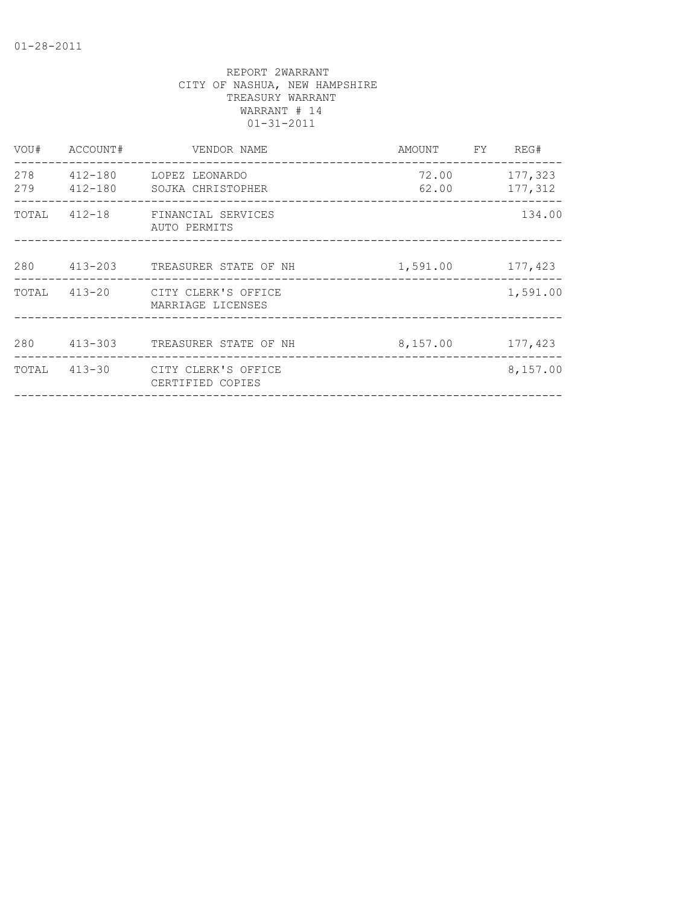| ACCOUNT# | VENDOR NAME       |                                                                                                                                                                                             | REG#                                                                                  |
|----------|-------------------|---------------------------------------------------------------------------------------------------------------------------------------------------------------------------------------------|---------------------------------------------------------------------------------------|
|          |                   |                                                                                                                                                                                             |                                                                                       |
|          | AUTO PERMITS      |                                                                                                                                                                                             | 134.00                                                                                |
|          |                   |                                                                                                                                                                                             |                                                                                       |
|          | MARRIAGE LICENSES |                                                                                                                                                                                             | 1,591.00                                                                              |
|          |                   |                                                                                                                                                                                             |                                                                                       |
|          | CERTIFIED COPIES  |                                                                                                                                                                                             | 8,157.00                                                                              |
|          | 280 413-303       | 412-180 LOPEZ LEONARDO<br>TOTAL 412-18 FINANCIAL SERVICES<br>413-203 TREASURER STATE OF NH<br>TOTAL 413-20 CITY CLERK'S OFFICE<br>TREASURER STATE OF NH<br>TOTAL 413-30 CITY CLERK'S OFFICE | AMOUNT FY<br>72.00 177,323<br>62.00 177,312<br>1,591.00 177,423<br>8, 157.00 177, 423 |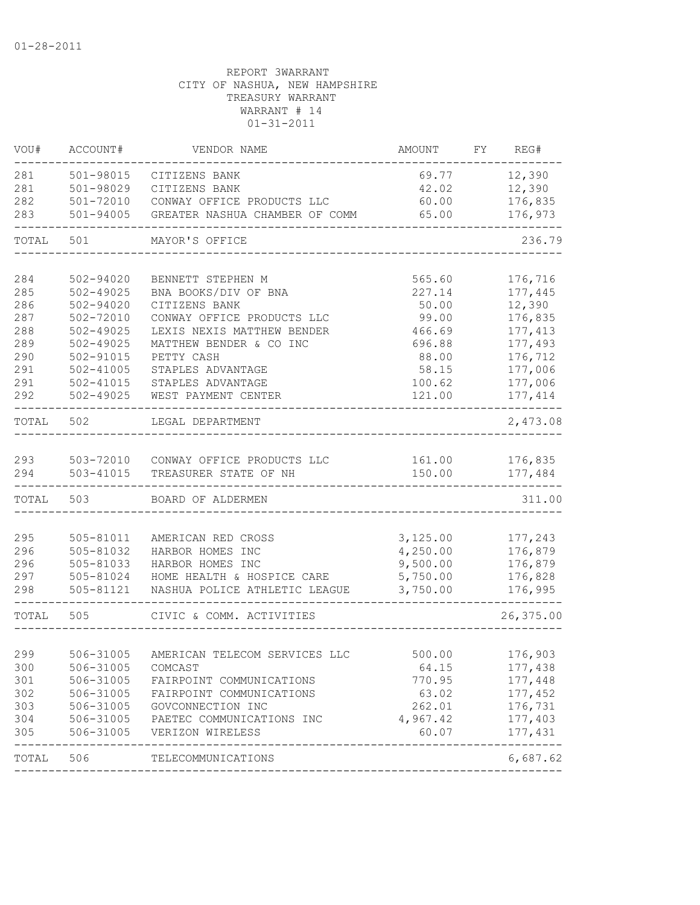| VOU#       | ACCOUNT#                   | VENDOR NAME                                          | AMOUNT          | FY REG#            |
|------------|----------------------------|------------------------------------------------------|-----------------|--------------------|
| 281        | 501-98015                  | CITIZENS BANK                                        | 69.77           | 12,390             |
| 281        | 501-98029                  | CITIZENS BANK                                        | 42.02           | 12,390             |
| 282        | 501-72010                  | CONWAY OFFICE PRODUCTS LLC                           | 60.00           | 176,835            |
| 283        | $501 - 94005$              | GREATER NASHUA CHAMBER OF COMM                       | 65.00           | 176,973            |
| TOTAL      | 501                        | MAYOR'S OFFICE                                       |                 | 236.79             |
|            |                            |                                                      |                 |                    |
| 284<br>285 | 502-94020<br>$502 - 49025$ | BENNETT STEPHEN M<br>BNA BOOKS/DIV OF BNA            | 565.60          | 176,716            |
| 286        | 502-94020                  | CITIZENS BANK                                        | 227.14          | 177,445<br>12,390  |
| 287        | 502-72010                  | CONWAY OFFICE PRODUCTS LLC                           | 50.00<br>99.00  | 176,835            |
| 288        | $502 - 49025$              | LEXIS NEXIS MATTHEW BENDER                           | 466.69          | 177, 413           |
| 289        | $502 - 49025$              | MATTHEW BENDER & CO INC                              | 696.88          | 177,493            |
| 290        | 502-91015                  | PETTY CASH                                           | 88.00           | 176,712            |
| 291        | $502 - 41005$              | STAPLES ADVANTAGE                                    | 58.15           | 177,006            |
| 291        | 502-41015                  | STAPLES ADVANTAGE                                    | 100.62          | 177,006            |
| 292        | 502-49025                  | WEST PAYMENT CENTER                                  | 121.00          | 177, 414           |
| TOTAL      | 502                        | LEGAL DEPARTMENT                                     |                 | 2,473.08           |
|            |                            |                                                      |                 |                    |
| 293        |                            | 503-72010 CONWAY OFFICE PRODUCTS LLC                 | 161.00          | 176,835            |
| 294        | 503-41015                  | TREASURER STATE OF NH                                | 150.00          | 177,484            |
| TOTAL      | 503                        | BOARD OF ALDERMEN                                    |                 | 311.00             |
|            |                            |                                                      |                 |                    |
| 295        | 505-81011                  | AMERICAN RED CROSS                                   | 3,125.00        | 177,243            |
| 296        | 505-81032                  | HARBOR HOMES INC                                     | 4,250.00        | 176,879            |
| 296        | 505-81033                  | HARBOR HOMES INC                                     | 9,500.00        | 176,879            |
| 297        | 505-81024                  | HOME HEALTH & HOSPICE CARE                           | 5,750.00        | 176,828            |
| 298        | 505-81121                  | NASHUA POLICE ATHLETIC LEAGUE                        | 3,750.00        | 176,995            |
| TOTAL      | 505                        | CIVIC & COMM. ACTIVITIES                             |                 | 26,375.00          |
|            |                            |                                                      |                 |                    |
| 299        |                            | 506-31005 AMERICAN TELECOM SERVICES LLC              | 500.00          | 176,903            |
| 300<br>301 | 506-31005<br>506-31005     | COMCAST                                              | 64.15<br>770.95 | 177,438<br>177,448 |
|            |                            | FAIRPOINT COMMUNICATIONS<br>FAIRPOINT COMMUNICATIONS |                 | 177,452            |
| 302<br>303 | 506-31005<br>506-31005     | GOVCONNECTION INC                                    | 63.02<br>262.01 | 176,731            |
| 304        |                            | PAETEC COMMUNICATIONS INC                            | 4,967.42        | 177,403            |
| 305        | 506-31005<br>506-31005     | VERIZON WIRELESS                                     | 60.07           | 177,431            |
| TOTAL 506  |                            | TELECOMMUNICATIONS                                   |                 | 6,687.62           |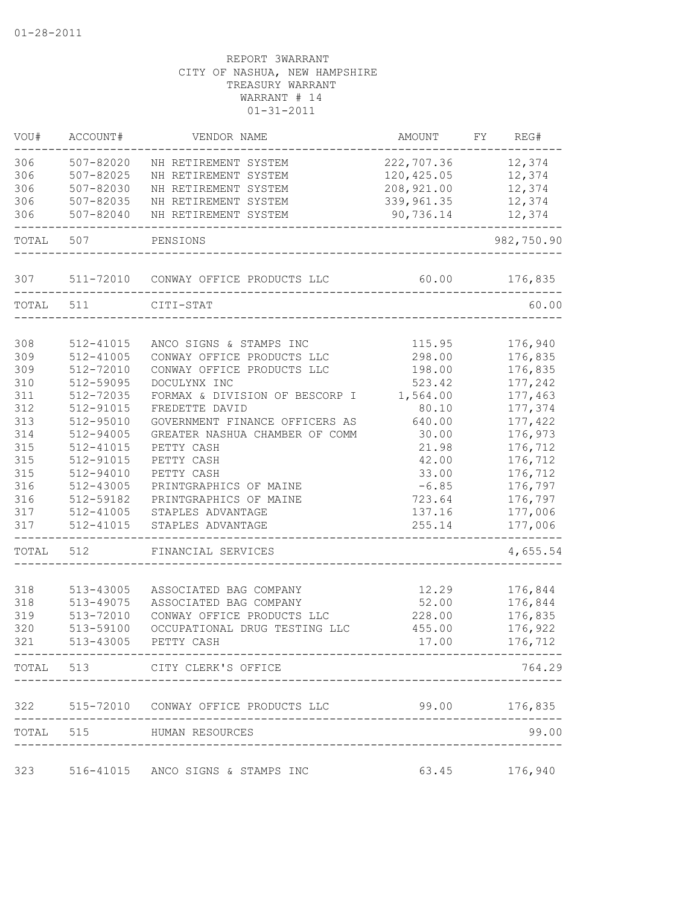| VOU#  | ACCOUNT#               | VENDOR NAME                              | AMOUNT          | FY. | REG#          |
|-------|------------------------|------------------------------------------|-----------------|-----|---------------|
| 306   | 507-82020              | NH RETIREMENT SYSTEM                     | 222,707.36      |     | 12,374        |
| 306   | 507-82025              | NH RETIREMENT SYSTEM                     | 120,425.05      |     | 12,374        |
| 306   | 507-82030              | NH RETIREMENT SYSTEM                     | 208,921.00      |     | 12,374        |
| 306   | 507-82035              | NH RETIREMENT SYSTEM                     | 339, 961.35     |     | 12,374        |
| 306   | 507-82040              | NH RETIREMENT SYSTEM                     | 90,736.14       |     | 12,374        |
| TOTAL | 507                    | PENSIONS                                 |                 |     | 982,750.90    |
| 307   | 511-72010              | CONWAY OFFICE PRODUCTS LLC               | 60.00           |     | 176,835       |
| TOTAL | 511                    | CITI-STAT                                |                 |     | 60.00         |
| 308   | 512-41015              | ANCO SIGNS & STAMPS INC                  | 115.95          |     | 176,940       |
| 309   | 512-41005              | CONWAY OFFICE PRODUCTS LLC               | 298.00          |     | 176,835       |
| 309   |                        | CONWAY OFFICE PRODUCTS LLC               |                 |     | 176,835       |
| 310   | 512-72010              | DOCULYNX INC                             | 198.00          |     |               |
|       | 512-59095              |                                          | 523.42          |     | 177,242       |
| 311   | 512-72035<br>512-91015 | FORMAX & DIVISION OF BESCORP I           | 1,564.00        |     | 177,463       |
| 312   |                        | FREDETTE DAVID                           | 80.10           |     | 177,374       |
| 313   | 512-95010              | GOVERNMENT FINANCE OFFICERS AS           | 640.00          |     | 177,422       |
| 314   | 512-94005              | GREATER NASHUA CHAMBER OF COMM           | 30.00           |     | 176,973       |
| 315   | 512-41015              | PETTY CASH                               | 21.98           |     | 176,712       |
| 315   | 512-91015              | PETTY CASH                               | 42.00           |     | 176,712       |
| 315   | 512-94010              | PETTY CASH                               | 33.00           |     | 176,712       |
| 316   | 512-43005              | PRINTGRAPHICS OF MAINE                   | $-6.85$         |     | 176,797       |
| 316   | 512-59182              | PRINTGRAPHICS OF MAINE                   | 723.64          |     | 176,797       |
| 317   | 512-41005              | STAPLES ADVANTAGE                        | 137.16          |     | 177,006       |
| 317   | 512-41015              | STAPLES ADVANTAGE                        | 255.14          |     | 177,006       |
| TOTAL | 512                    | FINANCIAL SERVICES                       |                 |     | 4,655.54      |
| 318   | 513-43005              | ASSOCIATED BAG COMPANY                   | 12.29           |     | 176,844       |
| 318   | 513-49075              | ASSOCIATED BAG COMPANY                   | 52.00           |     | 176,844       |
| 319   | 513-72010              | CONWAY OFFICE PRODUCTS LLC               | 228.00          |     | 176,835       |
| 320   | 513-59100              | OCCUPATIONAL DRUG TESTING LLC            | 455.00          |     | 176,922       |
| 321   | 513-43005              | PETTY CASH                               | 17.00           |     | 176,712       |
|       |                        | TOTAL 513 CITY CLERK'S OFFICE            |                 |     | 764.29        |
|       |                        | 322 515-72010 CONWAY OFFICE PRODUCTS LLC | $99.00$ 176,835 |     |               |
|       |                        | TOTAL 515 HUMAN RESOURCES                |                 |     | 99.00         |
|       |                        |                                          |                 |     |               |
|       |                        | 323 516-41015 ANCO SIGNS & STAMPS INC    |                 |     | 63.45 176,940 |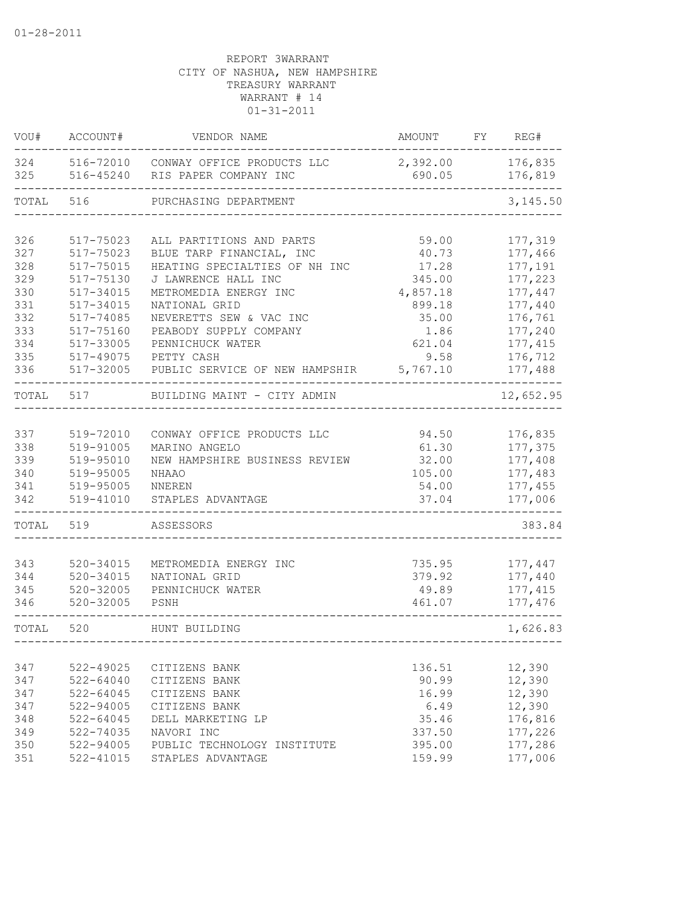| VOU#       | ACCOUNT#      | VENDOR NAME                                                   | AMOUNT             | FY | REG#               |
|------------|---------------|---------------------------------------------------------------|--------------------|----|--------------------|
| 324<br>325 | 516-45240     | 516-72010 CONWAY OFFICE PRODUCTS LLC<br>RIS PAPER COMPANY INC | 2,392.00<br>690.05 |    | 176,835<br>176,819 |
| TOTAL      | 516           | PURCHASING DEPARTMENT                                         |                    |    | 3,145.50           |
|            |               |                                                               |                    |    |                    |
| 326        | 517-75023     | ALL PARTITIONS AND PARTS                                      | 59.00              |    | 177,319            |
| 327        | 517-75023     | BLUE TARP FINANCIAL, INC                                      | 40.73              |    | 177,466            |
| 328        | 517-75015     | HEATING SPECIALTIES OF NH INC                                 | 17.28              |    | 177,191            |
| 329        | 517-75130     | J LAWRENCE HALL INC                                           | 345.00             |    | 177,223            |
| 330        | $517 - 34015$ | METROMEDIA ENERGY INC                                         | 4,857.18           |    | 177,447            |
| 331        | $517 - 34015$ | NATIONAL GRID                                                 | 899.18             |    | 177,440            |
| 332        | 517-74085     | NEVERETTS SEW & VAC INC                                       | 35.00              |    | 176,761            |
| 333        | 517-75160     | PEABODY SUPPLY COMPANY                                        | 1.86               |    | 177,240            |
| 334        | 517-33005     | PENNICHUCK WATER                                              | 621.04             |    | 177, 415           |
| 335        | 517-49075     | PETTY CASH                                                    | 9.58               |    | 176,712            |
| 336        | 517-32005     | PUBLIC SERVICE OF NEW HAMPSHIR                                | 5,767.10           |    | 177,488            |
| TOTAL      | 517           | BUILDING MAINT - CITY ADMIN                                   |                    |    | 12,652.95          |
|            |               |                                                               |                    |    |                    |
| 337        | 519-72010     | CONWAY OFFICE PRODUCTS LLC                                    | 94.50              |    | 176,835            |
| 338        | 519-91005     | MARINO ANGELO                                                 | 61.30              |    | 177,375            |
| 339        | 519-95010     | NEW HAMPSHIRE BUSINESS REVIEW                                 | 32.00              |    | 177,408            |
| 340        | 519-95005     | NHAAO                                                         | 105.00             |    | 177,483            |
| 341        | 519-95005     | <b>NNEREN</b>                                                 | 54.00              |    | 177,455            |
| 342        | 519-41010     | STAPLES ADVANTAGE                                             | 37.04              |    | 177,006            |
| TOTAL      | 519           | ASSESSORS                                                     |                    |    | 383.84             |
|            |               |                                                               |                    |    |                    |
| 343        | 520-34015     | METROMEDIA ENERGY INC                                         | 735.95             |    | 177,447            |
| 344        | $520 - 34015$ | NATIONAL GRID                                                 | 379.92             |    | 177,440            |
| 345        | $520 - 32005$ | PENNICHUCK WATER                                              | 49.89              |    | 177, 415           |
| 346        | $520 - 32005$ | PSNH                                                          | 461.07             |    | 177,476            |
| TOTAL      | 520           | HUNT BUILDING                                                 |                    |    | 1,626.83           |
|            |               |                                                               |                    |    |                    |
| 347        | $522 - 49025$ | CITIZENS BANK                                                 | 136.51             |    | 12,390             |
| 347        | $522 - 64040$ | CITIZENS BANK                                                 | 90.99              |    | 12,390             |
| 347        | $522 - 64045$ | CITIZENS BANK                                                 | 16.99              |    | 12,390             |
| 347        | 522-94005     | CITIZENS BANK                                                 | 6.49               |    | 12,390             |
| 348        | $522 - 64045$ | DELL MARKETING LP                                             | 35.46              |    | 176,816            |
| 349        | 522-74035     | NAVORI INC                                                    | 337.50             |    | 177,226            |
| 350        | 522-94005     | PUBLIC TECHNOLOGY INSTITUTE                                   | 395.00             |    | 177,286            |
| 351        | $522 - 41015$ | STAPLES ADVANTAGE                                             | 159.99             |    | 177,006            |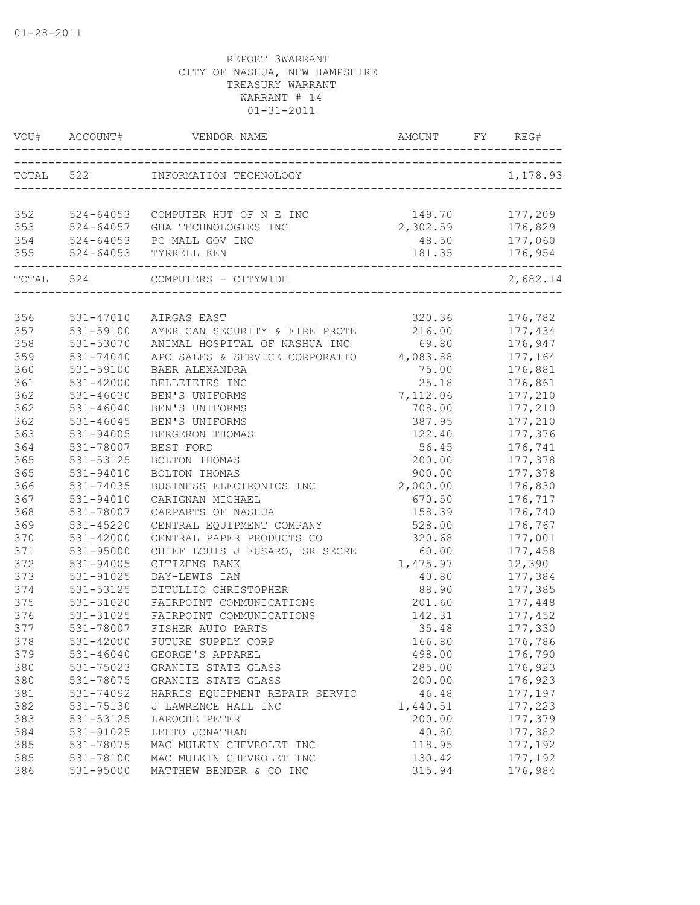| VOU# | ACCOUNT#      | VENDOR NAME                                                                      | AMOUNT   | FY | REG#     |
|------|---------------|----------------------------------------------------------------------------------|----------|----|----------|
|      |               | TOTAL 522 INFORMATION TECHNOLOGY                                                 |          |    | 1,178.93 |
|      |               |                                                                                  |          |    |          |
| 352  |               | 524-64053 COMPUTER HUT OF N E INC                                                | 149.70   |    | 177,209  |
| 353  |               | 524-64057 GHA TECHNOLOGIES INC                                                   | 2,302.59 |    | 176,829  |
| 354  |               | 524-64057 GHA TECHNOLOGIES<br>524-64053 PC MALL GOV INC<br>524-64053 TYRRELL KEN | 48.50    |    | 177,060  |
| 355  |               | ----------------------------------<br>-----------------------------------        | 181.35   |    | 176,954  |
|      |               | TOTAL 524 COMPUTERS - CITYWIDE                                                   |          |    | 2,682.14 |
|      |               |                                                                                  |          |    |          |
| 356  | 531-47010     | AIRGAS EAST                                                                      | 320.36   |    | 176,782  |
| 357  | 531-59100     | AMERICAN SECURITY & FIRE PROTE                                                   | 216.00   |    | 177,434  |
| 358  | 531-53070     | ANIMAL HOSPITAL OF NASHUA INC                                                    | 69.80    |    | 176,947  |
| 359  | 531-74040     | APC SALES & SERVICE CORPORATIO 4,083.88                                          |          |    | 177,164  |
| 360  | 531-59100     | <b>BAER ALEXANDRA</b>                                                            | 75.00    |    | 176,881  |
| 361  | $531 - 42000$ | BELLETETES INC                                                                   | 25.18    |    | 176,861  |
| 362  | $531 - 46030$ | BEN'S UNIFORMS                                                                   | 7,112.06 |    | 177,210  |
| 362  | $531 - 46040$ | BEN'S UNIFORMS                                                                   | 708.00   |    | 177,210  |
| 362  | $531 - 46045$ | BEN'S UNIFORMS                                                                   | 387.95   |    | 177,210  |
| 363  | 531-94005     | BERGERON THOMAS                                                                  | 122.40   |    | 177,376  |
| 364  | 531-78007     | BEST FORD                                                                        | 56.45    |    | 176,741  |
| 365  | 531-53125     | BOLTON THOMAS                                                                    | 200.00   |    | 177,378  |
| 365  | 531-94010     | BOLTON THOMAS                                                                    | 900.00   |    | 177,378  |
| 366  | 531-74035     | BUSINESS ELECTRONICS INC                                                         | 2,000.00 |    | 176,830  |
| 367  | $531 - 94010$ | CARIGNAN MICHAEL                                                                 | 670.50   |    | 176,717  |
| 368  | 531-78007     | CARPARTS OF NASHUA                                                               | 158.39   |    | 176,740  |
| 369  | $531 - 45220$ | CENTRAL EQUIPMENT COMPANY                                                        | 528.00   |    | 176,767  |
| 370  | $531 - 42000$ | CENTRAL PAPER PRODUCTS CO                                                        | 320.68   |    | 177,001  |
| 371  | 531-95000     | CHIEF LOUIS J FUSARO, SR SECRE                                                   | 60.00    |    | 177,458  |
| 372  | 531-94005     | CITIZENS BANK                                                                    | 1,475.97 |    | 12,390   |
| 373  | 531-91025     | DAY-LEWIS IAN                                                                    | 40.80    |    | 177,384  |
| 374  | 531-53125     | DITULLIO CHRISTOPHER                                                             | 88.90    |    | 177,385  |
| 375  | 531-31020     | FAIRPOINT COMMUNICATIONS                                                         | 201.60   |    | 177,448  |
| 376  | 531-31025     | FAIRPOINT COMMUNICATIONS                                                         | 142.31   |    | 177,452  |
| 377  | 531-78007     | FISHER AUTO PARTS                                                                | 35.48    |    | 177,330  |
| 378  | 531-42000     | FUTURE SUPPLY CORP                                                               | 166.80   |    | 176,786  |
| 379  | 531-46040     | GEORGE'S APPAREL                                                                 | 498.00   |    | 176,790  |
| 380  | 531-75023     | GRANITE STATE GLASS                                                              | 285.00   |    | 176,923  |
| 380  | 531-78075     | GRANITE STATE GLASS                                                              | 200.00   |    | 176,923  |
| 381  | 531-74092     | HARRIS EQUIPMENT REPAIR SERVIC                                                   | 46.48    |    | 177,197  |
| 382  | 531-75130     | J LAWRENCE HALL INC                                                              | 1,440.51 |    | 177,223  |
| 383  | 531-53125     | LAROCHE PETER                                                                    | 200.00   |    | 177,379  |
| 384  | 531-91025     | LEHTO JONATHAN                                                                   | 40.80    |    | 177,382  |
| 385  | 531-78075     | MAC MULKIN CHEVROLET INC                                                         | 118.95   |    | 177,192  |
| 385  | 531-78100     | MAC MULKIN CHEVROLET INC                                                         | 130.42   |    | 177,192  |
| 386  | 531-95000     | MATTHEW BENDER & CO INC                                                          | 315.94   |    | 176,984  |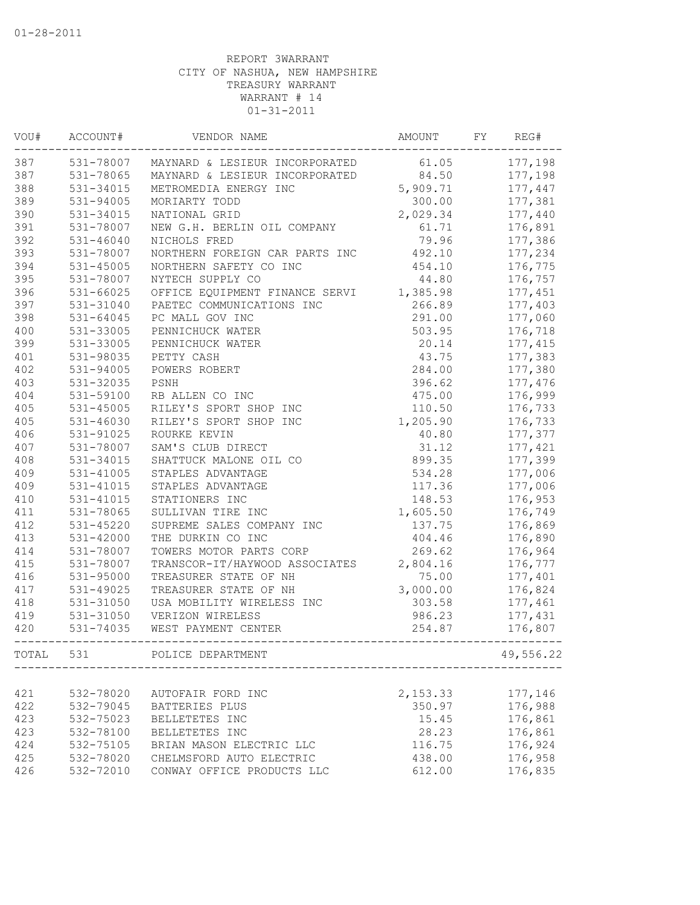| VOU#  | ACCOUNT#               | VENDOR NAME                    | AMOUNT   | FY | REG#      |
|-------|------------------------|--------------------------------|----------|----|-----------|
| 387   | 531-78007              | MAYNARD & LESIEUR INCORPORATED | 61.05    |    | 177,198   |
| 387   | 531-78065              | MAYNARD & LESIEUR INCORPORATED | 84.50    |    | 177,198   |
| 388   | 531-34015              | METROMEDIA ENERGY INC          | 5,909.71 |    | 177,447   |
| 389   | $531 - 94005$          | MORIARTY TODD                  | 300.00   |    | 177,381   |
| 390   | 531-34015              | NATIONAL GRID                  | 2,029.34 |    | 177,440   |
| 391   | 531-78007              | NEW G.H. BERLIN OIL COMPANY    | 61.71    |    | 176,891   |
| 392   | $531 - 46040$          | NICHOLS FRED                   | 79.96    |    | 177,386   |
| 393   | 531-78007              | NORTHERN FOREIGN CAR PARTS INC | 492.10   |    | 177,234   |
| 394   | 531-45005              | NORTHERN SAFETY CO INC         | 454.10   |    | 176,775   |
| 395   | 531-78007              | NYTECH SUPPLY CO               | 44.80    |    | 176,757   |
| 396   | 531-66025              | OFFICE EQUIPMENT FINANCE SERVI | 1,385.98 |    | 177,451   |
| 397   | 531-31040              | PAETEC COMMUNICATIONS INC      | 266.89   |    | 177,403   |
| 398   | $531 - 64045$          | PC MALL GOV INC                | 291.00   |    | 177,060   |
| 400   | 531-33005              | PENNICHUCK WATER               | 503.95   |    | 176,718   |
| 399   | 531-33005              | PENNICHUCK WATER               | 20.14    |    | 177, 415  |
| 401   | 531-98035              | PETTY CASH                     | 43.75    |    | 177,383   |
| 402   | $531 - 94005$          | POWERS ROBERT                  | 284.00   |    | 177,380   |
| 403   | 531-32035              | PSNH                           | 396.62   |    | 177,476   |
| 404   | 531-59100              | RB ALLEN CO INC                | 475.00   |    | 176,999   |
| 405   | 531-45005              | RILEY'S SPORT SHOP INC         | 110.50   |    | 176,733   |
| 405   | 531-46030              | RILEY'S SPORT SHOP INC         | 1,205.90 |    | 176,733   |
| 406   | 531-91025              | ROURKE KEVIN                   | 40.80    |    | 177,377   |
| 407   | 531-78007              | SAM'S CLUB DIRECT              | 31.12    |    | 177,421   |
| 408   | 531-34015              | SHATTUCK MALONE OIL CO         | 899.35   |    | 177,399   |
| 409   | 531-41005              | STAPLES ADVANTAGE              | 534.28   |    | 177,006   |
| 409   | 531-41015              | STAPLES ADVANTAGE              | 117.36   |    | 177,006   |
| 410   | 531-41015              | STATIONERS INC                 | 148.53   |    | 176,953   |
| 411   | 531-78065              | SULLIVAN TIRE INC              | 1,605.50 |    | 176,749   |
| 412   | 531-45220              | SUPREME SALES COMPANY INC      | 137.75   |    | 176,869   |
| 413   | 531-42000              | THE DURKIN CO INC              | 404.46   |    | 176,890   |
| 414   | 531-78007              | TOWERS MOTOR PARTS CORP        | 269.62   |    | 176,964   |
| 415   | 531-78007              | TRANSCOR-IT/HAYWOOD ASSOCIATES | 2,804.16 |    | 176,777   |
| 416   | 531-95000              | TREASURER STATE OF NH          | 75.00    |    | 177,401   |
| 417   | 531-49025              | TREASURER STATE OF NH          | 3,000.00 |    | 176,824   |
| 418   | 531-31050              | USA MOBILITY WIRELESS INC      | 303.58   |    | 177,461   |
| 419   |                        | VERIZON WIRELESS               | 986.23   |    | 177,431   |
| 420   | 531-31050<br>531-74035 | WEST PAYMENT CENTER            | 254.87   |    |           |
|       |                        |                                |          |    | 176,807   |
| TOTAL | 531                    | POLICE DEPARTMENT              |          |    | 49,556.22 |
|       |                        |                                | 2,153.33 |    |           |
| 421   | 532-78020              | AUTOFAIR FORD INC              |          |    | 177,146   |
| 422   | 532-79045              | BATTERIES PLUS                 | 350.97   |    | 176,988   |
| 423   | 532-75023              | BELLETETES INC                 | 15.45    |    | 176,861   |
| 423   | 532-78100              | BELLETETES INC                 | 28.23    |    | 176,861   |
| 424   | 532-75105              | BRIAN MASON ELECTRIC LLC       | 116.75   |    | 176,924   |
| 425   | 532-78020              | CHELMSFORD AUTO ELECTRIC       | 438.00   |    | 176,958   |
| 426   | 532-72010              | CONWAY OFFICE PRODUCTS LLC     | 612.00   |    | 176,835   |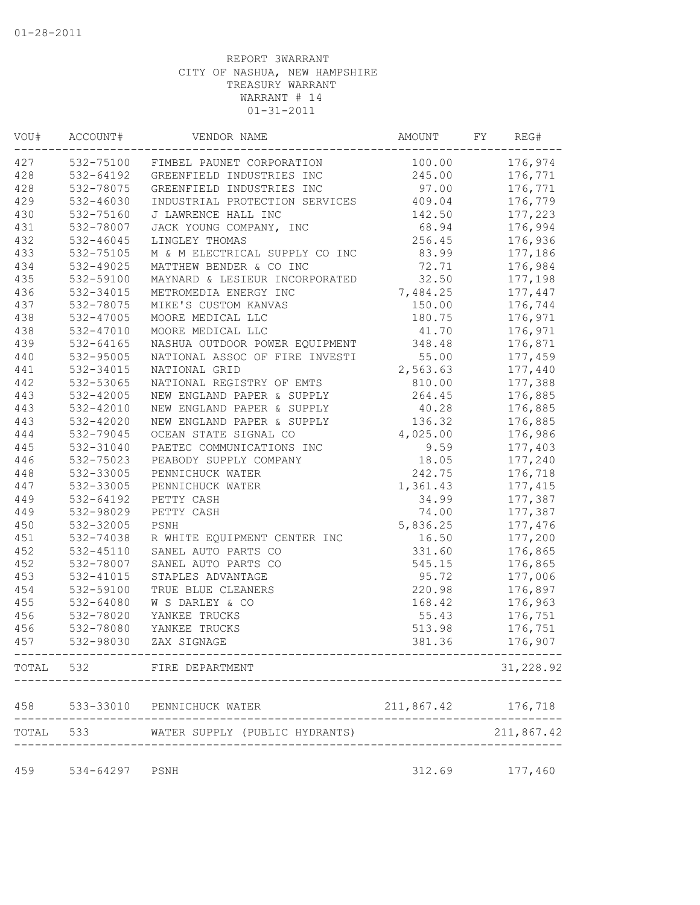| WOU# | ACCOUNT#  | VENDOR NAME                                      | AMOUNT             | FY | REG#       |
|------|-----------|--------------------------------------------------|--------------------|----|------------|
| 427  |           | 532-75100 FIMBEL PAUNET CORPORATION              | 100.00             |    | 176,974    |
| 428  | 532-64192 | GREENFIELD INDUSTRIES INC                        | 245.00             |    | 176,771    |
| 428  | 532-78075 | GREENFIELD INDUSTRIES INC                        | 97.00              |    | 176,771    |
| 429  | 532-46030 | INDUSTRIAL PROTECTION SERVICES 409.04            |                    |    | 176,779    |
| 430  | 532-75160 | J LAWRENCE HALL INC                              | 142.50             |    | 177,223    |
| 431  | 532-78007 | JACK YOUNG COMPANY, INC                          | 68.94              |    | 176,994    |
| 432  | 532-46045 | LINGLEY THOMAS                                   | 256.45             |    | 176,936    |
| 433  | 532-75105 | M & M ELECTRICAL SUPPLY CO INC                   | 83.99              |    | 177,186    |
| 434  | 532-49025 | MATTHEW BENDER & CO INC                          | 72.71              |    | 176,984    |
| 435  | 532-59100 | MAYNARD & LESIEUR INCORPORATED                   | 32.50              |    | 177,198    |
| 436  | 532-34015 | METROMEDIA ENERGY INC                            | 7,484.25           |    | 177,447    |
| 437  | 532-78075 | MIKE'S CUSTOM KANVAS                             | 150.00             |    | 176,744    |
| 438  | 532-47005 | MOORE MEDICAL LLC                                | 180.75             |    | 176,971    |
| 438  | 532-47010 | MOORE MEDICAL LLC                                | 41.70              |    | 176,971    |
| 439  | 532-64165 | NASHUA OUTDOOR POWER EQUIPMENT                   | 348.48             |    | 176,871    |
| 440  | 532-95005 | NATIONAL ASSOC OF FIRE INVESTI                   | 55.00              |    | 177,459    |
| 441  | 532-34015 | NATIONAL GRID                                    | 2,563.63           |    | 177,440    |
| 442  | 532-53065 | NATIONAL REGISTRY OF EMTS                        | 810.00             |    | 177,388    |
| 443  | 532-42005 | NEW ENGLAND PAPER & SUPPLY                       | 264.45             |    | 176,885    |
| 443  | 532-42010 | NEW ENGLAND PAPER & SUPPLY                       | 40.28              |    | 176,885    |
| 443  | 532-42020 | NEW ENGLAND PAPER & SUPPLY                       | 136.32             |    | 176,885    |
| 444  | 532-79045 | OCEAN STATE SIGNAL CO                            | 4,025.00           |    | 176,986    |
| 445  | 532-31040 | PAETEC COMMUNICATIONS INC                        | 9.59               |    | 177,403    |
| 446  | 532-75023 | PEABODY SUPPLY COMPANY                           | 18.05              |    | 177,240    |
| 448  | 532-33005 | PENNICHUCK WATER                                 | 242.75             |    | 176,718    |
| 447  | 532-33005 | PENNICHUCK WATER                                 | 1,361.43           |    | 177, 415   |
| 449  | 532-64192 | PETTY CASH                                       | 34.99              |    | 177,387    |
| 449  | 532-98029 | PETTY CASH                                       | 74.00              |    | 177,387    |
| 450  | 532-32005 | PSNH                                             | 5,836.25           |    | 177,476    |
| 451  | 532-74038 | R WHITE EQUIPMENT CENTER INC                     | 16.50              |    | 177,200    |
| 452  | 532-45110 | SANEL AUTO PARTS CO                              | 331.60             |    | 176,865    |
| 452  | 532-78007 | SANEL AUTO PARTS CO                              | 545.15             |    | 176,865    |
| 453  | 532-41015 | STAPLES ADVANTAGE                                | 95.72              |    | 177,006    |
| 454  | 532-59100 | TRUE BLUE CLEANERS                               | 220.98             |    | 176,897    |
| 455  | 532-64080 | W S DARLEY & CO                                  | 168.42             |    | 176,963    |
| 456  | 532-78020 | YANKEE TRUCKS                                    | 55.43              |    | 176,751    |
| 456  | 532-78080 | YANKEE TRUCKS                                    | 513.98             |    | 176,751    |
|      |           |                                                  |                    |    |            |
| 457  |           | 532-98030 ZAX SIGNAGE<br>----------------------- | 381.36             |    | 176,907    |
|      |           | TOTAL 532 FIRE DEPARTMENT                        |                    |    | 31,228.92  |
| 458  |           | 533-33010 PENNICHUCK WATER                       | 211,867.42 176,718 |    |            |
|      |           | TOTAL 533 WATER SUPPLY (PUBLIC HYDRANTS)         |                    |    | 211,867.42 |
| 459  | 534-64297 | PSNH                                             | 312.69             |    | 177,460    |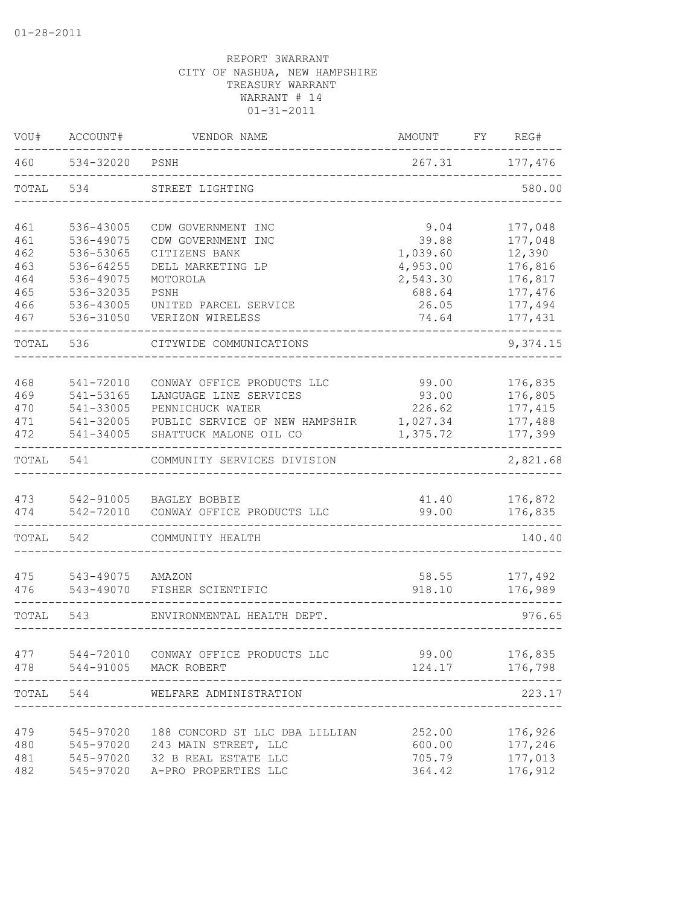| VOU#       | ACCOUNT#               | VENDOR NAME                                          | AMOUNT             | FY | REG#               |
|------------|------------------------|------------------------------------------------------|--------------------|----|--------------------|
| 460        | 534-32020              | PSNH                                                 | 267.31             |    | 177,476            |
| TOTAL      | 534                    | STREET LIGHTING                                      |                    |    | 580.00             |
| 461        | 536-43005              | CDW GOVERNMENT INC                                   | 9.04               |    | 177,048            |
| 461        | 536-49075              | CDW GOVERNMENT INC                                   | 39.88              |    | 177,048            |
| 462        | 536-53065              | CITIZENS BANK                                        | 1,039.60           |    | 12,390             |
| 463        | 536-64255              | DELL MARKETING LP                                    | 4,953.00           |    | 176,816            |
| 464<br>465 | 536-49075<br>536-32035 | MOTOROLA<br>PSNH                                     | 2,543.30<br>688.64 |    | 176,817<br>177,476 |
| 466        | 536-43005              | UNITED PARCEL SERVICE                                | 26.05              |    | 177,494            |
| 467        | 536-31050              | VERIZON WIRELESS                                     | 74.64              |    | 177,431            |
| TOTAL      | 536                    | CITYWIDE COMMUNICATIONS                              |                    |    | 9,374.15           |
|            |                        |                                                      |                    |    |                    |
| 468<br>469 | 541-72010<br>541-53165 | CONWAY OFFICE PRODUCTS LLC<br>LANGUAGE LINE SERVICES | 99.00<br>93.00     |    | 176,835<br>176,805 |
| 470        | 541-33005              | PENNICHUCK WATER                                     | 226.62             |    | 177, 415           |
| 471        | 541-32005              | PUBLIC SERVICE OF NEW HAMPSHIR                       | 1,027.34           |    | 177,488            |
| 472        | 541-34005              | SHATTUCK MALONE OIL CO                               | 1,375.72           |    | 177,399            |
| TOTAL      | 541                    | COMMUNITY SERVICES DIVISION                          |                    |    | 2,821.68           |
| 473        | 542-91005              | BAGLEY BOBBIE                                        | 41.40              |    | 176,872            |
| 474        | 542-72010              | CONWAY OFFICE PRODUCTS LLC                           | 99.00              |    | 176,835            |
| TOTAL      | 542                    | COMMUNITY HEALTH                                     |                    |    | 140.40             |
| 475        | 543-49075              | AMAZON                                               | 58.55              |    | 177,492            |
| 476        | 543-49070              | FISHER SCIENTIFIC                                    | 918.10             |    | 176,989            |
| TOTAL      | 543                    | ENVIRONMENTAL HEALTH DEPT.                           |                    |    | 976.65             |
|            |                        |                                                      |                    |    |                    |
| 477<br>478 | 544-72010<br>544-91005 | CONWAY OFFICE PRODUCTS LLC<br>MACK ROBERT            | 99.00<br>124.17    |    | 176,835<br>176,798 |
| TOTAL      | 544                    | WELFARE ADMINISTRATION                               |                    |    | 223.17             |
|            |                        |                                                      |                    |    |                    |
| 479        |                        | 545-97020 188 CONCORD ST LLC DBA LILLIAN             | 252.00             |    | 176,926            |
| 480        |                        | 545-97020 243 MAIN STREET, LLC                       | 600.00             |    | 177,246            |
| 481        |                        | 545-97020 32 B REAL ESTATE LLC                       | 705.79             |    | 177,013            |
| 482        |                        | 545-97020 A-PRO PROPERTIES LLC                       | 364.42             |    | 176,912            |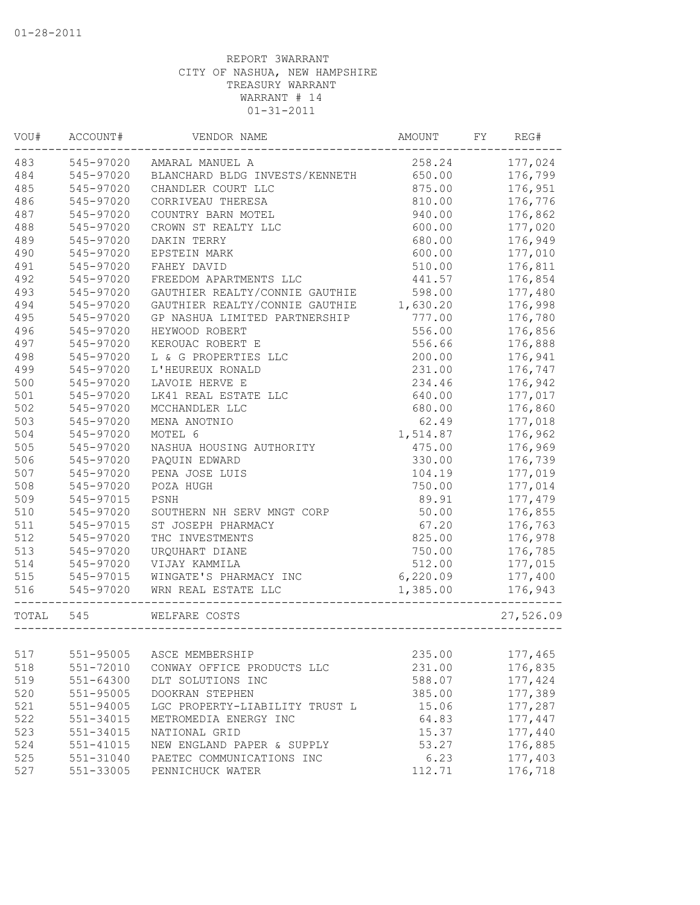| VOU#      | ACCOUNT#               | VENDOR NAME                                   | AMOUNT   | FY | REG#      |
|-----------|------------------------|-----------------------------------------------|----------|----|-----------|
| 483       | 545-97020              | AMARAL MANUEL A                               | 258.24   |    | 177,024   |
|           | 484 545-97020          | BLANCHARD BLDG INVESTS/KENNETH                | 650.00   |    | 176,799   |
| 485       | 545-97020              | CHANDLER COURT LLC                            | 875.00   |    | 176,951   |
| 486       | 545-97020              | CORRIVEAU THERESA                             | 810.00   |    | 176,776   |
| 487       | 545-97020              | COUNTRY BARN MOTEL                            | 940.00   |    | 176,862   |
| 488       | 545-97020              | CROWN ST REALTY LLC                           | 600.00   |    | 177,020   |
| 489       | 545-97020              | DAKIN TERRY                                   | 680.00   |    | 176,949   |
| 490       | 545-97020              | EPSTEIN MARK                                  | 600.00   |    | 177,010   |
| 491       | 545-97020              | FAHEY DAVID                                   | 510.00   |    | 176,811   |
| 492       | 545-97020              | FREEDOM APARTMENTS LLC                        | 441.57   |    | 176,854   |
| 493       | 545-97020              | GAUTHIER REALTY/CONNIE GAUTHIE                | 598.00   |    | 177,480   |
| 494       | 545-97020              | GAUTHIER REALTY/CONNIE GAUTHIE                | 1,630.20 |    | 176,998   |
| 495       | 545-97020              | GP NASHUA LIMITED PARTNERSHIP                 | 777.00   |    | 176,780   |
| 496       | 545-97020              | HEYWOOD ROBERT                                | 556.00   |    | 176,856   |
| 497       | 545-97020              | KEROUAC ROBERT E                              | 556.66   |    | 176,888   |
| 498       | 545-97020              | L & G PROPERTIES LLC                          | 200.00   |    | 176,941   |
| 499       | 545-97020              | L'HEUREUX RONALD                              | 231.00   |    | 176,747   |
| 500       | 545-97020              | LAVOIE HERVE E                                | 234.46   |    | 176,942   |
| 501       | 545-97020              | LK41 REAL ESTATE LLC                          | 640.00   |    | 177,017   |
| 502       | 545-97020              | MCCHANDLER LLC                                | 680.00   |    | 176,860   |
| 503       | 545-97020              | MENA ANOTNIO                                  | 62.49    |    | 177,018   |
| 504       | 545-97020              | MOTEL 6                                       | 1,514.87 |    | 176,962   |
| 505       | 545-97020              | NASHUA HOUSING AUTHORITY                      | 475.00   |    | 176,969   |
| 506       | 545-97020              | PAQUIN EDWARD                                 | 330.00   |    | 176,739   |
| 507       | 545-97020              | PENA JOSE LUIS                                | 104.19   |    | 177,019   |
| 508       | 545-97020              | POZA HUGH                                     | 750.00   |    | 177,014   |
| 509       | 545-97015              | PSNH                                          | 89.91    |    | 177,479   |
| 510       | 545-97020              | SOUTHERN NH SERV MNGT CORP                    | 50.00    |    | 176,855   |
| 511       | 545-97015              | ST JOSEPH PHARMACY                            | 67.20    |    | 176,763   |
| 512       | 545-97020              | THC INVESTMENTS                               | 825.00   |    | 176,978   |
| 513       | 545-97020              | URQUHART DIANE                                | 750.00   |    | 176,785   |
| 514       | 545-97020              | VIJAY KAMMILA                                 | 512.00   |    | 177,015   |
| 515       |                        | WINGATE'S PHARMACY INC                        | 6,220.09 |    | 177,400   |
| 516       | 545-97015<br>545-97020 | WRN REAL ESTATE LLC<br>________________       | 1,385.00 |    | 176,943   |
| TOTAL 545 |                        | WELFARE COSTS<br>____________________________ |          |    | 27,526.09 |
|           |                        |                                               |          |    |           |
| 517       | 551-95005              | ASCE MEMBERSHIP                               | 235.00   |    | 177,465   |
| 518       | 551-72010              | CONWAY OFFICE PRODUCTS LLC                    | 231.00   |    | 176,835   |
| 519       | $551 - 64300$          | DLT SOLUTIONS INC                             | 588.07   |    | 177,424   |
| 520       | 551-95005              | DOOKRAN STEPHEN                               | 385.00   |    | 177,389   |
| 521       | 551-94005              | LGC PROPERTY-LIABILITY TRUST L                | 15.06    |    | 177,287   |
| 522       | 551-34015              | METROMEDIA ENERGY INC                         | 64.83    |    | 177,447   |
| 523       | 551-34015              | NATIONAL GRID                                 | 15.37    |    | 177,440   |
| 524       | 551-41015              | NEW ENGLAND PAPER & SUPPLY                    | 53.27    |    | 176,885   |
| 525       | 551-31040              | PAETEC COMMUNICATIONS INC                     | 6.23     |    | 177,403   |
| 527       | 551-33005              | PENNICHUCK WATER                              | 112.71   |    | 176,718   |
|           |                        |                                               |          |    |           |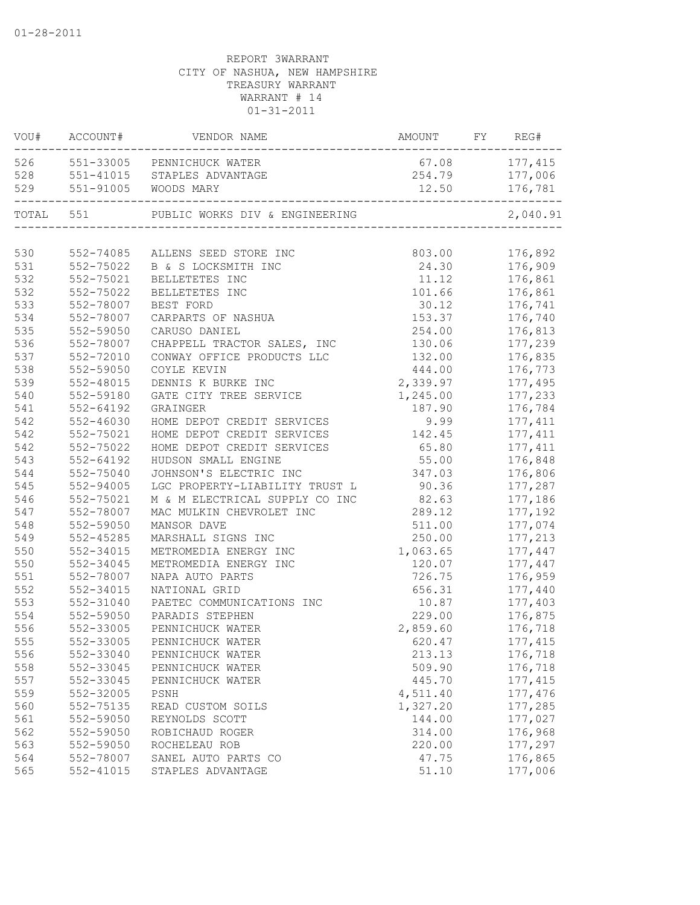|           | VOU# ACCOUNT# | VENDOR NAME                                                       | AMOUNT FY REG# |          |
|-----------|---------------|-------------------------------------------------------------------|----------------|----------|
|           |               | 526 551-33005 PENNICHUCK WATER                                    | 67.08          | 177, 415 |
|           |               | 528 551-41015 STAPLES ADVANTAGE                                   | 254.79         | 177,006  |
|           |               | 529 551-91005 WOODS MARY                                          | 12.50          | 176,781  |
| TOTAL 551 |               | PUBLIC WORKS DIV & ENGINEERING<br>------------------------------- |                | 2,040.91 |
|           |               |                                                                   |                |          |
| 530       | 552-74085     | ALLENS SEED STORE INC                                             | 803.00         | 176,892  |
| 531       | 552-75022     | B & S LOCKSMITH INC                                               | 24.30          | 176,909  |
| 532       | 552-75021     | BELLETETES INC                                                    | 11.12          | 176,861  |
| 532       | 552-75022     | BELLETETES INC                                                    | 101.66         | 176,861  |
| 533       | 552-78007     | BEST FORD                                                         | 30.12          | 176,741  |
| 534       | 552-78007     | CARPARTS OF NASHUA                                                | 153.37         | 176,740  |
| 535       | 552-59050     | CARUSO DANIEL                                                     | 254.00         | 176,813  |
| 536       | 552-78007     | CHAPPELL TRACTOR SALES, INC                                       | 130.06         | 177,239  |
| 537       | 552-72010     | CONWAY OFFICE PRODUCTS LLC                                        | 132.00         | 176,835  |
| 538       | 552-59050     | COYLE KEVIN                                                       | 444.00         | 176,773  |
| 539       | 552-48015     | DENNIS K BURKE INC                                                | 2,339.97       | 177,495  |
| 540       | 552-59180     | GATE CITY TREE SERVICE                                            | 1,245.00       | 177,233  |
| 541       | $552 - 64192$ | GRAINGER                                                          | 187.90         | 176,784  |
| 542       | 552-46030     | HOME DEPOT CREDIT SERVICES                                        | 9.99           | 177, 411 |
| 542       | 552-75021     | HOME DEPOT CREDIT SERVICES                                        | 142.45         | 177, 411 |
| 542       | 552-75022     | HOME DEPOT CREDIT SERVICES                                        | 65.80          | 177, 411 |
| 543       | 552-64192     | HUDSON SMALL ENGINE                                               | 55.00          | 176,848  |
| 544       | 552-75040     | JOHNSON'S ELECTRIC INC                                            | 347.03         | 176,806  |
| 545       | 552-94005     | LGC PROPERTY-LIABILITY TRUST L                                    | 90.36          | 177,287  |
| 546       | 552-75021     | M & M ELECTRICAL SUPPLY CO INC                                    | 82.63          | 177,186  |
| 547       | 552-78007     | MAC MULKIN CHEVROLET INC                                          | 289.12         | 177,192  |
| 548       | 552-59050     | MANSOR DAVE                                                       | 511.00         | 177,074  |
| 549       | 552-45285     | MARSHALL SIGNS INC                                                | 250.00         | 177,213  |
| 550       | 552-34015     | METROMEDIA ENERGY INC                                             | 1,063.65       | 177,447  |
| 550       | 552-34045     | METROMEDIA ENERGY INC                                             | 120.07         | 177,447  |
| 551       | 552-78007     | NAPA AUTO PARTS                                                   | 726.75         | 176,959  |
| 552       | 552-34015     | NATIONAL GRID                                                     | 656.31         | 177,440  |
| 553       | 552-31040     | PAETEC COMMUNICATIONS INC                                         | 10.87          | 177,403  |
| 554       | 552-59050     | PARADIS STEPHEN                                                   | 229.00         | 176,875  |
| 556       | 552-33005     | PENNICHUCK WATER                                                  | 2,859.60       | 176,718  |
| 555       | 552-33005     | PENNICHUCK WATER                                                  | 620.47         | 177, 415 |
| 556       | 552-33040     | PENNICHUCK WATER                                                  | 213.13         | 176,718  |
| 558       | 552-33045     | PENNICHUCK WATER                                                  | 509.90         | 176,718  |
| 557       | 552-33045     | PENNICHUCK WATER                                                  | 445.70         | 177, 415 |
| 559       | 552-32005     | PSNH                                                              | 4,511.40       | 177,476  |
| 560       | 552-75135     | READ CUSTOM SOILS                                                 | 1,327.20       | 177,285  |
| 561       | 552-59050     | REYNOLDS SCOTT                                                    | 144.00         | 177,027  |
| 562       | 552-59050     | ROBICHAUD ROGER                                                   | 314.00         | 176,968  |
| 563       | 552-59050     | ROCHELEAU ROB                                                     | 220.00         | 177,297  |
| 564       | 552-78007     | SANEL AUTO PARTS CO                                               | 47.75          | 176,865  |
| 565       | 552-41015     | STAPLES ADVANTAGE                                                 | 51.10          | 177,006  |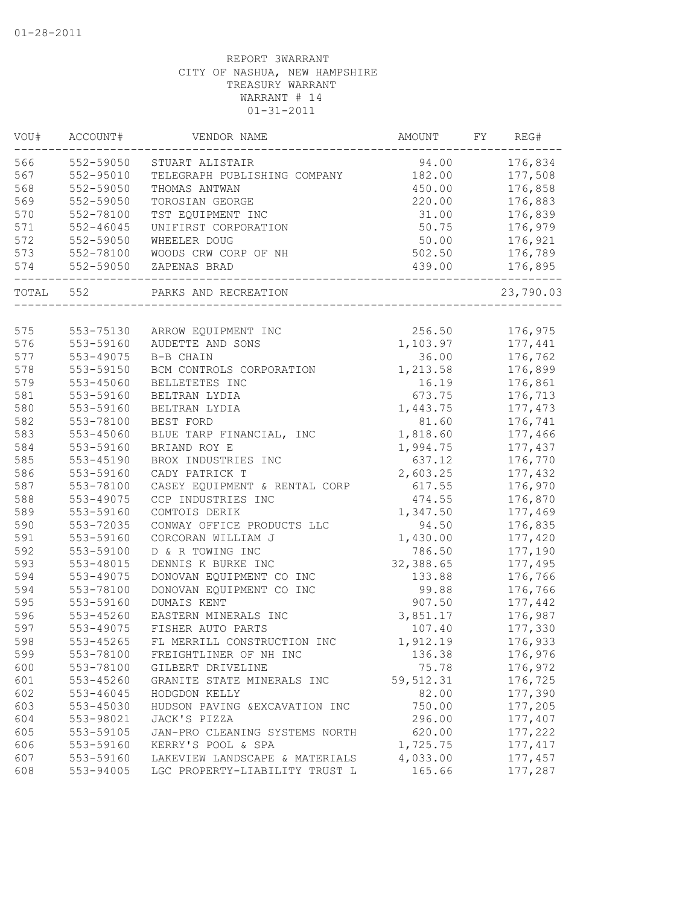| VOU#  | ACCOUNT#      | VENDOR NAME                    | AMOUNT     | FY. | REG#      |
|-------|---------------|--------------------------------|------------|-----|-----------|
| 566   | 552-59050     | STUART ALISTAIR                | 94.00      |     | 176,834   |
| 567   | 552-95010     | TELEGRAPH PUBLISHING COMPANY   | 182.00     |     | 177,508   |
| 568   | 552-59050     | THOMAS ANTWAN                  | 450.00     |     | 176,858   |
| 569   | 552-59050     | TOROSIAN GEORGE                | 220.00     |     | 176,883   |
| 570   | 552-78100     | TST EQUIPMENT INC              | 31.00      |     | 176,839   |
| 571   | $552 - 46045$ | UNIFIRST CORPORATION           | 50.75      |     | 176,979   |
| 572   | 552-59050     | WHEELER DOUG                   | 50.00      |     | 176,921   |
| 573   | 552-78100     | WOODS CRW CORP OF NH           | 502.50     |     | 176,789   |
| 574   | 552-59050     | ZAPENAS BRAD                   | 439.00     |     | 176,895   |
| TOTAL | 552           | PARKS AND RECREATION           |            |     | 23,790.03 |
|       |               |                                |            |     |           |
| 575   | 553-75130     | ARROW EQUIPMENT INC            | 256.50     |     | 176,975   |
| 576   | 553-59160     | AUDETTE AND SONS               | 1,103.97   |     | 177,441   |
| 577   | 553-49075     | B-B CHAIN                      | 36.00      |     | 176,762   |
| 578   | 553-59150     | BCM CONTROLS CORPORATION       | 1,213.58   |     | 176,899   |
| 579   | 553-45060     | BELLETETES INC                 | 16.19      |     | 176,861   |
| 581   | 553-59160     | BELTRAN LYDIA                  | 673.75     |     | 176,713   |
| 580   | 553-59160     | BELTRAN LYDIA                  | 1,443.75   |     | 177,473   |
| 582   | 553-78100     | BEST FORD                      | 81.60      |     | 176,741   |
| 583   | 553-45060     | BLUE TARP FINANCIAL, INC       | 1,818.60   |     | 177,466   |
| 584   | 553-59160     | BRIAND ROY E                   | 1,994.75   |     | 177,437   |
| 585   | 553-45190     | BROX INDUSTRIES INC            | 637.12     |     | 176,770   |
| 586   | 553-59160     | CADY PATRICK T                 | 2,603.25   |     | 177,432   |
| 587   | 553-78100     | CASEY EQUIPMENT & RENTAL CORP  | 617.55     |     | 176,970   |
| 588   | 553-49075     | CCP INDUSTRIES INC             | 474.55     |     | 176,870   |
| 589   | 553-59160     | COMTOIS DERIK                  | 1,347.50   |     | 177,469   |
| 590   | 553-72035     | CONWAY OFFICE PRODUCTS LLC     | 94.50      |     | 176,835   |
| 591   | 553-59160     | CORCORAN WILLIAM J             | 1,430.00   |     | 177,420   |
| 592   | 553-59100     | D & R TOWING INC               | 786.50     |     | 177,190   |
| 593   | 553-48015     | DENNIS K BURKE INC             | 32,388.65  |     | 177,495   |
| 594   | 553-49075     | DONOVAN EQUIPMENT CO INC       | 133.88     |     | 176,766   |
| 594   | 553-78100     | DONOVAN EQUIPMENT CO INC       | 99.88      |     | 176,766   |
| 595   | 553-59160     | DUMAIS KENT                    | 907.50     |     | 177,442   |
| 596   | 553-45260     | EASTERN MINERALS INC           | 3,851.17   |     | 176,987   |
| 597   | 553-49075     | FISHER AUTO PARTS              | 107.40     |     | 177,330   |
| 598   | 553-45265     | FL MERRILL CONSTRUCTION INC    | 1,912.19   |     | 176,933   |
| 599   | 553-78100     | FREIGHTLINER OF NH INC         | 136.38     |     | 176,976   |
| 600   | 553-78100     | GILBERT DRIVELINE              | 75.78      |     | 176,972   |
| 601   | 553-45260     | GRANITE STATE MINERALS INC     | 59, 512.31 |     | 176,725   |
| 602   | 553-46045     | HODGDON KELLY                  | 82.00      |     | 177,390   |
| 603   | 553-45030     | HUDSON PAVING & EXCAVATION INC | 750.00     |     | 177,205   |
| 604   | 553-98021     | JACK'S PIZZA                   | 296.00     |     | 177,407   |
| 605   | 553-59105     | JAN-PRO CLEANING SYSTEMS NORTH | 620.00     |     | 177,222   |
| 606   | 553-59160     | KERRY'S POOL & SPA             | 1,725.75   |     | 177, 417  |
| 607   | 553-59160     | LAKEVIEW LANDSCAPE & MATERIALS | 4,033.00   |     | 177,457   |
| 608   | 553-94005     | LGC PROPERTY-LIABILITY TRUST L | 165.66     |     | 177,287   |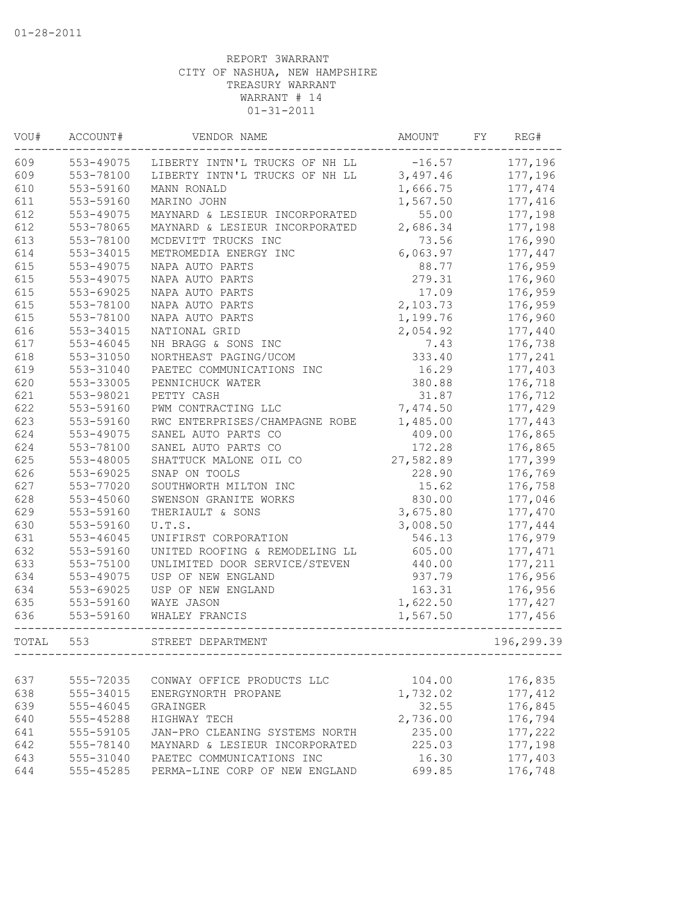| VOU#  | ACCOUNT#  | VENDOR NAME                    | AMOUNT    | FY | REG#       |
|-------|-----------|--------------------------------|-----------|----|------------|
| 609   | 553-49075 | LIBERTY INTN'L TRUCKS OF NH LL | $-16.57$  |    | 177,196    |
| 609   | 553-78100 | LIBERTY INTN'L TRUCKS OF NH LL | 3,497.46  |    | 177,196    |
| 610   | 553-59160 | MANN RONALD                    | 1,666.75  |    | 177, 474   |
| 611   | 553-59160 | MARINO JOHN                    | 1,567.50  |    | 177,416    |
| 612   | 553-49075 | MAYNARD & LESIEUR INCORPORATED | 55.00     |    | 177,198    |
| 612   | 553-78065 | MAYNARD & LESIEUR INCORPORATED | 2,686.34  |    | 177,198    |
| 613   | 553-78100 | MCDEVITT TRUCKS INC            | 73.56     |    | 176,990    |
| 614   | 553-34015 | METROMEDIA ENERGY INC          | 6,063.97  |    | 177,447    |
| 615   | 553-49075 | NAPA AUTO PARTS                | 88.77     |    | 176,959    |
| 615   | 553-49075 | NAPA AUTO PARTS                | 279.31    |    | 176,960    |
| 615   | 553-69025 | NAPA AUTO PARTS                | 17.09     |    | 176,959    |
| 615   | 553-78100 | NAPA AUTO PARTS                | 2,103.73  |    | 176,959    |
| 615   | 553-78100 | NAPA AUTO PARTS                | 1,199.76  |    | 176,960    |
| 616   | 553-34015 | NATIONAL GRID                  | 2,054.92  |    | 177,440    |
| 617   | 553-46045 | NH BRAGG & SONS INC            | 7.43      |    | 176,738    |
| 618   | 553-31050 | NORTHEAST PAGING/UCOM          | 333.40    |    | 177,241    |
| 619   | 553-31040 | PAETEC COMMUNICATIONS INC      | 16.29     |    | 177,403    |
| 620   | 553-33005 | PENNICHUCK WATER               | 380.88    |    | 176,718    |
| 621   | 553-98021 | PETTY CASH                     | 31.87     |    | 176,712    |
| 622   | 553-59160 | PWM CONTRACTING LLC            | 7,474.50  |    | 177,429    |
| 623   | 553-59160 | RWC ENTERPRISES/CHAMPAGNE ROBE | 1,485.00  |    | 177,443    |
| 624   | 553-49075 | SANEL AUTO PARTS CO            | 409.00    |    | 176,865    |
| 624   | 553-78100 | SANEL AUTO PARTS CO            | 172.28    |    | 176,865    |
| 625   | 553-48005 | SHATTUCK MALONE OIL CO         | 27,582.89 |    | 177,399    |
| 626   | 553-69025 | SNAP ON TOOLS                  | 228.90    |    | 176,769    |
| 627   | 553-77020 | SOUTHWORTH MILTON INC          | 15.62     |    | 176,758    |
| 628   | 553-45060 | SWENSON GRANITE WORKS          | 830.00    |    | 177,046    |
| 629   | 553-59160 | THERIAULT & SONS               | 3,675.80  |    | 177,470    |
| 630   | 553-59160 | U.T.S.                         | 3,008.50  |    | 177,444    |
| 631   | 553-46045 | UNIFIRST CORPORATION           | 546.13    |    | 176,979    |
| 632   | 553-59160 | UNITED ROOFING & REMODELING LL | 605.00    |    | 177, 471   |
| 633   | 553-75100 | UNLIMITED DOOR SERVICE/STEVEN  | 440.00    |    | 177,211    |
| 634   | 553-49075 | USP OF NEW ENGLAND             | 937.79    |    | 176,956    |
| 634   | 553-69025 | USP OF NEW ENGLAND             | 163.31    |    | 176,956    |
| 635   | 553-59160 | WAYE JASON                     | 1,622.50  |    | 177,427    |
| 636   | 553-59160 | WHALEY FRANCIS                 | 1,567.50  |    | 177,456    |
| TOTAL | 553       | STREET DEPARTMENT              |           |    | 196,299.39 |
|       |           |                                |           |    |            |
| 637   | 555-72035 | CONWAY OFFICE PRODUCTS LLC     | 104.00    |    | 176,835    |
| 638   | 555-34015 | ENERGYNORTH PROPANE            | 1,732.02  |    | 177,412    |
| 639   | 555-46045 | GRAINGER                       | 32.55     |    | 176,845    |
| 640   | 555-45288 | HIGHWAY TECH                   | 2,736.00  |    | 176,794    |
| 641   | 555-59105 | JAN-PRO CLEANING SYSTEMS NORTH | 235.00    |    | 177,222    |
| 642   | 555-78140 | MAYNARD & LESIEUR INCORPORATED | 225.03    |    | 177,198    |
| 643   | 555-31040 | PAETEC COMMUNICATIONS INC      | 16.30     |    | 177,403    |
| 644   | 555-45285 | PERMA-LINE CORP OF NEW ENGLAND | 699.85    |    | 176,748    |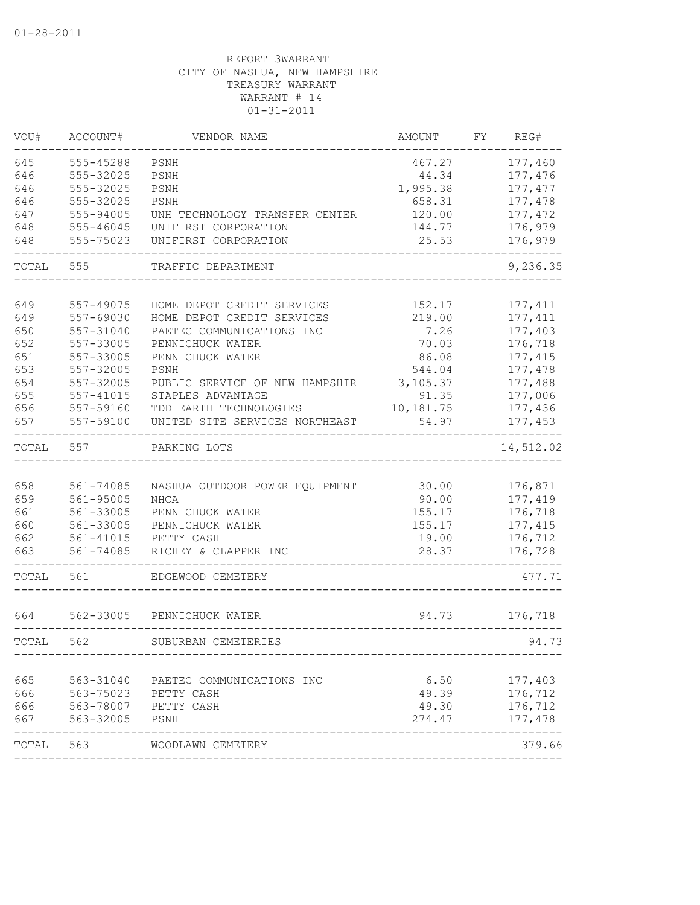| VOU#      | ACCOUNT#             | VENDOR NAME                    | AMOUNT    | FY | REG#      |
|-----------|----------------------|--------------------------------|-----------|----|-----------|
| 645       | 555-45288            | PSNH                           | 467.27    |    | 177,460   |
| 646       | 555-32025            | PSNH                           | 44.34     |    | 177,476   |
| 646       | 555-32025            | PSNH                           | 1,995.38  |    | 177, 477  |
| 646       | 555-32025            | PSNH                           | 658.31    |    | 177,478   |
| 647       | 555-94005            | UNH TECHNOLOGY TRANSFER CENTER | 120.00    |    | 177, 472  |
| 648       | 555-46045            | UNIFIRST CORPORATION           | 144.77    |    | 176,979   |
| 648       | 555-75023            | UNIFIRST CORPORATION           | 25.53     |    | 176,979   |
| TOTAL     | 555                  | TRAFFIC DEPARTMENT             |           |    | 9,236.35  |
|           |                      |                                |           |    |           |
| 649       | 557-49075            | HOME DEPOT CREDIT SERVICES     | 152.17    |    | 177, 411  |
| 649       | 557-69030            | HOME DEPOT CREDIT SERVICES     | 219.00    |    | 177, 411  |
| 650       | 557-31040            | PAETEC COMMUNICATIONS INC      | 7.26      |    | 177,403   |
| 652       | 557-33005            | PENNICHUCK WATER               | 70.03     |    | 176,718   |
| 651       | 557-33005            | PENNICHUCK WATER               | 86.08     |    | 177, 415  |
| 653       | 557-32005            | PSNH                           | 544.04    |    | 177,478   |
| 654       | 557-32005            | PUBLIC SERVICE OF NEW HAMPSHIR | 3,105.37  |    | 177,488   |
| 655       | 557-41015            | STAPLES ADVANTAGE              | 91.35     |    | 177,006   |
| 656       | 557-59160            | TDD EARTH TECHNOLOGIES         | 10,181.75 |    | 177,436   |
| 657       | 557-59100            | UNITED SITE SERVICES NORTHEAST | 54.97     |    | 177,453   |
| TOTAL     | 557                  | PARKING LOTS                   |           |    | 14,512.02 |
|           |                      |                                |           |    |           |
| 658       | 561-74085            | NASHUA OUTDOOR POWER EQUIPMENT | 30.00     |    | 176,871   |
| 659       | $561 - 95005$        | <b>NHCA</b>                    | 90.00     |    | 177,419   |
| 661       | 561-33005            | PENNICHUCK WATER               | 155.17    |    | 176,718   |
| 660       | 561-33005            | PENNICHUCK WATER               | 155.17    |    | 177, 415  |
| 662       | 561-41015            | PETTY CASH                     | 19.00     |    | 176,712   |
| 663       | 561-74085            | RICHEY & CLAPPER INC           | 28.37     |    | 176,728   |
| TOTAL     | 561                  | EDGEWOOD CEMETERY              |           |    | 477.71    |
| 664       | 562-33005            | PENNICHUCK WATER               | 94.73     |    | 176,718   |
|           | 562                  | SUBURBAN CEMETERIES            |           |    |           |
| TOTAL     |                      |                                |           |    | 94.73     |
| 665       | 563-31040            | PAETEC COMMUNICATIONS INC      | 6.50      |    | 177,403   |
| 666       | 563-75023 PETTY CASH |                                | 49.39     |    | 176,712   |
| 666       | 563-78007 PETTY CASH |                                | 49.30     |    | 176,712   |
| 667       | 563-32005            | PSNH                           | 274.47    |    | 177,478   |
| TOTAL 563 |                      | WOODLAWN CEMETERY              |           |    | 379.66    |
|           |                      |                                |           |    |           |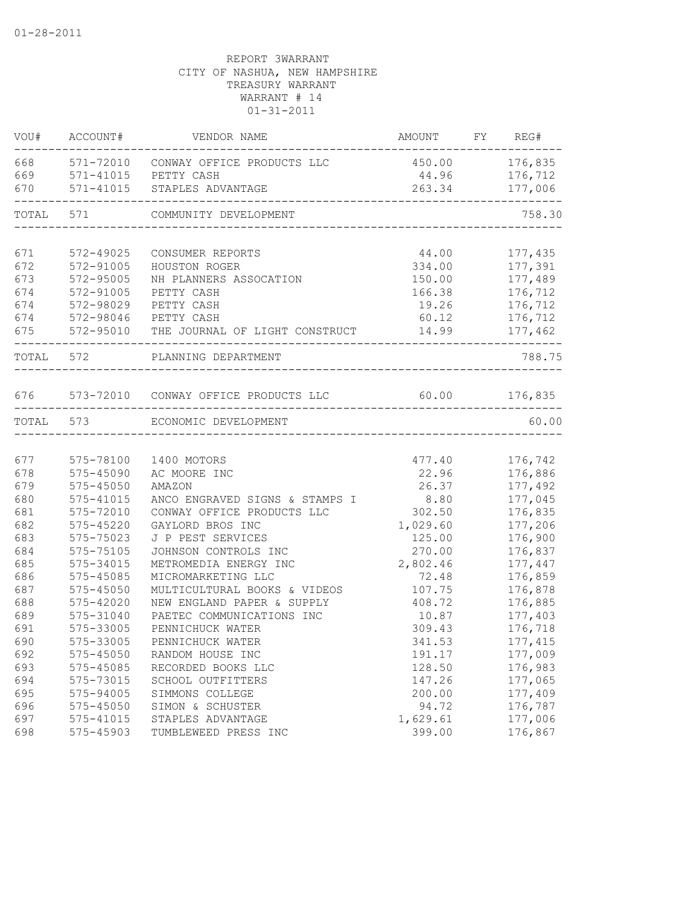| VOU#      | ACCOUNT#               | VENDOR NAME                                            | AMOUNT FY REG# |          |
|-----------|------------------------|--------------------------------------------------------|----------------|----------|
|           |                        | 668 571-72010 CONWAY OFFICE PRODUCTS LLC               | 450.00 176,835 |          |
| 669       |                        | 571-41015 PETTY CASH                                   | 44.96          | 176,712  |
| 670       | 571-41015              | STAPLES ADVANTAGE                                      | 263.34         | 177,006  |
| TOTAL     | 571                    | COMMUNITY DEVELOPMENT<br>----------------------------- |                | 758.30   |
| 671       |                        |                                                        | 44.00          | 177,435  |
| 672       | 572-49025<br>572-91005 | CONSUMER REPORTS<br>HOUSTON ROGER                      | 334.00         | 177,391  |
| 673       | 572-95005              | NH PLANNERS ASSOCATION                                 | 150.00         | 177,489  |
| 674       | 572-91005              | PETTY CASH                                             | 166.38         | 176,712  |
| 674       | 572-98029              | PETTY CASH                                             | 19.26          | 176,712  |
| 674       |                        | 572-98046 PETTY CASH                                   | 60.12          | 176,712  |
| 675       |                        | 572-95010 THE JOURNAL OF LIGHT CONSTRUCT               | 14.99          | 177,462  |
|           | TOTAL 572              | PLANNING DEPARTMENT                                    |                | 788.75   |
|           |                        |                                                        |                |          |
| 676       |                        | 573-72010 CONWAY OFFICE PRODUCTS LLC                   | 60.00          | 176,835  |
| TOTAL 573 |                        | ECONOMIC DEVELOPMENT                                   |                | 60.00    |
|           |                        |                                                        |                |          |
| 677       | 575-78100              | 1400 MOTORS                                            | 477.40         | 176,742  |
| 678       | 575-45090              | AC MOORE INC                                           | 22.96          | 176,886  |
| 679       | $575 - 45050$          | AMAZON                                                 | 26.37          | 177,492  |
| 680       | 575-41015              | ANCO ENGRAVED SIGNS & STAMPS I                         | 8.80           | 177,045  |
| 681       | 575-72010              | CONWAY OFFICE PRODUCTS LLC                             | 302.50         | 176,835  |
| 682       | 575-45220              | GAYLORD BROS INC                                       | 1,029.60       | 177,206  |
| 683       | 575-75023              | J P PEST SERVICES                                      | 125.00         | 176,900  |
| 684       | 575-75105              | JOHNSON CONTROLS INC                                   | 270.00         | 176,837  |
| 685       | 575-34015              | METROMEDIA ENERGY INC                                  | 2,802.46       | 177,447  |
| 686       | 575-45085              | MICROMARKETING LLC                                     | 72.48          | 176,859  |
| 687       | $575 - 45050$          | MULTICULTURAL BOOKS & VIDEOS                           | 107.75         | 176,878  |
| 688       | 575-42020              | NEW ENGLAND PAPER & SUPPLY                             | 408.72         | 176,885  |
| 689       | 575-31040              | PAETEC COMMUNICATIONS INC                              | 10.87          | 177,403  |
| 691       | 575-33005              | PENNICHUCK WATER                                       | 309.43         | 176,718  |
| 690       | 575-33005              | PENNICHUCK WATER                                       | 341.53         | 177, 415 |
| 692       | 575-45050              | RANDOM HOUSE INC                                       | 191.17         | 177,009  |
| 693       | 575-45085              | RECORDED BOOKS LLC                                     | 128.50         | 176,983  |
| 694       | 575-73015              | SCHOOL OUTFITTERS                                      | 147.26         | 177,065  |
| 695       | 575-94005              | SIMMONS COLLEGE                                        | 200.00         | 177,409  |
| 696       | $575 - 45050$          | SIMON & SCHUSTER                                       | 94.72          | 176,787  |
| 697       | 575-41015              | STAPLES ADVANTAGE                                      | 1,629.61       | 177,006  |
| 698       | 575-45903              | TUMBLEWEED PRESS INC                                   | 399.00         | 176,867  |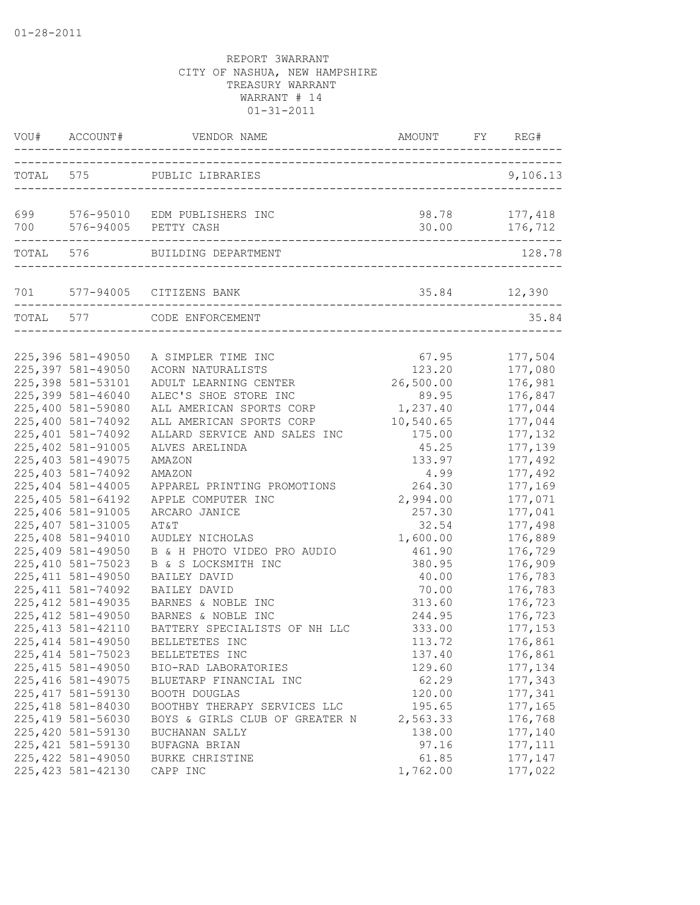|           | VOU# ACCOUNT#                                                  | VENDOR NAME                                                                          | AMOUNT                          | FY | REG#                          |
|-----------|----------------------------------------------------------------|--------------------------------------------------------------------------------------|---------------------------------|----|-------------------------------|
|           |                                                                | TOTAL 575 PUBLIC LIBRARIES                                                           |                                 |    | 9,106.13                      |
| 700       |                                                                | 699 576-95010 EDM PUBLISHERS INC<br>576-94005 PETTY CASH                             | 98.78<br>30.00                  |    | 177,418<br>176,712            |
|           |                                                                | TOTAL 576 BUILDING DEPARTMENT                                                        |                                 |    | 128.78                        |
|           |                                                                | 701 577-94005 CITIZENS BANK                                                          | $35.84$ $12,390$                |    |                               |
| TOTAL 577 |                                                                | CODE ENFORCEMENT                                                                     |                                 |    | 35.84                         |
|           | 225,396 581-49050<br>225,397 581-49050                         | A SIMPLER TIME INC<br>ACORN NATURALISTS                                              | 67.95<br>123.20                 |    | 177,504<br>177,080            |
|           | 225,398 581-53101<br>225,399 581-46040                         | ADULT LEARNING CENTER<br>ALEC'S SHOE STORE INC                                       | 26,500.00<br>89.95              |    | 176,981<br>176,847            |
|           | 225,400 581-59080<br>225,400 581-74092<br>225,401 581-74092    | ALL AMERICAN SPORTS CORP<br>ALL AMERICAN SPORTS CORP<br>ALLARD SERVICE AND SALES INC | 1,237.40<br>10,540.65<br>175.00 |    | 177,044<br>177,044<br>177,132 |
|           | 225,402 581-91005<br>225,403 581-49075                         | ALVES ARELINDA<br>AMAZON                                                             | 45.25<br>133.97                 |    | 177,139<br>177,492            |
|           | 225,403 581-74092<br>225,404 581-44005<br>225,405 581-64192    | AMAZON<br>APPAREL PRINTING PROMOTIONS<br>APPLE COMPUTER INC                          | 4.99<br>264.30<br>2,994.00      |    | 177,492<br>177,169<br>177,071 |
|           | 225,406 581-91005<br>225,407 581-31005                         | ARCARO JANICE<br>AT&T                                                                | 257.30<br>32.54                 |    | 177,041<br>177,498            |
|           | 225,408 581-94010<br>225,409 581-49050<br>225, 410 581-75023   | AUDLEY NICHOLAS<br>B & H PHOTO VIDEO PRO AUDIO<br>B & S LOCKSMITH INC                | 1,600.00<br>461.90<br>380.95    |    | 176,889<br>176,729<br>176,909 |
|           | 225, 411 581-49050<br>225, 411 581-74092                       | BAILEY DAVID<br>BAILEY DAVID                                                         | 40.00<br>70.00                  |    | 176,783<br>176,783            |
|           | 225, 412 581-49035<br>225, 412 581-49050<br>225, 413 581-42110 | BARNES & NOBLE INC<br>BARNES & NOBLE INC<br>BATTERY SPECIALISTS OF NH LLC            | 313.60<br>244.95<br>333.00      |    | 176,723<br>176,723<br>177,153 |
|           | 225, 414 581-49050<br>225, 414 581-75023                       | BELLETETES INC<br>BELLETETES INC                                                     | 113.72<br>137.40                |    | 176,861<br>176,861            |
|           | 225, 415 581-49050<br>225, 416 581-49075                       | BIO-RAD LABORATORIES<br>BLUETARP FINANCIAL INC                                       | 129.60<br>62.29                 |    | 177,134<br>177,343            |
|           | 225, 417 581-59130<br>225, 418 581-84030<br>225, 419 581-56030 | BOOTH DOUGLAS<br>BOOTHBY THERAPY SERVICES LLC<br>BOYS & GIRLS CLUB OF GREATER N      | 120.00<br>195.65<br>2,563.33    |    | 177,341<br>177,165<br>176,768 |
|           | 225,420 581-59130<br>225, 421 581-59130                        | BUCHANAN SALLY<br>BUFAGNA BRIAN                                                      | 138.00<br>97.16                 |    | 177,140<br>177, 111           |
|           | 225, 422 581-49050<br>225, 423 581-42130                       | BURKE CHRISTINE<br>CAPP INC                                                          | 61.85<br>1,762.00               |    | 177,147<br>177,022            |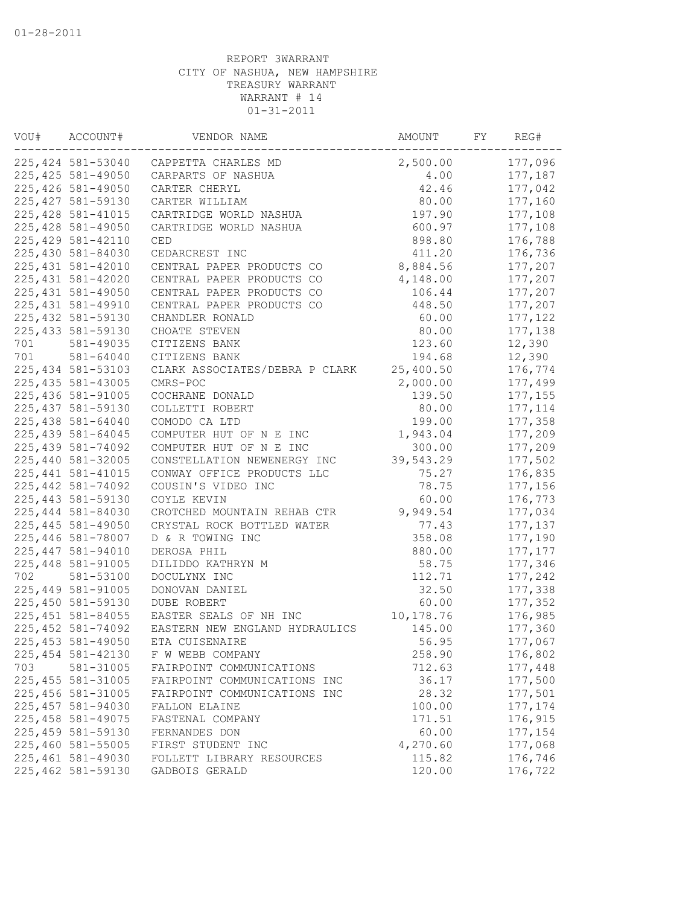| VOU# | ACCOUNT#           | VENDOR NAME                    | AMOUNT    | FY | REG#     |
|------|--------------------|--------------------------------|-----------|----|----------|
|      | 225,424 581-53040  | CAPPETTA CHARLES MD            | 2,500.00  |    | 177,096  |
|      | 225, 425 581-49050 | CARPARTS OF NASHUA             | 4.00      |    | 177,187  |
|      | 225,426 581-49050  | CARTER CHERYL                  | 42.46     |    | 177,042  |
|      | 225, 427 581-59130 | CARTER WILLIAM                 | 80.00     |    | 177,160  |
|      | 225, 428 581-41015 | CARTRIDGE WORLD NASHUA         | 197.90    |    | 177,108  |
|      | 225, 428 581-49050 | CARTRIDGE WORLD NASHUA         | 600.97    |    | 177,108  |
|      | 225, 429 581-42110 | CED                            | 898.80    |    | 176,788  |
|      | 225,430 581-84030  | CEDARCREST INC                 | 411.20    |    | 176,736  |
|      | 225, 431 581-42010 | CENTRAL PAPER PRODUCTS CO      | 8,884.56  |    | 177,207  |
|      | 225, 431 581-42020 | CENTRAL PAPER PRODUCTS CO      | 4,148.00  |    | 177,207  |
|      | 225, 431 581-49050 | CENTRAL PAPER PRODUCTS CO      | 106.44    |    | 177,207  |
|      | 225, 431 581-49910 | CENTRAL PAPER PRODUCTS CO      | 448.50    |    | 177,207  |
|      | 225, 432 581-59130 | CHANDLER RONALD                | 60.00     |    | 177, 122 |
|      | 225, 433 581-59130 | CHOATE STEVEN                  | 80.00     |    | 177,138  |
| 701  | 581-49035          | CITIZENS BANK                  | 123.60    |    | 12,390   |
| 701  | 581-64040          | CITIZENS BANK                  | 194.68    |    | 12,390   |
|      | 225, 434 581-53103 | CLARK ASSOCIATES/DEBRA P CLARK | 25,400.50 |    | 176,774  |
|      | 225, 435 581-43005 | CMRS-POC                       | 2,000.00  |    | 177,499  |
|      | 225, 436 581-91005 | COCHRANE DONALD                | 139.50    |    | 177, 155 |
|      | 225, 437 581-59130 | COLLETTI ROBERT                | 80.00     |    | 177, 114 |
|      | 225,438 581-64040  | COMODO CA LTD                  | 199.00    |    | 177,358  |
|      | 225, 439 581-64045 | COMPUTER HUT OF N E INC        | 1,943.04  |    | 177,209  |
|      | 225, 439 581-74092 | COMPUTER HUT OF N E INC        | 300.00    |    | 177,209  |
|      | 225,440 581-32005  | CONSTELLATION NEWENERGY INC    | 39,543.29 |    | 177,502  |
|      | 225, 441 581-41015 | CONWAY OFFICE PRODUCTS LLC     | 75.27     |    | 176,835  |
|      | 225, 442 581-74092 | COUSIN'S VIDEO INC             | 78.75     |    | 177,156  |
|      | 225, 443 581-59130 | COYLE KEVIN                    | 60.00     |    | 176,773  |
|      | 225,444 581-84030  | CROTCHED MOUNTAIN REHAB CTR    | 9,949.54  |    | 177,034  |
|      | 225, 445 581-49050 | CRYSTAL ROCK BOTTLED WATER     | 77.43     |    | 177,137  |
|      | 225,446 581-78007  | D & R TOWING INC               | 358.08    |    | 177,190  |
|      | 225, 447 581-94010 | DEROSA PHIL                    | 880.00    |    | 177, 177 |
|      | 225, 448 581-91005 | DILIDDO KATHRYN M              | 58.75     |    | 177,346  |
| 702  | 581-53100          | DOCULYNX INC                   | 112.71    |    | 177,242  |
|      | 225,449 581-91005  | DONOVAN DANIEL                 | 32.50     |    | 177,338  |
|      | 225,450 581-59130  | <b>DUBE ROBERT</b>             | 60.00     |    | 177,352  |
|      | 225, 451 581-84055 | EASTER SEALS OF NH INC         | 10,178.76 |    | 176,985  |
|      | 225, 452 581-74092 | EASTERN NEW ENGLAND HYDRAULICS | 145.00    |    | 177,360  |
|      | 225, 453 581-49050 | ETA CUISENAIRE                 | 56.95     |    | 177,067  |
|      | 225, 454 581-42130 | F W WEBB COMPANY               | 258.90    |    | 176,802  |
| 703  | 581-31005          | FAIRPOINT COMMUNICATIONS       | 712.63    |    | 177,448  |
|      | 225, 455 581-31005 | FAIRPOINT COMMUNICATIONS INC   | 36.17     |    | 177,500  |
|      | 225,456 581-31005  | FAIRPOINT COMMUNICATIONS INC   | 28.32     |    | 177,501  |
|      | 225,457 581-94030  | FALLON ELAINE                  | 100.00    |    | 177, 174 |
|      | 225, 458 581-49075 | FASTENAL COMPANY               | 171.51    |    | 176,915  |
|      | 225, 459 581-59130 | FERNANDES DON                  | 60.00     |    | 177,154  |
|      | 225,460 581-55005  | FIRST STUDENT INC              | 4,270.60  |    | 177,068  |
|      | 225,461 581-49030  | FOLLETT LIBRARY RESOURCES      | 115.82    |    | 176,746  |
|      | 225,462 581-59130  | GADBOIS GERALD                 | 120.00    |    | 176,722  |
|      |                    |                                |           |    |          |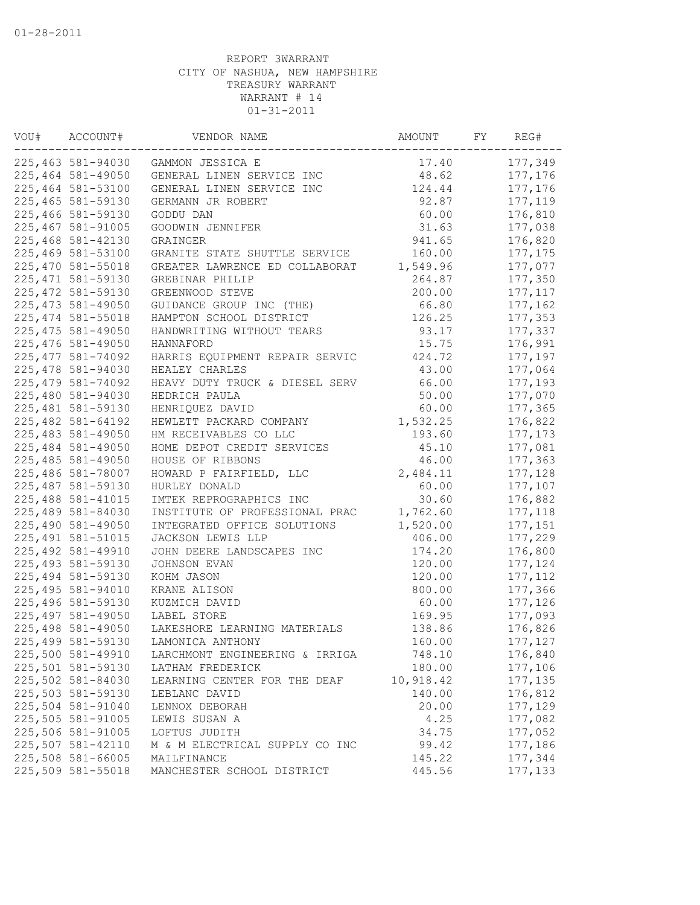| VOU# | ACCOUNT#                               | VENDOR NAME                                        | AMOUNT           | FY | REG#                |
|------|----------------------------------------|----------------------------------------------------|------------------|----|---------------------|
|      | 225,463 581-94030                      | GAMMON JESSICA E                                   | 17.40            |    | 177,349             |
|      | 225,464 581-49050                      | GENERAL LINEN SERVICE INC                          | 48.62            |    | 177,176             |
|      | 225,464 581-53100                      | GENERAL LINEN SERVICE INC                          | 124.44           |    | 177,176             |
|      | 225,465 581-59130                      | GERMANN JR ROBERT                                  | 92.87            |    | 177,119             |
|      | 225,466 581-59130                      | GODDU DAN                                          | 60.00            |    | 176,810             |
|      | 225,467 581-91005                      | GOODWIN JENNIFER                                   | 31.63            |    | 177,038             |
|      | 225,468 581-42130                      | GRAINGER                                           | 941.65           |    | 176,820             |
|      | 225,469 581-53100                      | GRANITE STATE SHUTTLE SERVICE                      | 160.00           |    | 177, 175            |
|      | 225,470 581-55018                      | GREATER LAWRENCE ED COLLABORAT                     | 1,549.96         |    | 177,077             |
|      | 225, 471 581-59130                     | GREBINAR PHILIP                                    | 264.87           |    | 177,350             |
|      | 225, 472 581-59130                     | GREENWOOD STEVE                                    | 200.00           |    | 177, 117            |
|      | 225, 473 581-49050                     | GUIDANCE GROUP INC (THE)                           | 66.80            |    | 177,162             |
|      | 225, 474 581-55018                     | HAMPTON SCHOOL DISTRICT                            | 126.25           |    | 177,353             |
|      | 225, 475 581-49050                     | HANDWRITING WITHOUT TEARS                          | 93.17            |    | 177,337             |
|      | 225,476 581-49050                      | HANNAFORD                                          | 15.75            |    | 176,991             |
|      | 225, 477 581-74092                     | HARRIS EQUIPMENT REPAIR SERVIC                     | 424.72           |    | 177,197             |
|      | 225,478 581-94030                      | HEALEY CHARLES                                     | 43.00            |    | 177,064             |
|      | 225, 479 581-74092                     | HEAVY DUTY TRUCK & DIESEL SERV                     | 66.00            |    | 177,193             |
|      | 225,480 581-94030                      | HEDRICH PAULA                                      | 50.00            |    | 177,070             |
|      | 225, 481 581-59130                     | HENRIQUEZ DAVID                                    | 60.00            |    | 177,365             |
|      | 225, 482 581-64192                     | HEWLETT PACKARD COMPANY                            | 1,532.25         |    | 176,822             |
|      | 225, 483 581-49050                     | HM RECEIVABLES CO LLC                              | 193.60           |    | 177, 173            |
|      | 225,484 581-49050                      | HOME DEPOT CREDIT SERVICES                         | 45.10            |    | 177,081             |
|      | 225,485 581-49050                      | HOUSE OF RIBBONS                                   | 46.00            |    | 177,363             |
|      | 225,486 581-78007                      | HOWARD P FAIRFIELD, LLC                            | 2,484.11         |    | 177,128             |
|      | 225,487 581-59130                      | HURLEY DONALD                                      | 60.00            |    | 177,107             |
|      | 225,488 581-41015                      | IMTEK REPROGRAPHICS INC                            | 30.60            |    | 176,882             |
|      | 225,489 581-84030                      | INSTITUTE OF PROFESSIONAL PRAC                     | 1,762.60         |    | 177,118             |
|      | 225,490 581-49050                      | INTEGRATED OFFICE SOLUTIONS                        | 1,520.00         |    | 177,151             |
|      | 225, 491 581-51015                     | JACKSON LEWIS LLP                                  | 406.00           |    | 177,229             |
|      | 225, 492 581-49910                     | JOHN DEERE LANDSCAPES INC                          | 174.20           |    | 176,800             |
|      | 225, 493 581-59130                     | JOHNSON EVAN                                       | 120.00           |    | 177,124             |
|      | 225, 494 581-59130                     | KOHM JASON                                         | 120.00           |    | 177, 112            |
|      | 225, 495 581-94010                     | KRANE ALISON                                       | 800.00           |    | 177,366             |
|      | 225,496 581-59130                      | KUZMICH DAVID                                      | 60.00            |    | 177,126             |
|      | 225, 497 581-49050                     | LABEL STORE                                        | 169.95           |    | 177,093             |
|      | 225,498 581-49050                      | LAKESHORE LEARNING MATERIALS                       | 138.86           |    | 176,826             |
|      | 225,499 581-59130                      | LAMONICA ANTHONY                                   | 160.00           |    | 177,127             |
|      |                                        |                                                    |                  |    |                     |
|      | 225,500 581-49910<br>225,501 581-59130 | LARCHMONT ENGINEERING & IRRIGA<br>LATHAM FREDERICK | 748.10<br>180.00 |    | 176,840<br>177,106  |
|      | 225,502 581-84030                      | LEARNING CENTER FOR THE DEAF                       | 10,918.42        |    |                     |
|      | 225,503 581-59130                      | LEBLANC DAVID                                      | 140.00           |    | 177, 135<br>176,812 |
|      | 225,504 581-91040                      |                                                    | 20.00            |    | 177,129             |
|      |                                        | LENNOX DEBORAH                                     |                  |    |                     |
|      | 225,505 581-91005<br>225,506 581-91005 | LEWIS SUSAN A<br>LOFTUS JUDITH                     | 4.25             |    | 177,082             |
|      |                                        |                                                    | 34.75            |    | 177,052             |
|      | 225,507 581-42110                      | M & M ELECTRICAL SUPPLY CO INC                     | 99.42            |    | 177,186<br>177,344  |
|      | 225,508 581-66005                      | MAILFINANCE                                        | 145.22           |    |                     |
|      | 225,509 581-55018                      | MANCHESTER SCHOOL DISTRICT                         | 445.56           |    | 177,133             |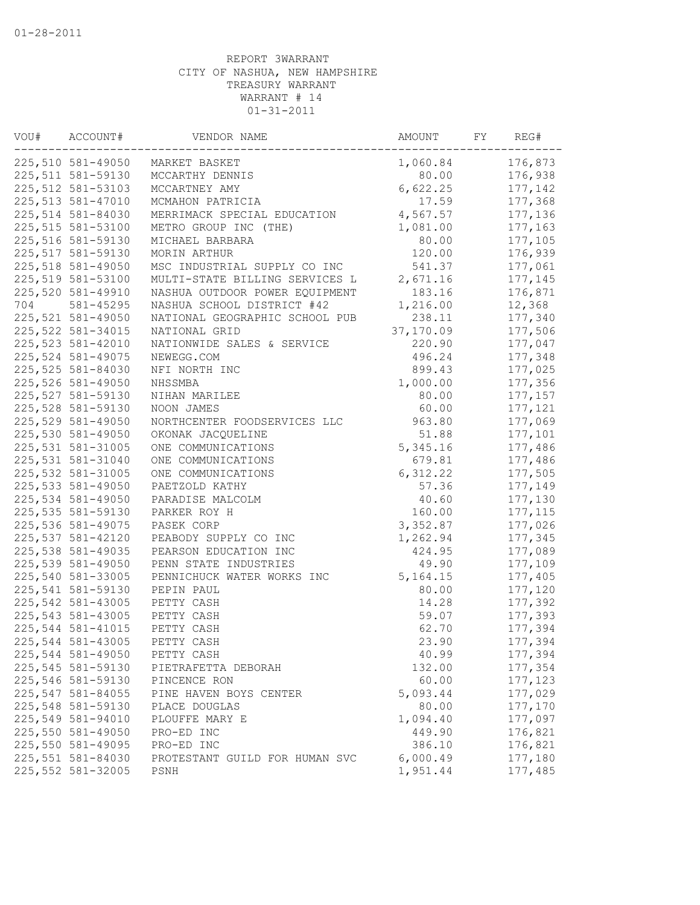| VOU# | ACCOUNT#           | VENDOR NAME                    | AMOUNT     | FY | REG#     |
|------|--------------------|--------------------------------|------------|----|----------|
|      | 225,510 581-49050  | MARKET BASKET                  | 1,060.84   |    | 176,873  |
|      | 225,511 581-59130  | MCCARTHY DENNIS                | 80.00      |    | 176,938  |
|      | 225, 512 581-53103 | MCCARTNEY AMY                  | 6,622.25   |    | 177,142  |
|      | 225, 513 581-47010 | MCMAHON PATRICIA               | 17.59      |    | 177,368  |
|      | 225,514 581-84030  | MERRIMACK SPECIAL EDUCATION    | 4,567.57   |    | 177,136  |
|      | 225,515 581-53100  | METRO GROUP INC (THE)          | 1,081.00   |    | 177,163  |
|      | 225,516 581-59130  | MICHAEL BARBARA                | 80.00      |    | 177,105  |
|      | 225,517 581-59130  | MORIN ARTHUR                   | 120.00     |    | 176,939  |
|      | 225,518 581-49050  | MSC INDUSTRIAL SUPPLY CO INC   | 541.37     |    | 177,061  |
|      | 225,519 581-53100  | MULTI-STATE BILLING SERVICES L | 2,671.16   |    | 177,145  |
|      | 225,520 581-49910  | NASHUA OUTDOOR POWER EQUIPMENT | 183.16     |    | 176,871  |
| 704  | 581-45295          | NASHUA SCHOOL DISTRICT #42     | 1,216.00   |    | 12,368   |
|      | 225,521 581-49050  | NATIONAL GEOGRAPHIC SCHOOL PUB | 238.11     |    | 177,340  |
|      | 225, 522 581-34015 | NATIONAL GRID                  | 37,170.09  |    | 177,506  |
|      | 225, 523 581-42010 | NATIONWIDE SALES & SERVICE     | 220.90     |    | 177,047  |
|      | 225, 524 581-49075 | NEWEGG.COM                     | 496.24     |    | 177,348  |
|      | 225, 525 581-84030 | NFI NORTH INC                  | 899.43     |    | 177,025  |
|      | 225,526 581-49050  | NHSSMBA                        | 1,000.00   |    | 177,356  |
|      | 225,527 581-59130  | NIHAN MARILEE                  | 80.00      |    | 177, 157 |
|      | 225,528 581-59130  | NOON JAMES                     | 60.00      |    | 177,121  |
|      | 225,529 581-49050  | NORTHCENTER FOODSERVICES LLC   | 963.80     |    | 177,069  |
|      | 225,530 581-49050  | OKONAK JACQUELINE              | 51.88      |    | 177,101  |
|      | 225,531 581-31005  | ONE COMMUNICATIONS             | 5,345.16   |    | 177,486  |
|      | 225,531 581-31040  | ONE COMMUNICATIONS             | 679.81     |    | 177,486  |
|      | 225, 532 581-31005 | ONE COMMUNICATIONS             | 6,312.22   |    | 177,505  |
|      | 225, 533 581-49050 | PAETZOLD KATHY                 | 57.36      |    | 177,149  |
|      | 225,534 581-49050  | PARADISE MALCOLM               | 40.60      |    | 177,130  |
|      | 225,535 581-59130  | PARKER ROY H                   | 160.00     |    | 177, 115 |
|      | 225,536 581-49075  | PASEK CORP                     | 3,352.87   |    | 177,026  |
|      | 225,537 581-42120  | PEABODY SUPPLY CO INC          | 1,262.94   |    | 177,345  |
|      | 225, 538 581-49035 | PEARSON EDUCATION INC          | 424.95     |    | 177,089  |
|      | 225,539 581-49050  | PENN STATE INDUSTRIES          | 49.90      |    | 177,109  |
|      | 225,540 581-33005  | PENNICHUCK WATER WORKS INC     | 5, 164. 15 |    | 177,405  |
|      | 225,541 581-59130  | PEPIN PAUL                     | 80.00      |    | 177,120  |
|      | 225, 542 581-43005 | PETTY CASH                     | 14.28      |    | 177,392  |
|      | 225, 543 581-43005 | PETTY CASH                     | 59.07      |    | 177,393  |
|      | 225, 544 581-41015 | PETTY CASH                     | 62.70      |    | 177,394  |
|      | 225,544 581-43005  | PETTY CASH                     | 23.90      |    | 177,394  |
|      | 225,544 581-49050  | PETTY CASH                     | 40.99      |    | 177,394  |
|      | 225,545 581-59130  | PIETRAFETTA DEBORAH            | 132.00     |    | 177,354  |
|      | 225,546 581-59130  | PINCENCE RON                   | 60.00      |    | 177, 123 |
|      | 225, 547 581-84055 | PINE HAVEN BOYS CENTER         | 5,093.44   |    | 177,029  |
|      | 225,548 581-59130  | PLACE DOUGLAS                  | 80.00      |    | 177,170  |
|      | 225,549 581-94010  | PLOUFFE MARY E                 | 1,094.40   |    | 177,097  |
|      | 225,550 581-49050  | PRO-ED INC                     | 449.90     |    | 176,821  |
|      | 225,550 581-49095  | PRO-ED INC                     | 386.10     |    | 176,821  |
|      | 225,551 581-84030  | PROTESTANT GUILD FOR HUMAN SVC | 6,000.49   |    | 177,180  |
|      | 225,552 581-32005  | PSNH                           | 1,951.44   |    | 177,485  |
|      |                    |                                |            |    |          |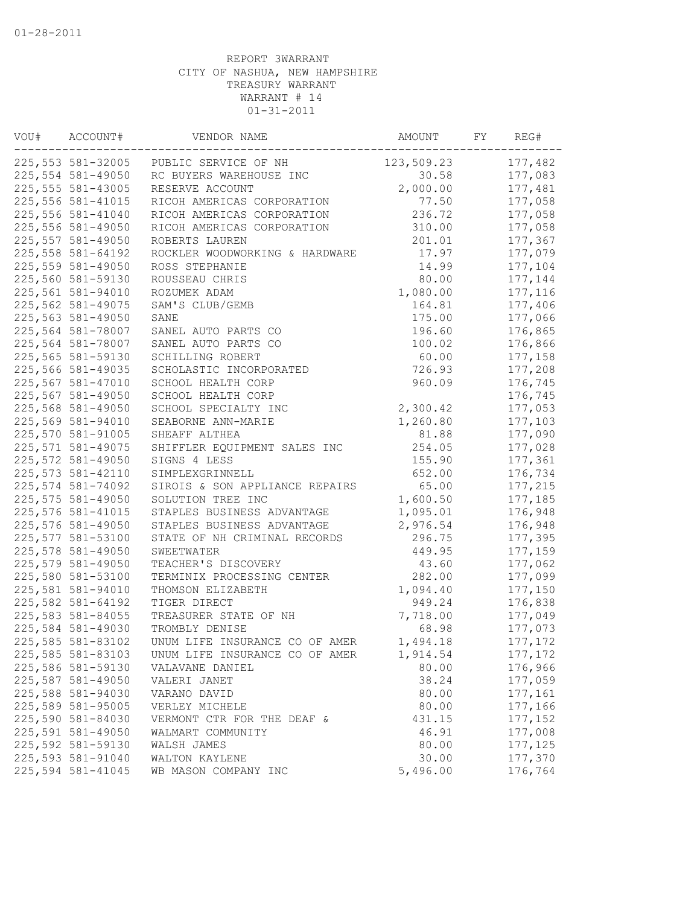| VOU# | ACCOUNT#                               | VENDOR NAME                    | AMOUNT     | FY | REG#                |
|------|----------------------------------------|--------------------------------|------------|----|---------------------|
|      | 225,553 581-32005                      | PUBLIC SERVICE OF NH           | 123,509.23 |    | 177,482             |
|      | 225,554 581-49050                      | RC BUYERS WAREHOUSE INC        | 30.58      |    | 177,083             |
|      | 225, 555 581-43005                     | RESERVE ACCOUNT                | 2,000.00   |    | 177,481             |
|      | 225, 556 581-41015                     | RICOH AMERICAS CORPORATION     | 77.50      |    | 177,058             |
|      | 225,556 581-41040                      | RICOH AMERICAS CORPORATION     | 236.72     |    | 177,058             |
|      | 225,556 581-49050                      | RICOH AMERICAS CORPORATION     | 310.00     |    | 177,058             |
|      | 225,557 581-49050                      | ROBERTS LAUREN                 | 201.01     |    | 177,367             |
|      | 225,558 581-64192                      | ROCKLER WOODWORKING & HARDWARE | 17.97      |    | 177,079             |
|      | 225,559 581-49050                      | ROSS STEPHANIE                 | 14.99      |    | 177,104             |
|      | 225,560 581-59130                      | ROUSSEAU CHRIS                 | 80.00      |    | 177,144             |
|      | 225,561 581-94010                      | ROZUMEK ADAM                   | 1,080.00   |    | 177,116             |
|      | 225,562 581-49075                      | SAM'S CLUB/GEMB                | 164.81     |    | 177,406             |
|      | 225,563 581-49050                      | SANE                           | 175.00     |    | 177,066             |
|      | 225,564 581-78007                      | SANEL AUTO PARTS CO            | 196.60     |    | 176,865             |
|      | 225,564 581-78007                      | SANEL AUTO PARTS CO            | 100.02     |    | 176,866             |
|      | 225,565 581-59130                      | SCHILLING ROBERT               | 60.00      |    | 177,158             |
|      | 225,566 581-49035                      | SCHOLASTIC INCORPORATED        | 726.93     |    | 177,208             |
|      | 225,567 581-47010                      | SCHOOL HEALTH CORP             | 960.09     |    | 176,745             |
|      | 225,567 581-49050                      | SCHOOL HEALTH CORP             |            |    | 176,745             |
|      | 225,568 581-49050                      | SCHOOL SPECIALTY INC           | 2,300.42   |    | 177,053             |
|      | 225,569 581-94010                      | SEABORNE ANN-MARIE             | 1,260.80   |    | 177,103             |
|      | 225,570 581-91005                      | SHEAFF ALTHEA                  | 81.88      |    | 177,090             |
|      | 225, 571 581-49075                     | SHIFFLER EQUIPMENT SALES INC   | 254.05     |    | 177,028             |
|      | 225,572 581-49050                      | SIGNS 4 LESS                   | 155.90     |    | 177,361             |
|      | 225, 573 581-42110                     | SIMPLEXGRINNELL                | 652.00     |    | 176,734             |
|      | 225,574 581-74092                      | SIROIS & SON APPLIANCE REPAIRS | 65.00      |    | 177,215             |
|      | 225,575 581-49050                      | SOLUTION TREE INC              | 1,600.50   |    | 177,185             |
|      | 225,576 581-41015                      | STAPLES BUSINESS ADVANTAGE     | 1,095.01   |    | 176,948             |
|      | 225,576 581-49050                      | STAPLES BUSINESS ADVANTAGE     | 2,976.54   |    | 176,948             |
|      | 225,577 581-53100                      | STATE OF NH CRIMINAL RECORDS   | 296.75     |    | 177,395             |
|      | 225,578 581-49050                      | SWEETWATER                     | 449.95     |    | 177,159             |
|      | 225,579 581-49050                      | TEACHER'S DISCOVERY            | 43.60      |    | 177,062             |
|      | 225,580 581-53100                      | TERMINIX PROCESSING CENTER     | 282.00     |    | 177,099             |
|      | 225,581 581-94010                      | THOMSON ELIZABETH              | 1,094.40   |    | 177,150             |
|      | 225,582 581-64192                      | TIGER DIRECT                   | 949.24     |    | 176,838             |
|      | 225,583 581-84055                      | TREASURER STATE OF NH          | 7,718.00   |    | 177,049             |
|      | 225,584 581-49030                      | TROMBLY DENISE                 | 68.98      |    | 177,073             |
|      | 225,585 581-83102                      | UNUM LIFE INSURANCE CO OF AMER | 1,494.18   |    | 177,172             |
|      | 225,585 581-83103                      | UNUM LIFE INSURANCE CO OF AMER | 1,914.54   |    | 177,172             |
|      | 225,586 581-59130                      | VALAVANE DANIEL                | 80.00      |    | 176,966             |
|      | 225,587 581-49050                      | VALERI JANET                   | 38.24      |    | 177,059             |
|      | 225,588 581-94030                      | VARANO DAVID                   | 80.00      |    | 177,161             |
|      | 225,589 581-95005                      | VERLEY MICHELE                 | 80.00      |    | 177,166             |
|      |                                        |                                |            |    |                     |
|      | 225,590 581-84030<br>225,591 581-49050 | VERMONT CTR FOR THE DEAF &     | 431.15     |    | 177,152             |
|      |                                        | WALMART COMMUNITY              | 46.91      |    | 177,008             |
|      | 225,592 581-59130                      | WALSH JAMES                    | 80.00      |    | 177, 125<br>177,370 |
|      | 225,593 581-91040                      | WALTON KAYLENE                 | 30.00      |    |                     |
|      | 225,594 581-41045                      | WB MASON COMPANY INC           | 5,496.00   |    | 176,764             |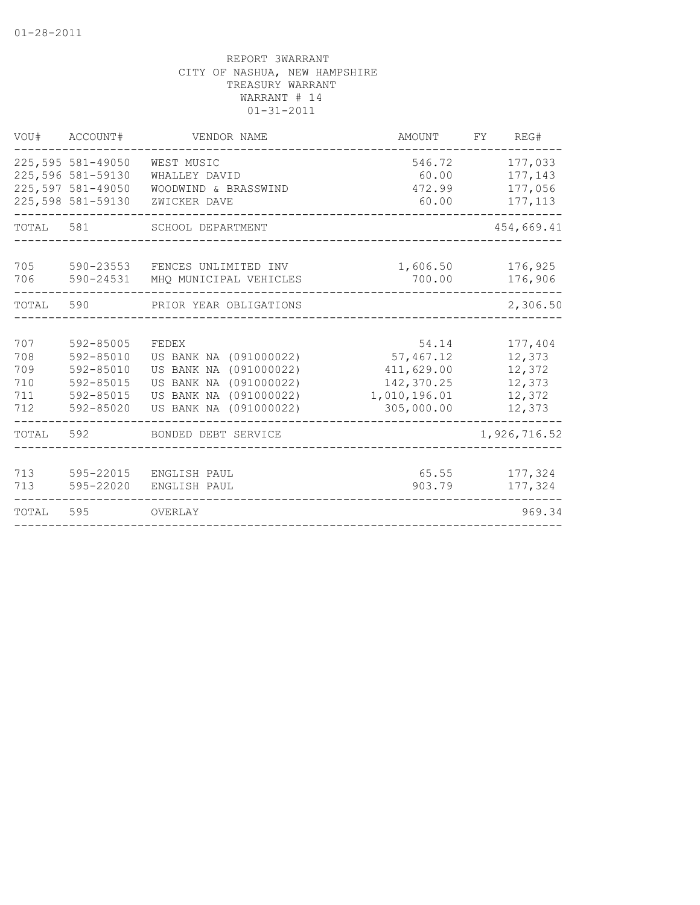| VOU#                                   | ACCOUNT#                                                                         | VENDOR NAME                                                                                                                                | AMOUNT                                                                       | FΥ<br>REG#                                                |
|----------------------------------------|----------------------------------------------------------------------------------|--------------------------------------------------------------------------------------------------------------------------------------------|------------------------------------------------------------------------------|-----------------------------------------------------------|
|                                        | 225,595 581-49050<br>225,596 581-59130<br>225,597 581-49050<br>225,598 581-59130 | WEST MUSIC<br>WHALLEY DAVID<br>WOODWIND & BRASSWIND<br>ZWICKER DAVE                                                                        | 546.72<br>60.00<br>472.99<br>60.00                                           | 177,033<br>177,143<br>177,056<br>177, 113                 |
| TOTAL                                  | 581                                                                              | SCHOOL DEPARTMENT                                                                                                                          |                                                                              | 454,669.41                                                |
| 705<br>706                             | 590-23553<br>590-24531                                                           | FENCES UNLIMITED INV<br>MHQ MUNICIPAL VEHICLES                                                                                             | 1,606.50<br>700.00                                                           | 176,925<br>176,906                                        |
| TOTAL                                  | 590                                                                              | PRIOR YEAR OBLIGATIONS                                                                                                                     |                                                                              | 2,306.50                                                  |
| 707<br>708<br>709<br>710<br>711<br>712 | 592-85005<br>592-85010<br>592-85010<br>592-85015<br>592-85015<br>592-85020       | FEDEX<br>US BANK NA (091000022)<br>US BANK NA (091000022)<br>(091000022)<br>US BANK NA<br>US BANK NA (091000022)<br>US BANK NA (091000022) | 54.14<br>57,467.12<br>411,629.00<br>142,370.25<br>1,010,196.01<br>305,000.00 | 177,404<br>12,373<br>12,372<br>12,373<br>12,372<br>12,373 |
| TOTAL                                  | 592                                                                              | BONDED DEBT SERVICE                                                                                                                        |                                                                              | 1,926,716.52                                              |
| 713<br>713                             | 595-22015<br>595-22020                                                           | ENGLISH PAUL<br>ENGLISH PAUL                                                                                                               | 65.55<br>903.79                                                              | 177,324<br>177,324                                        |
| TOTAL                                  | 595                                                                              | OVERLAY                                                                                                                                    |                                                                              | 969.34                                                    |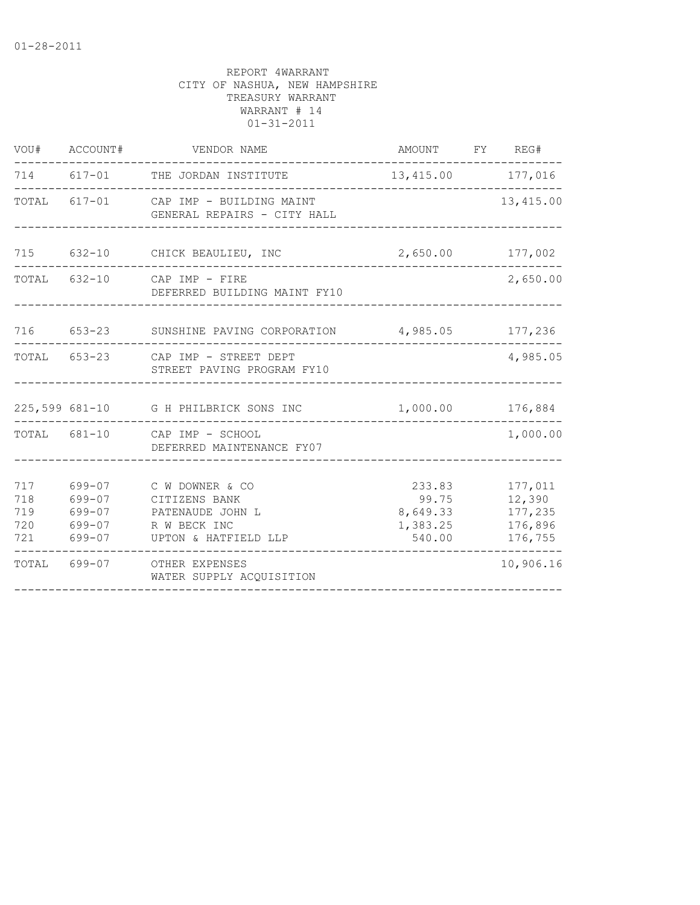|                          | VOU# ACCOUNT#                                      | VENDOR NAME                                                                                    | AMOUNT FY REG#                                    |                                                    |
|--------------------------|----------------------------------------------------|------------------------------------------------------------------------------------------------|---------------------------------------------------|----------------------------------------------------|
|                          |                                                    | 714 617-01 THE JORDAN INSTITUTE                                                                | 13,415.00 177,016                                 |                                                    |
|                          |                                                    | TOTAL 617-01 CAP IMP - BUILDING MAINT<br>GENERAL REPAIRS - CITY HALL<br>---------------------- |                                                   | 13,415.00                                          |
|                          |                                                    | 715 632-10 CHICK BEAULIEU, INC                                                                 | 2,650.00 177,002                                  |                                                    |
|                          |                                                    | TOTAL 632-10 CAP IMP - FIRE<br>DEFERRED BUILDING MAINT FY10                                    |                                                   | 2,650.00                                           |
|                          |                                                    | 716 653-23 SUNSHINE PAVING CORPORATION 4,985.05 177,236                                        |                                                   |                                                    |
|                          |                                                    | TOTAL 653-23 CAP IMP - STREET DEPT<br>STREET PAVING PROGRAM FY10                               |                                                   | 4,985.05                                           |
|                          |                                                    | 225,599 681-10 G H PHILBRICK SONS INC                                                          | 1,000.00 176,884                                  |                                                    |
|                          |                                                    | TOTAL 681-10 CAP IMP - SCHOOL<br>DEFERRED MAINTENANCE FY07                                     |                                                   | 1,000.00                                           |
| 717<br>718<br>719<br>720 | 699-07<br>699-07<br>699-07<br>699-07<br>721 699-07 | C W DOWNER & CO<br>CITIZENS BANK<br>PATENAUDE JOHN L<br>R W BECK INC<br>UPTON & HATFIELD LLP   | 233.83<br>99.75<br>8,649.33<br>1,383.25<br>540.00 | 177,011<br>12,390<br>177,235<br>176,896<br>176,755 |
| TOTAL                    |                                                    | 699-07 OTHER EXPENSES<br>WATER SUPPLY ACQUISITION                                              |                                                   | 10,906.16                                          |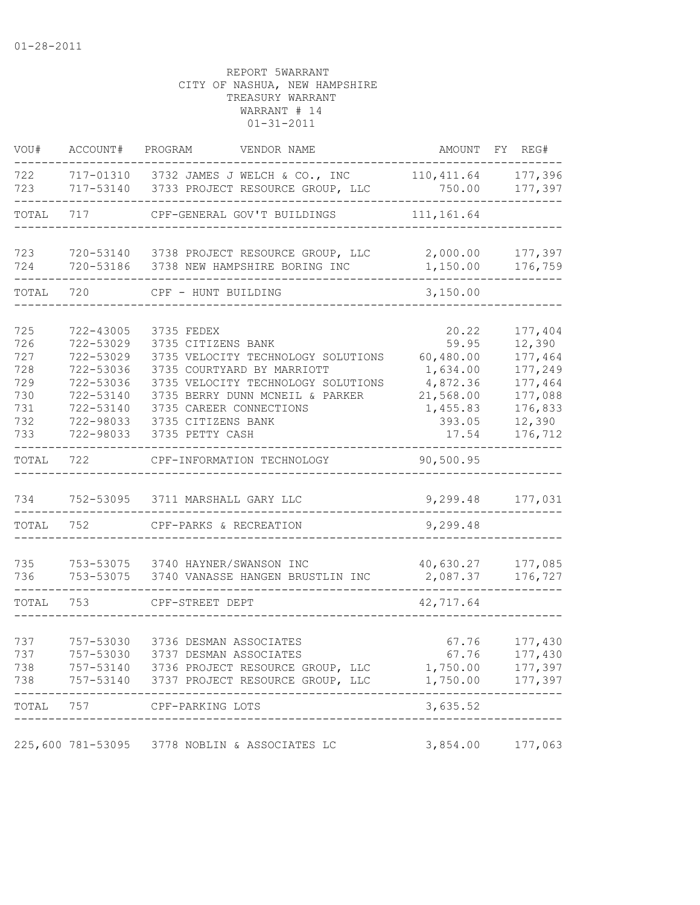| VOU#                                                        | ACCOUNT#                                                                                                          | PROGRAM<br>VENDOR NAME                                                                                                                                                                                                                            |                                                                                                 | AMOUNT FY REG#                                                                                |
|-------------------------------------------------------------|-------------------------------------------------------------------------------------------------------------------|---------------------------------------------------------------------------------------------------------------------------------------------------------------------------------------------------------------------------------------------------|-------------------------------------------------------------------------------------------------|-----------------------------------------------------------------------------------------------|
| 722<br>723                                                  |                                                                                                                   | 717-01310 3732 JAMES J WELCH & CO., INC<br>717-53140 3733 PROJECT RESOURCE GROUP, LLC                                                                                                                                                             | 110, 411.64<br>750.00                                                                           | 177,396<br>177,397                                                                            |
| TOTAL                                                       | 717                                                                                                               | CPF-GENERAL GOV'T BUILDINGS                                                                                                                                                                                                                       | 111, 161.64                                                                                     |                                                                                               |
| 723<br>724                                                  | 720-53186                                                                                                         | 720-53140 3738 PROJECT RESOURCE GROUP, LLC<br>3738 NEW HAMPSHIRE BORING INC                                                                                                                                                                       | 2,000.00<br>1,150.00                                                                            | 177,397<br>176,759                                                                            |
| TOTAL                                                       | 720                                                                                                               | CPF - HUNT BUILDING                                                                                                                                                                                                                               | 3,150.00                                                                                        |                                                                                               |
| 725<br>726<br>727<br>728<br>729<br>730<br>731<br>732<br>733 | 722-43005<br>722-53029<br>722-53029<br>722-53036<br>722-53036<br>722-53140<br>722-53140<br>722-98033<br>722-98033 | 3735 FEDEX<br>3735 CITIZENS BANK<br>3735 VELOCITY TECHNOLOGY SOLUTIONS<br>3735 COURTYARD BY MARRIOTT<br>3735 VELOCITY TECHNOLOGY SOLUTIONS<br>3735 BERRY DUNN MCNEIL & PARKER<br>3735 CAREER CONNECTIONS<br>3735 CITIZENS BANK<br>3735 PETTY CASH | 20.22<br>59.95<br>60,480.00<br>1,634.00<br>4,872.36<br>21,568.00<br>1,455.83<br>393.05<br>17.54 | 177,404<br>12,390<br>177,464<br>177,249<br>177,464<br>177,088<br>176,833<br>12,390<br>176,712 |
| TOTAL                                                       | 722                                                                                                               | CPF-INFORMATION TECHNOLOGY                                                                                                                                                                                                                        | 90,500.95                                                                                       |                                                                                               |
| 734<br>TOTAL                                                | 752-53095<br>752                                                                                                  | 3711 MARSHALL GARY LLC<br>CPF-PARKS & RECREATION                                                                                                                                                                                                  | 9,299.48                                                                                        | 9,299.48 177,031                                                                              |
| 735<br>736                                                  | 753-53075                                                                                                         | 753-53075 3740 HAYNER/SWANSON INC<br>3740 VANASSE HANGEN BRUSTLIN INC                                                                                                                                                                             | 40,630.27<br>2,087.37                                                                           | 177,085<br>176,727                                                                            |
| TOTAL                                                       | 753                                                                                                               | CPF-STREET DEPT                                                                                                                                                                                                                                   | 42,717.64                                                                                       |                                                                                               |
| 737<br>737<br>738<br>738                                    | 757-53030<br>757-53030                                                                                            | 3736 DESMAN ASSOCIATES<br>3737 DESMAN ASSOCIATES<br>757-53140 3736 PROJECT RESOURCE GROUP, LLC<br>757-53140 3737 PROJECT RESOURCE GROUP, LLC                                                                                                      | 67.76<br>67.76<br>1,750.00<br>1,750.00                                                          | 177,430<br>177,430<br>177,397<br>177,397                                                      |
|                                                             |                                                                                                                   | TOTAL 757 CPF-PARKING LOTS                                                                                                                                                                                                                        | 3,635.52                                                                                        |                                                                                               |
|                                                             |                                                                                                                   | 225,600 781-53095 3778 NOBLIN & ASSOCIATES LC                                                                                                                                                                                                     |                                                                                                 | 3,854.00 177,063                                                                              |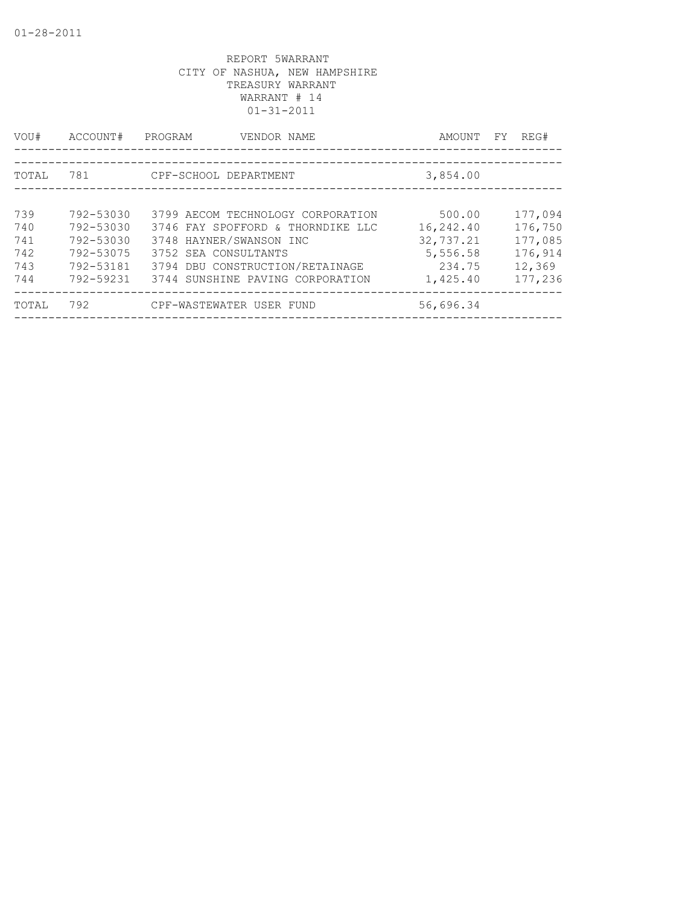| VOU#  | ACCOUNT#  | PROGRAM<br>VENDOR NAME            | AMOUNT    | FY | REG#    |
|-------|-----------|-----------------------------------|-----------|----|---------|
|       |           |                                   |           |    |         |
| TOTAL | 781       | CPF-SCHOOL DEPARTMENT             | 3,854.00  |    |         |
|       |           |                                   |           |    |         |
| 739   | 792-53030 | 3799 AECOM TECHNOLOGY CORPORATION | 500.00    |    | 177,094 |
| 740   | 792-53030 | 3746 FAY SPOFFORD & THORNDIKE LLC | 16,242.40 |    | 176,750 |
| 741   | 792-53030 | 3748 HAYNER/SWANSON INC           | 32,737.21 |    | 177,085 |
| 742   | 792-53075 | 3752 SEA CONSULTANTS              | 5,556.58  |    | 176,914 |
| 743   | 792-53181 | 3794 DBU CONSTRUCTION/RETAINAGE   | 234.75    |    | 12,369  |
| 744   | 792-59231 | 3744 SUNSHINE PAVING CORPORATION  | 1,425.40  |    | 177,236 |
| TOTAL | 792       | CPF-WASTEWATER USER FUND          | 56,696.34 |    |         |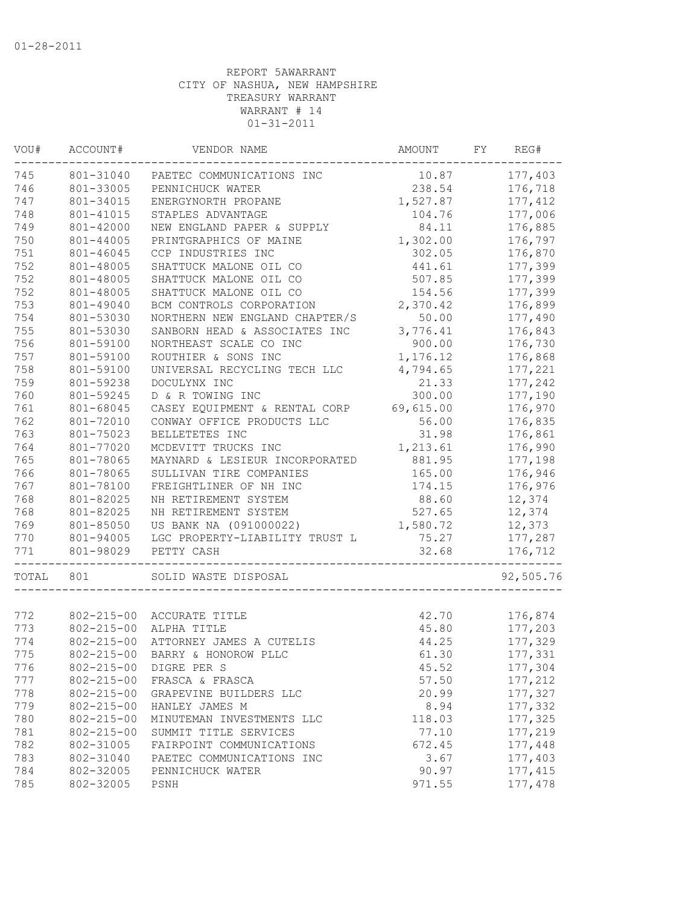| VOU#  | ACCOUNT#         | VENDOR NAME                     | AMOUNT    | FY | REG#      |
|-------|------------------|---------------------------------|-----------|----|-----------|
| 745   | 801-31040        | PAETEC COMMUNICATIONS INC       | 10.87     |    | 177,403   |
| 746   | 801-33005        | PENNICHUCK WATER                | 238.54    |    | 176,718   |
| 747   | 801-34015        | ENERGYNORTH PROPANE             | 1,527.87  |    | 177, 412  |
| 748   | 801-41015        | STAPLES ADVANTAGE               | 104.76    |    | 177,006   |
| 749   | 801-42000        | NEW ENGLAND PAPER & SUPPLY      | 84.11     |    | 176,885   |
| 750   | 801-44005        | PRINTGRAPHICS OF MAINE          | 1,302.00  |    | 176,797   |
| 751   | 801-46045        | CCP INDUSTRIES INC              | 302.05    |    | 176,870   |
| 752   | 801-48005        | SHATTUCK MALONE OIL CO          | 441.61    |    | 177,399   |
| 752   | 801-48005        | SHATTUCK MALONE OIL CO          | 507.85    |    | 177,399   |
| 752   | 801-48005        | SHATTUCK MALONE OIL CO          | 154.56    |    | 177,399   |
| 753   | 801-49040        | BCM CONTROLS CORPORATION        | 2,370.42  |    | 176,899   |
| 754   | 801-53030        | NORTHERN NEW ENGLAND CHAPTER/S  | 50.00     |    | 177,490   |
| 755   | 801-53030        | SANBORN HEAD & ASSOCIATES INC   | 3,776.41  |    | 176,843   |
| 756   | 801-59100        | NORTHEAST SCALE CO INC          | 900.00    |    | 176,730   |
| 757   | 801-59100        | ROUTHIER & SONS INC             | 1,176.12  |    | 176,868   |
| 758   | 801-59100        | UNIVERSAL RECYCLING TECH LLC    | 4,794.65  |    | 177,221   |
| 759   | 801-59238        | DOCULYNX INC                    | 21.33     |    | 177,242   |
| 760   | 801-59245        | D & R TOWING INC                | 300.00    |    | 177,190   |
| 761   | 801-68045        | CASEY EQUIPMENT & RENTAL CORP   | 69,615.00 |    | 176,970   |
| 762   | 801-72010        | CONWAY OFFICE PRODUCTS LLC      | 56.00     |    | 176,835   |
| 763   | 801-75023        | BELLETETES INC                  | 31.98     |    | 176,861   |
| 764   | 801-77020        | MCDEVITT TRUCKS INC             | 1,213.61  |    | 176,990   |
| 765   | 801-78065        | MAYNARD & LESIEUR INCORPORATED  | 881.95    |    | 177,198   |
| 766   | 801-78065        | SULLIVAN TIRE COMPANIES         | 165.00    |    | 176,946   |
| 767   | 801-78100        | FREIGHTLINER OF NH INC          | 174.15    |    | 176,976   |
| 768   | 801-82025        | NH RETIREMENT SYSTEM            | 88.60     |    | 12,374    |
| 768   | 801-82025        | NH RETIREMENT SYSTEM            | 527.65    |    | 12,374    |
| 769   | 801-85050        | US BANK NA (091000022)          | 1,580.72  |    | 12,373    |
| 770   | 801-94005        | LGC PROPERTY-LIABILITY TRUST L  | 75.27     |    | 177,287   |
| 771   | 801-98029        | PETTY CASH                      | 32.68     |    | 176,712   |
|       |                  |                                 |           |    |           |
| TOTAL | 801              | SOLID WASTE DISPOSAL            |           |    | 92,505.76 |
| 772   |                  | 802-215-00 ACCURATE TITLE       | 42.70     |    | 176,874   |
| 773   | $802 - 215 - 00$ | ALPHA TITLE                     | 45.80     |    | 177,203   |
| 774   | $802 - 215 - 00$ | ATTORNEY JAMES A CUTELIS        | 44.25     |    | 177,329   |
| 775   |                  | 802-215-00 BARRY & HONOROW PLLC | 61.30     |    | 177,331   |
| 776   | $802 - 215 - 00$ | DIGRE PER S                     | 45.52     |    | 177,304   |
| 777   | $802 - 215 - 00$ | FRASCA & FRASCA                 | 57.50     |    | 177,212   |
| 778   | $802 - 215 - 00$ | GRAPEVINE BUILDERS LLC          | 20.99     |    | 177,327   |
| 779   | $802 - 215 - 00$ | HANLEY JAMES M                  | 8.94      |    | 177,332   |
|       |                  |                                 |           |    |           |
| 780   | $802 - 215 - 00$ | MINUTEMAN INVESTMENTS LLC       | 118.03    |    | 177,325   |
| 781   | $802 - 215 - 00$ | SUMMIT TITLE SERVICES           | 77.10     |    | 177,219   |
| 782   | 802-31005        | FAIRPOINT COMMUNICATIONS        | 672.45    |    | 177,448   |
| 783   | 802-31040        | PAETEC COMMUNICATIONS INC       | 3.67      |    | 177,403   |
| 784   | 802-32005        | PENNICHUCK WATER                | 90.97     |    | 177, 415  |
| 785   | 802-32005        | PSNH                            | 971.55    |    | 177,478   |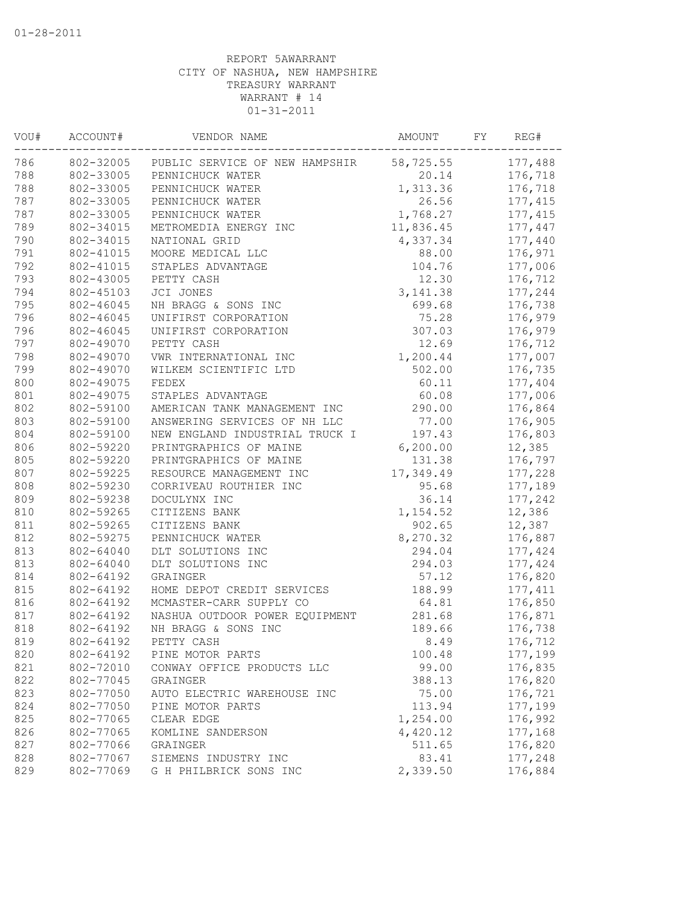| VOU# | ACCOUNT#  | VENDOR NAME                    | AMOUNT    | FY | REG#     |
|------|-----------|--------------------------------|-----------|----|----------|
| 786  | 802-32005 | PUBLIC SERVICE OF NEW HAMPSHIR | 58,725.55 |    | 177,488  |
| 788  | 802-33005 | PENNICHUCK WATER               | 20.14     |    | 176,718  |
| 788  | 802-33005 | PENNICHUCK WATER               | 1,313.36  |    | 176,718  |
| 787  | 802-33005 | PENNICHUCK WATER               | 26.56     |    | 177,415  |
| 787  | 802-33005 | PENNICHUCK WATER               | 1,768.27  |    | 177, 415 |
| 789  | 802-34015 | METROMEDIA ENERGY INC          | 11,836.45 |    | 177,447  |
| 790  | 802-34015 | NATIONAL GRID                  | 4,337.34  |    | 177,440  |
| 791  | 802-41015 | MOORE MEDICAL LLC              | 88.00     |    | 176,971  |
| 792  | 802-41015 | STAPLES ADVANTAGE              | 104.76    |    | 177,006  |
| 793  | 802-43005 | PETTY CASH                     | 12.30     |    | 176,712  |
| 794  | 802-45103 | JCI JONES                      | 3, 141.38 |    | 177,244  |
| 795  | 802-46045 | NH BRAGG & SONS INC            | 699.68    |    | 176,738  |
| 796  | 802-46045 | UNIFIRST CORPORATION           | 75.28     |    | 176,979  |
| 796  | 802-46045 | UNIFIRST CORPORATION           | 307.03    |    | 176,979  |
| 797  | 802-49070 | PETTY CASH                     | 12.69     |    | 176,712  |
| 798  | 802-49070 | VWR INTERNATIONAL INC          | 1,200.44  |    | 177,007  |
| 799  | 802-49070 | WILKEM SCIENTIFIC LTD          | 502.00    |    | 176,735  |
| 800  | 802-49075 | FEDEX                          | 60.11     |    | 177,404  |
| 801  | 802-49075 | STAPLES ADVANTAGE              | 60.08     |    | 177,006  |
| 802  | 802-59100 | AMERICAN TANK MANAGEMENT INC   | 290.00    |    | 176,864  |
| 803  | 802-59100 | ANSWERING SERVICES OF NH LLC   | 77.00     |    | 176,905  |
| 804  | 802-59100 | NEW ENGLAND INDUSTRIAL TRUCK I | 197.43    |    | 176,803  |
| 806  | 802-59220 | PRINTGRAPHICS OF MAINE         | 6, 200.00 |    | 12,385   |
| 805  | 802-59220 | PRINTGRAPHICS OF MAINE         | 131.38    |    | 176,797  |
| 807  | 802-59225 | RESOURCE MANAGEMENT INC        | 17,349.49 |    | 177,228  |
| 808  | 802-59230 | CORRIVEAU ROUTHIER INC         | 95.68     |    | 177,189  |
| 809  | 802-59238 | DOCULYNX INC                   | 36.14     |    | 177,242  |
| 810  | 802-59265 | CITIZENS BANK                  | 1,154.52  |    | 12,386   |
| 811  | 802-59265 | CITIZENS BANK                  | 902.65    |    | 12,387   |
| 812  | 802-59275 | PENNICHUCK WATER               | 8,270.32  |    | 176,887  |
| 813  | 802-64040 | DLT SOLUTIONS INC              | 294.04    |    | 177,424  |
| 813  | 802-64040 | DLT SOLUTIONS INC              | 294.03    |    | 177,424  |
| 814  | 802-64192 | GRAINGER                       | 57.12     |    | 176,820  |
| 815  | 802-64192 | HOME DEPOT CREDIT SERVICES     | 188.99    |    | 177, 411 |
| 816  | 802-64192 | MCMASTER-CARR SUPPLY CO        | 64.81     |    | 176,850  |
| 817  | 802-64192 | NASHUA OUTDOOR POWER EQUIPMENT | 281.68    |    | 176,871  |
| 818  | 802-64192 | NH BRAGG & SONS INC            | 189.66    |    | 176,738  |
| 819  | 802-64192 | PETTY CASH                     | 8.49      |    | 176,712  |
| 820  | 802-64192 | PINE MOTOR PARTS               | 100.48    |    | 177,199  |
| 821  | 802-72010 | CONWAY OFFICE PRODUCTS LLC     | 99.00     |    | 176,835  |
| 822  | 802-77045 | GRAINGER                       | 388.13    |    | 176,820  |
| 823  | 802-77050 | AUTO ELECTRIC WAREHOUSE INC    | 75.00     |    | 176,721  |
| 824  | 802-77050 | PINE MOTOR PARTS               | 113.94    |    | 177,199  |
| 825  | 802-77065 | CLEAR EDGE                     | 1,254.00  |    | 176,992  |
| 826  | 802-77065 | KOMLINE SANDERSON              | 4,420.12  |    | 177,168  |
| 827  | 802-77066 | GRAINGER                       | 511.65    |    | 176,820  |
| 828  | 802-77067 | SIEMENS INDUSTRY INC           | 83.41     |    | 177,248  |
| 829  | 802-77069 | G H PHILBRICK SONS INC         | 2,339.50  |    | 176,884  |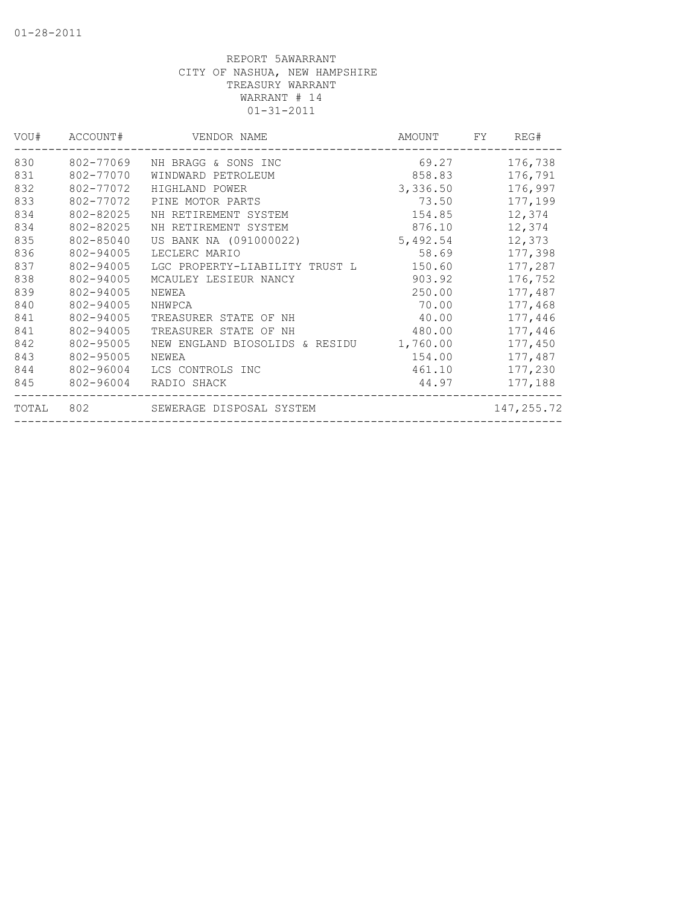| VOU#  | ACCOUNT#  | VENDOR NAME                    | AMOUNT   | FY | REG#       |
|-------|-----------|--------------------------------|----------|----|------------|
| 830   | 802-77069 | NH BRAGG & SONS INC            | 69.27    |    | 176,738    |
| 831   | 802-77070 | WINDWARD PETROLEUM             | 858.83   |    | 176,791    |
| 832   | 802-77072 | HIGHLAND POWER                 | 3,336.50 |    | 176,997    |
| 833   | 802-77072 | PINE MOTOR PARTS               | 73.50    |    | 177,199    |
| 834   | 802-82025 | NH RETIREMENT SYSTEM           | 154.85   |    | 12,374     |
| 834   | 802-82025 | NH RETIREMENT SYSTEM           | 876.10   |    | 12,374     |
| 835   | 802-85040 | US BANK NA (091000022)         | 5,492.54 |    | 12,373     |
| 836   | 802-94005 | LECLERC MARIO                  | 58.69    |    | 177,398    |
| 837   | 802-94005 | LGC PROPERTY-LIABILITY TRUST L | 150.60   |    | 177,287    |
| 838   | 802-94005 | MCAULEY LESIEUR NANCY          | 903.92   |    | 176,752    |
| 839   | 802-94005 | NEWEA                          | 250.00   |    | 177,487    |
| 840   | 802-94005 | NHWPCA                         | 70.00    |    | 177,468    |
| 841   | 802-94005 | TREASURER STATE OF NH          | 40.00    |    | 177,446    |
| 841   | 802-94005 | TREASURER STATE OF NH          | 480.00   |    | 177,446    |
| 842   | 802-95005 | NEW ENGLAND BIOSOLIDS & RESIDU | 1,760.00 |    | 177,450    |
| 843   | 802-95005 | NEWEA                          | 154.00   |    | 177,487    |
| 844   | 802-96004 | LCS CONTROLS INC               | 461.10   |    | 177,230    |
| 845   | 802-96004 | RADIO SHACK                    | 44.97    |    | 177,188    |
| TOTAL | 802       | SEWERAGE DISPOSAL SYSTEM       |          |    | 147,255.72 |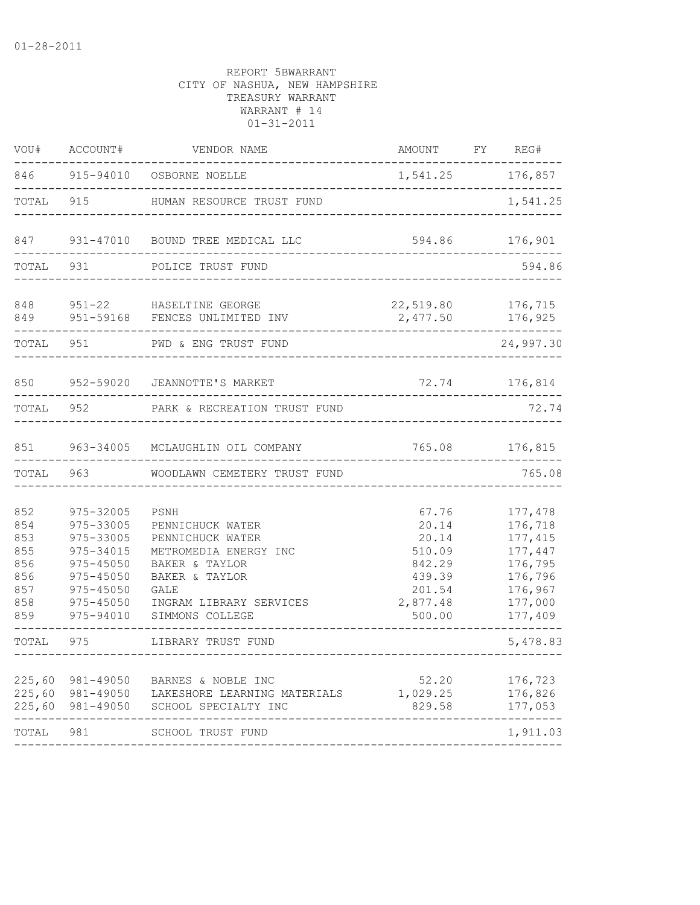| VOU#                                                        | ACCOUNT#                                                                                                                  | VENDOR NAME                                                                                                                                                            | AMOUNT FY REG#                                                                        |                                                                                                  |
|-------------------------------------------------------------|---------------------------------------------------------------------------------------------------------------------------|------------------------------------------------------------------------------------------------------------------------------------------------------------------------|---------------------------------------------------------------------------------------|--------------------------------------------------------------------------------------------------|
| 846                                                         |                                                                                                                           | 915-94010 OSBORNE NOELLE                                                                                                                                               | 1,541.25 176,857                                                                      |                                                                                                  |
| TOTAL                                                       | 915                                                                                                                       | HUMAN RESOURCE TRUST FUND                                                                                                                                              |                                                                                       | 1,541.25                                                                                         |
| 847                                                         |                                                                                                                           | 931-47010 BOUND TREE MEDICAL LLC                                                                                                                                       | 594.86                                                                                | 176,901                                                                                          |
| TOTAL                                                       | 931                                                                                                                       | POLICE TRUST FUND                                                                                                                                                      |                                                                                       | 594.86                                                                                           |
| 848<br>849                                                  |                                                                                                                           | 951-22 HASELTINE GEORGE<br>951-59168 FENCES UNLIMITED INV                                                                                                              | 22,519.80<br>2,477.50                                                                 | 176,715<br>176,925                                                                               |
| TOTAL                                                       | 951                                                                                                                       | PWD & ENG TRUST FUND                                                                                                                                                   |                                                                                       | 24,997.30                                                                                        |
| 850                                                         | 952-59020                                                                                                                 | JEANNOTTE'S MARKET                                                                                                                                                     | 72.74                                                                                 | 176,814                                                                                          |
| TOTAL                                                       | 952                                                                                                                       | PARK & RECREATION TRUST FUND                                                                                                                                           |                                                                                       | 72.74                                                                                            |
| 851                                                         |                                                                                                                           | 963-34005 MCLAUGHLIN OIL COMPANY                                                                                                                                       | 765.08                                                                                | 176,815                                                                                          |
| TOTAL                                                       | 963                                                                                                                       | WOODLAWN CEMETERY TRUST FUND                                                                                                                                           |                                                                                       | 765.08                                                                                           |
| 852<br>854<br>853<br>855<br>856<br>856<br>857<br>858<br>859 | 975-32005<br>975-33005<br>975-33005<br>975-34015<br>975-45050<br>975-45050<br>$975 - 45050$<br>$975 - 45050$<br>975-94010 | PSNH<br>PENNICHUCK WATER<br>PENNICHUCK WATER<br>METROMEDIA ENERGY INC<br>BAKER & TAYLOR<br>BAKER & TAYLOR<br><b>GALE</b><br>INGRAM LIBRARY SERVICES<br>SIMMONS COLLEGE | 67.76<br>20.14<br>20.14<br>510.09<br>842.29<br>439.39<br>201.54<br>2,877.48<br>500.00 | 177,478<br>176,718<br>177, 415<br>177,447<br>176,795<br>176,796<br>176,967<br>177,000<br>177,409 |
| TOTAL                                                       | 975                                                                                                                       | LIBRARY TRUST FUND                                                                                                                                                     |                                                                                       | 5,478.83                                                                                         |
| 225,60<br>225,60<br>225,60                                  | 981-49050<br>981-49050<br>981-49050                                                                                       | BARNES & NOBLE INC<br>LAKESHORE LEARNING MATERIALS<br>SCHOOL SPECIALTY INC                                                                                             | 52.20<br>1,029.25<br>829.58                                                           | 176,723<br>176,826<br>177,053                                                                    |
| TOTAL                                                       | 981                                                                                                                       | SCHOOL TRUST FUND                                                                                                                                                      |                                                                                       | 1,911.03                                                                                         |
|                                                             |                                                                                                                           |                                                                                                                                                                        |                                                                                       |                                                                                                  |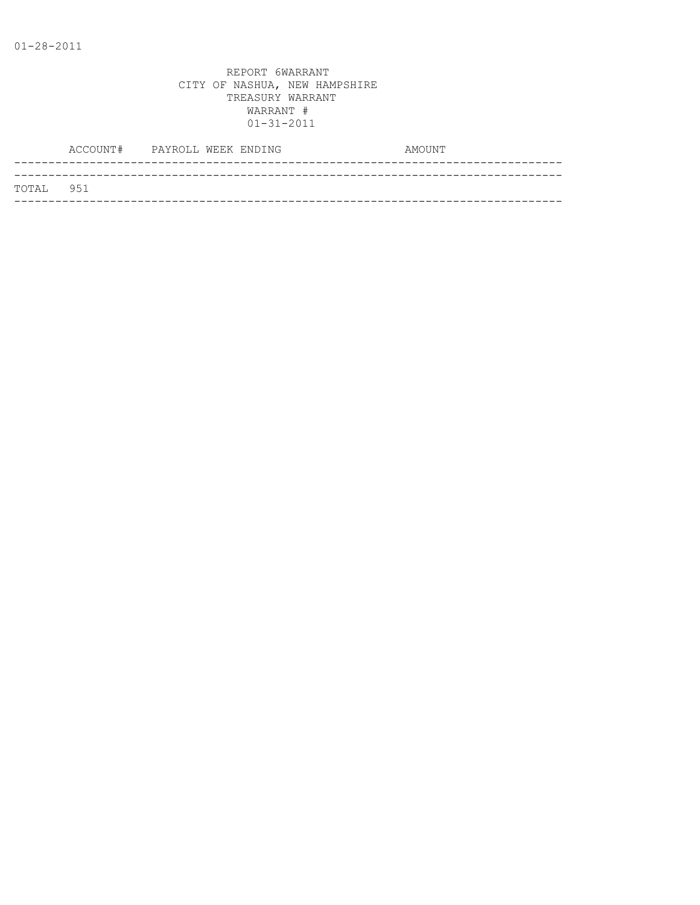|           | ACCOUNT# PAYROLL WEEK ENDING |  |  | AMOUNT |
|-----------|------------------------------|--|--|--------|
|           |                              |  |  |        |
| TOTAL 951 |                              |  |  |        |
|           |                              |  |  |        |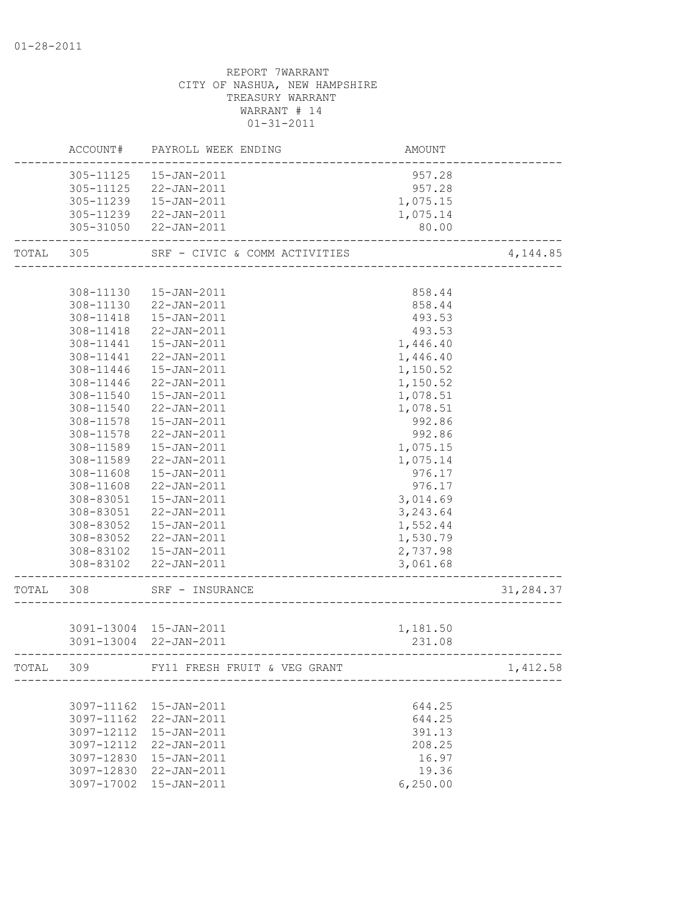|       | ACCOUNT#   | PAYROLL WEEK ENDING           | <b>AMOUNT</b> |           |
|-------|------------|-------------------------------|---------------|-----------|
|       |            | 305-11125  15-JAN-2011        | 957.28        |           |
|       |            | 305-11125 22-JAN-2011         | 957.28        |           |
|       |            | 305-11239  15-JAN-2011        | 1,075.15      |           |
|       |            | 305-11239 22-JAN-2011         | 1,075.14      |           |
|       |            | 305-31050 22-JAN-2011         | 80.00         |           |
| TOTAL | 305        | SRF - CIVIC & COMM ACTIVITIES |               | 4,144.85  |
|       |            |                               |               |           |
|       | 308-11130  | 15-JAN-2011                   | 858.44        |           |
|       |            | 308-11130 22-JAN-2011         | 858.44        |           |
|       |            | 308-11418  15-JAN-2011        | 493.53        |           |
|       | 308-11418  | 22-JAN-2011                   | 493.53        |           |
|       | 308-11441  | 15-JAN-2011                   | 1,446.40      |           |
|       | 308-11441  | 22-JAN-2011                   | 1,446.40      |           |
|       | 308-11446  | 15-JAN-2011                   | 1,150.52      |           |
|       | 308-11446  | 22-JAN-2011                   | 1,150.52      |           |
|       | 308-11540  | 15-JAN-2011                   | 1,078.51      |           |
|       | 308-11540  | 22-JAN-2011                   | 1,078.51      |           |
|       | 308-11578  | 15-JAN-2011                   | 992.86        |           |
|       | 308-11578  | 22-JAN-2011                   | 992.86        |           |
|       | 308-11589  | 15-JAN-2011                   | 1,075.15      |           |
|       | 308-11589  | 22-JAN-2011                   | 1,075.14      |           |
|       | 308-11608  | 15-JAN-2011                   | 976.17        |           |
|       | 308-11608  | 22-JAN-2011                   | 976.17        |           |
|       | 308-83051  | 15-JAN-2011                   | 3,014.69      |           |
|       | 308-83051  | 22-JAN-2011                   | 3,243.64      |           |
|       | 308-83052  | 15-JAN-2011                   | 1,552.44      |           |
|       | 308-83052  | 22-JAN-2011                   | 1,530.79      |           |
|       |            | 308-83102  15-JAN-2011        | 2,737.98      |           |
|       |            | 308-83102 22-JAN-2011         | 3,061.68      |           |
| TOTAL | 308        | SRF - INSURANCE               |               | 31,284.37 |
|       |            |                               |               |           |
|       |            | 3091-13004 15-JAN-2011        | 1,181.50      |           |
|       |            | 3091-13004 22-JAN-2011        | 231.08        |           |
| TOTAL | 309        | FY11 FRESH FRUIT & VEG GRANT  |               | 1,412.58  |
|       |            |                               |               |           |
|       | 3097-11162 | $15 - JAN - 2011$             | 644.25        |           |
|       | 3097-11162 | 22-JAN-2011                   | 644.25        |           |
|       | 3097-12112 | 15-JAN-2011                   | 391.13        |           |
|       | 3097-12112 | 22-JAN-2011                   | 208.25        |           |
|       | 3097-12830 | $15 - JAN - 2011$             | 16.97         |           |
|       |            | 3097-12830 22-JAN-2011        | 19.36         |           |
|       |            | 3097-17002 15-JAN-2011        | 6, 250.00     |           |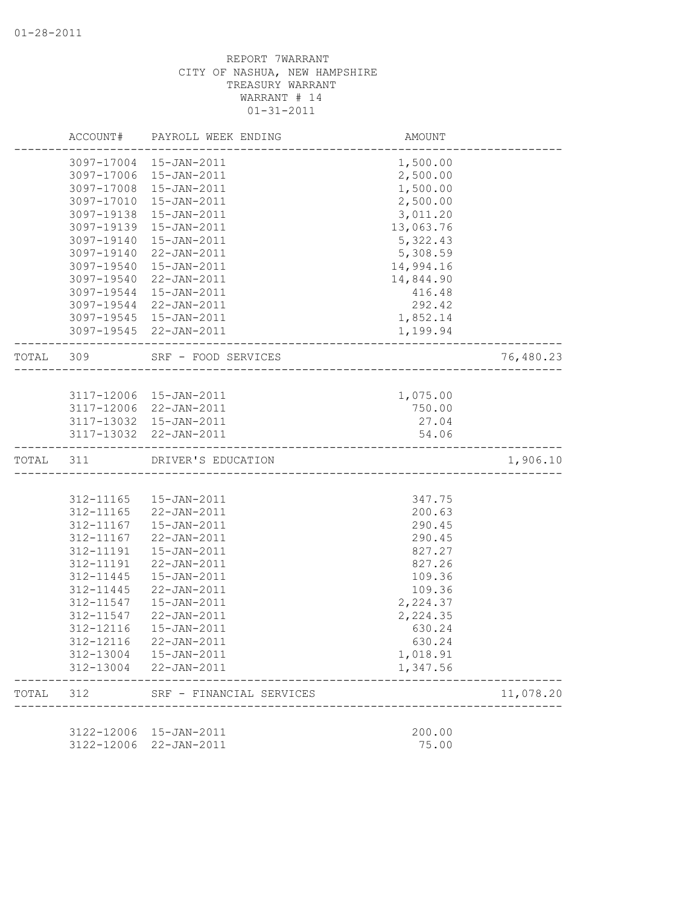|           |            | ACCOUNT# PAYROLL WEEK ENDING                | AMOUNT                             |           |
|-----------|------------|---------------------------------------------|------------------------------------|-----------|
|           | 3097-17004 | 15-JAN-2011                                 | 1,500.00                           |           |
|           | 3097-17006 | 15-JAN-2011                                 | 2,500.00                           |           |
|           | 3097-17008 | 15-JAN-2011                                 | 1,500.00                           |           |
|           | 3097-17010 | 15-JAN-2011                                 | 2,500.00                           |           |
|           | 3097-19138 | 15-JAN-2011                                 | 3,011.20                           |           |
|           | 3097-19139 | 15-JAN-2011                                 | 13,063.76                          |           |
|           | 3097-19140 | $15 - JAN - 2011$                           | 5,322.43                           |           |
|           | 3097-19140 | 22-JAN-2011                                 | 5,308.59                           |           |
|           | 3097-19540 | 15-JAN-2011                                 | 14,994.16                          |           |
|           | 3097-19540 | 22-JAN-2011                                 | 14,844.90                          |           |
|           | 3097-19544 | 15-JAN-2011                                 | 416.48                             |           |
|           | 3097-19544 | 22-JAN-2011                                 | 292.42                             |           |
|           | 3097-19545 | 15-JAN-2011                                 | 1,852.14                           |           |
|           |            | 3097-19545 22-JAN-2011                      | 1,199.94                           |           |
| TOTAL 309 |            | SRF - FOOD SERVICES<br>-------------------- |                                    | 76,480.23 |
|           |            |                                             |                                    |           |
|           |            | 3117-12006 15-JAN-2011                      | 1,075.00                           |           |
|           |            | 3117-12006 22-JAN-2011                      | 750.00                             |           |
|           |            | 3117-13032 15-JAN-2011                      | 27.04                              |           |
|           |            | 3117-13032 22-JAN-2011                      | 54.06                              |           |
| TOTAL 311 |            | DRIVER'S EDUCATION                          | ---------------------------------- | 1,906.10  |
|           |            |                                             |                                    |           |
|           | 312-11165  | 15-JAN-2011                                 | 347.75                             |           |
|           | 312-11165  | 22-JAN-2011                                 | 200.63                             |           |
|           | 312-11167  | $15 - JAN - 2011$                           | 290.45                             |           |
|           | 312-11167  | 22-JAN-2011                                 | 290.45                             |           |
|           | 312-11191  | $15 - JAN - 2011$                           | 827.27                             |           |
|           | 312-11191  | 22-JAN-2011                                 | 827.26                             |           |
|           | 312-11445  | $15 - JAN - 2011$                           | 109.36                             |           |
|           | 312-11445  | 22-JAN-2011                                 | 109.36                             |           |
|           | 312-11547  | $15 - JAN - 2011$                           | 2,224.37                           |           |
|           | 312-11547  | 22-JAN-2011                                 | 2,224.35                           |           |
|           | 312-12116  | 15-JAN-2011                                 | 630.24                             |           |
|           | 312-12116  | 22-JAN-2011                                 | 630.24                             |           |
|           | 312-13004  | $15 - JAN - 2011$                           | 1,018.91                           |           |
|           | 312-13004  | $22 - JAN - 2011$                           | 1,347.56                           |           |
| TOTAL     | 312        | SRF - FINANCIAL SERVICES                    |                                    | 11,078.20 |
|           |            |                                             |                                    |           |
|           |            |                                             |                                    |           |
|           | 3122-12006 | 15-JAN-2011                                 | 200.00                             |           |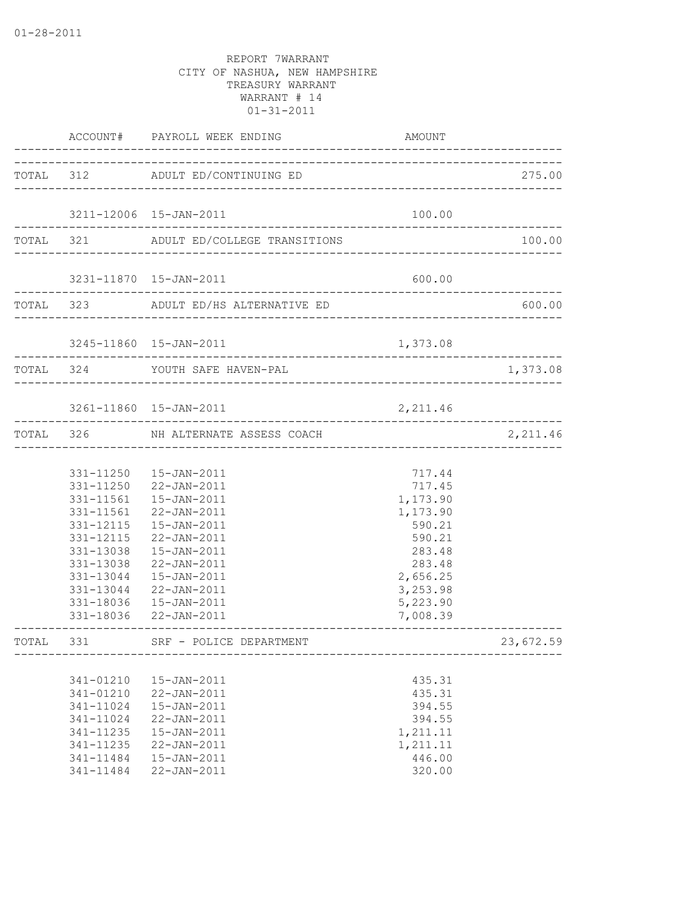|           |                                                                                                      | ACCOUNT# PAYROLL WEEK ENDING                                                                                                                                                                                                                                                                         | AMOUNT                                                                                                                           |                                |
|-----------|------------------------------------------------------------------------------------------------------|------------------------------------------------------------------------------------------------------------------------------------------------------------------------------------------------------------------------------------------------------------------------------------------------------|----------------------------------------------------------------------------------------------------------------------------------|--------------------------------|
|           |                                                                                                      | TOTAL 312 ADULT ED/CONTINUING ED                                                                                                                                                                                                                                                                     |                                                                                                                                  | 275.00                         |
|           |                                                                                                      | 3211-12006 15-JAN-2011                                                                                                                                                                                                                                                                               | 100.00                                                                                                                           |                                |
|           |                                                                                                      | TOTAL 321 ADULT ED/COLLEGE TRANSITIONS                                                                                                                                                                                                                                                               |                                                                                                                                  | 100.00                         |
|           |                                                                                                      | 3231-11870  15-JAN-2011                                                                                                                                                                                                                                                                              | 600.00                                                                                                                           |                                |
|           | -------------------                                                                                  | TOTAL 323 ADULT ED/HS ALTERNATIVE ED                                                                                                                                                                                                                                                                 |                                                                                                                                  | 600.00                         |
|           |                                                                                                      | 3245-11860 15-JAN-2011                                                                                                                                                                                                                                                                               | 1,373.08                                                                                                                         |                                |
|           | TOTAL 324                                                                                            | YOUTH SAFE HAVEN-PAL                                                                                                                                                                                                                                                                                 |                                                                                                                                  | 1,373.08                       |
|           |                                                                                                      | 3261-11860 15-JAN-2011                                                                                                                                                                                                                                                                               | 2,211.46                                                                                                                         |                                |
|           |                                                                                                      | TOTAL 326 NH ALTERNATE ASSESS COACH                                                                                                                                                                                                                                                                  |                                                                                                                                  | ------------------<br>2,211.46 |
|           | 331-11561                                                                                            | 331-11250  15-JAN-2011<br>331-11250 22-JAN-2011<br>331-11561  15-JAN-2011<br>22-JAN-2011<br>331-12115  15-JAN-2011<br>331-12115 22-JAN-2011<br>331-13038  15-JAN-2011<br>331-13038 22-JAN-2011<br>331-13044  15-JAN-2011<br>331-13044 22-JAN-2011<br>331-18036  15-JAN-2011<br>331-18036 22-JAN-2011 | 717.44<br>717.45<br>1,173.90<br>1,173.90<br>590.21<br>590.21<br>283.48<br>283.48<br>2,656.25<br>3,253.98<br>5,223.90<br>7,008.39 |                                |
| TOTAL 331 |                                                                                                      | SRF - POLICE DEPARTMENT                                                                                                                                                                                                                                                                              |                                                                                                                                  | 23,672.59                      |
|           | 341-01210<br>341-01210<br>341-11024<br>341-11024<br>341-11235<br>341-11235<br>341-11484<br>341-11484 | 15-JAN-2011<br>22-JAN-2011<br>15-JAN-2011<br>22-JAN-2011<br>15-JAN-2011<br>22-JAN-2011<br>$15 - JAN - 2011$<br>22-JAN-2011                                                                                                                                                                           | 435.31<br>435.31<br>394.55<br>394.55<br>1,211.11<br>1,211.11<br>446.00<br>320.00                                                 |                                |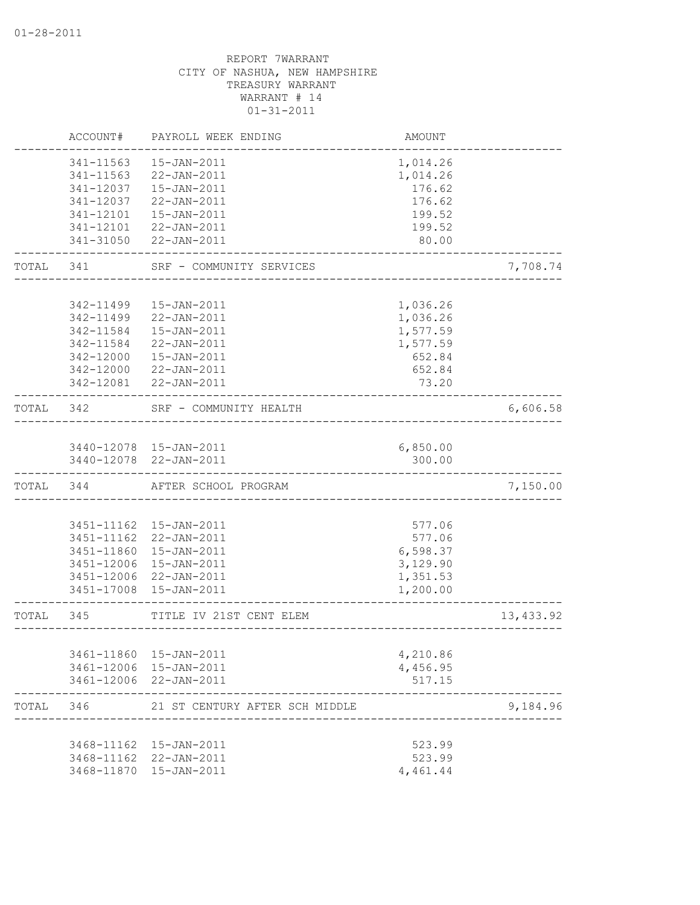|       | ACCOUNT#   | PAYROLL WEEK ENDING            | AMOUNT   |            |
|-------|------------|--------------------------------|----------|------------|
|       | 341-11563  | 15-JAN-2011                    | 1,014.26 |            |
|       | 341-11563  | $22 - JAN - 2011$              | 1,014.26 |            |
|       | 341-12037  | 15-JAN-2011                    | 176.62   |            |
|       | 341-12037  | 22-JAN-2011                    | 176.62   |            |
|       | 341-12101  | 15-JAN-2011                    | 199.52   |            |
|       | 341-12101  | 22-JAN-2011                    | 199.52   |            |
|       | 341-31050  | 22-JAN-2011                    | 80.00    |            |
| TOTAL | 341        | SRF - COMMUNITY SERVICES       |          | 7,708.74   |
|       |            |                                |          |            |
|       | 342-11499  | $15 - JAN - 2011$              | 1,036.26 |            |
|       | 342-11499  | 22-JAN-2011                    | 1,036.26 |            |
|       | 342-11584  | $15 - JAN - 2011$              | 1,577.59 |            |
|       | 342-11584  | 22-JAN-2011                    | 1,577.59 |            |
|       | 342-12000  | 15-JAN-2011                    | 652.84   |            |
|       | 342-12000  | 22-JAN-2011                    | 652.84   |            |
|       | 342-12081  | $22 - JAN - 2011$              | 73.20    |            |
| TOTAL | 342        | SRF - COMMUNITY HEALTH         |          | 6,606.58   |
|       |            |                                |          |            |
|       |            | 3440-12078 15-JAN-2011         | 6,850.00 |            |
|       |            | 3440-12078 22-JAN-2011         | 300.00   |            |
| TOTAL | 344        | AFTER SCHOOL PROGRAM           |          | 7,150.00   |
|       |            |                                |          |            |
|       | 3451-11162 | 15-JAN-2011                    | 577.06   |            |
|       | 3451-11162 | 22-JAN-2011                    | 577.06   |            |
|       | 3451-11860 | 15-JAN-2011                    | 6,598.37 |            |
|       | 3451-12006 | 15-JAN-2011                    | 3,129.90 |            |
|       | 3451-12006 | 22-JAN-2011                    | 1,351.53 |            |
|       | 3451-17008 | $15 - JAN - 2011$              | 1,200.00 |            |
| TOTAL | 345        | TITLE IV 21ST CENT ELEM        |          | 13, 433.92 |
|       |            |                                |          |            |
|       | 3461-11860 | 15-JAN-2011                    | 4,210.86 |            |
|       |            | 3461-12006 15-JAN-2011         | 4,456.95 |            |
|       |            | 3461-12006 22-JAN-2011         | 517.15   |            |
| TOTAL | 346        | 21 ST CENTURY AFTER SCH MIDDLE |          | 9,184.96   |
|       |            |                                |          |            |
|       |            | 3468-11162  15-JAN-2011        | 523.99   |            |
|       |            | 3468-11162 22-JAN-2011         | 523.99   |            |
|       |            | 3468-11870 15-JAN-2011         | 4,461.44 |            |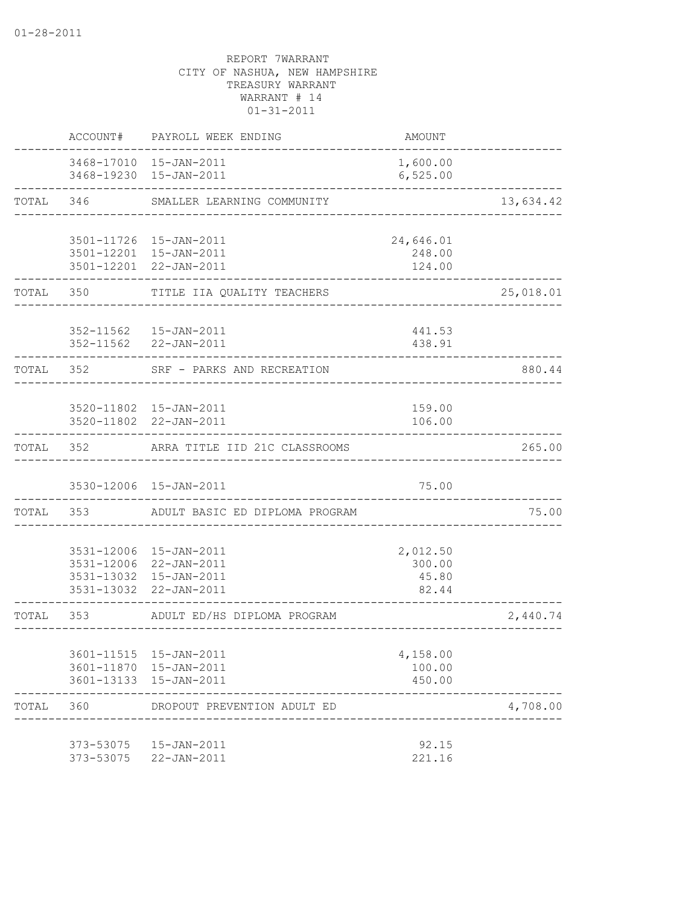|           | ACCOUNT#               | PAYROLL WEEK ENDING                                                                                  | <b>AMOUNT</b>                        |           |
|-----------|------------------------|------------------------------------------------------------------------------------------------------|--------------------------------------|-----------|
|           |                        | 3468-17010 15-JAN-2011<br>3468-19230 15-JAN-2011                                                     | 1,600.00<br>6,525.00                 |           |
| TOTAL     |                        | 346 SMALLER LEARNING COMMUNITY                                                                       |                                      | 13,634.42 |
|           |                        | 3501-11726 15-JAN-2011                                                                               | 24,646.01                            |           |
|           |                        | 3501-12201 15-JAN-2011<br>3501-12201 22-JAN-2011                                                     | 248.00<br>124.00                     |           |
| TOTAL     | 350                    | TITLE IIA QUALITY TEACHERS                                                                           |                                      | 25,018.01 |
|           |                        | 352-11562  15-JAN-2011<br>352-11562 22-JAN-2011                                                      | 441.53<br>438.91                     |           |
|           | TOTAL 352              | SRF - PARKS AND RECREATION                                                                           |                                      | 880.44    |
|           |                        | 3520-11802 15-JAN-2011<br>3520-11802 22-JAN-2011                                                     | 159.00<br>106.00                     |           |
|           |                        | TOTAL 352 ARRA TITLE IID 21C CLASSROOMS                                                              |                                      | 265.00    |
|           |                        | 3530-12006 15-JAN-2011                                                                               | 75.00                                |           |
| TOTAL     | 353                    | ADULT BASIC ED DIPLOMA PROGRAM                                                                       |                                      | 75.00     |
|           |                        | 3531-12006 15-JAN-2011<br>3531-12006 22-JAN-2011<br>3531-13032 15-JAN-2011<br>3531-13032 22-JAN-2011 | 2,012.50<br>300.00<br>45.80<br>82.44 |           |
| TOTAL 353 |                        | ADULT ED/HS DIPLOMA PROGRAM                                                                          | ____________________________         | 2,440.74  |
|           |                        | 3601-11515 15-JAN-2011<br>3601-11870 15-JAN-2011<br>3601-13133 15-JAN-2011                           | 4,158.00<br>100.00<br>450.00         |           |
| TOTAL     | 360                    | DROPOUT PREVENTION ADULT ED                                                                          |                                      | 4,708.00  |
|           | 373-53075<br>373-53075 | 15-JAN-2011<br>22-JAN-2011                                                                           | 92.15<br>221.16                      |           |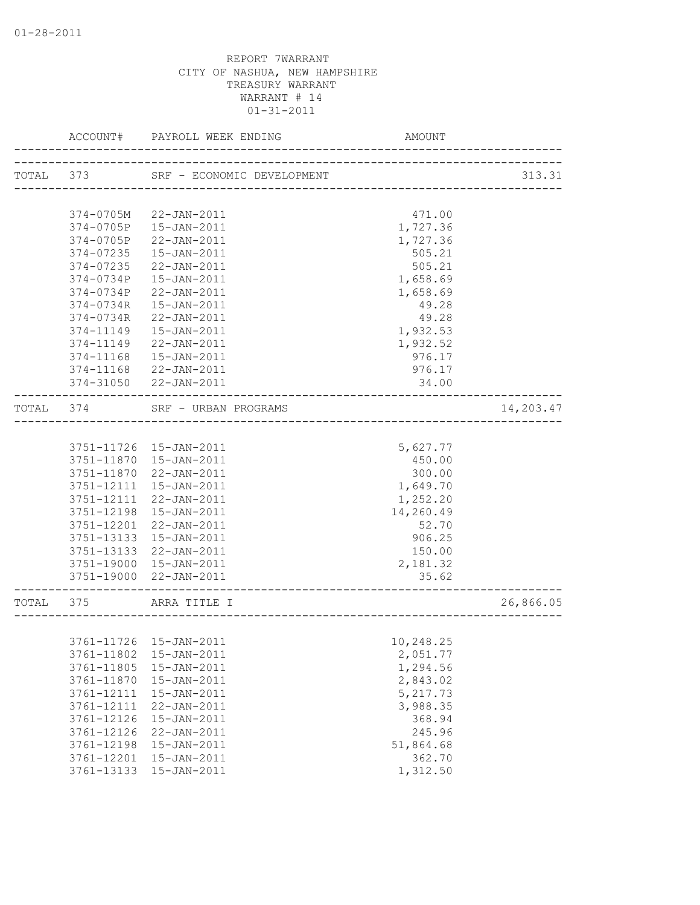|           | ACCOUNT#                 | PAYROLL WEEK ENDING                                     | AMOUNT                               |           |
|-----------|--------------------------|---------------------------------------------------------|--------------------------------------|-----------|
| TOTAL 373 |                          | SRF - ECONOMIC DEVELOPMENT                              |                                      | 313.31    |
|           |                          |                                                         | ___________________________________  |           |
|           | 374-0705M                | 22-JAN-2011                                             | 471.00                               |           |
|           | 374-0705P                | 15-JAN-2011                                             | 1,727.36                             |           |
|           | 374-0705P                | 22-JAN-2011                                             | 1,727.36                             |           |
|           | 374-07235                | $15 - JAN - 2011$                                       | 505.21                               |           |
|           | 374-07235                | 22-JAN-2011                                             | 505.21                               |           |
|           | $374 - 0734P$            | 15-JAN-2011                                             | 1,658.69                             |           |
|           | 374-0734P                | 22-JAN-2011                                             | 1,658.69                             |           |
|           | 374-0734R                | 15-JAN-2011                                             | 49.28                                |           |
|           | 374-0734R                | 22-JAN-2011                                             | 49.28                                |           |
|           | 374-11149                | 15-JAN-2011                                             | 1,932.53                             |           |
|           | 374-11149                | 22-JAN-2011                                             | 1,932.52                             |           |
|           | 374-11168                | $15 - JAN - 2011$                                       | 976.17                               |           |
|           | 374-11168                | 22-JAN-2011                                             | 976.17                               |           |
|           |                          | 374-31050 22-JAN-2011                                   | 34.00                                |           |
|           | TOTAL 374                | SRF - URBAN PROGRAMS                                    | ------------------------------------ | 14,203.47 |
|           |                          |                                                         |                                      |           |
|           |                          | 3751-11726 15-JAN-2011                                  | 5,627.77                             |           |
|           |                          | 3751-11870  15-JAN-2011                                 | 450.00                               |           |
|           | 3751-11870               | 22-JAN-2011                                             | 300.00                               |           |
|           | 3751-12111               | 15-JAN-2011                                             | 1,649.70                             |           |
|           | 3751-12111               | 22-JAN-2011                                             | 1,252.20                             |           |
|           | 3751-12198               | 15-JAN-2011                                             | 14,260.49                            |           |
|           | 3751-12201               | 22-JAN-2011                                             | 52.70                                |           |
|           | 3751-13133               | 15-JAN-2011                                             | 906.25                               |           |
|           | 3751-13133               | 22-JAN-2011                                             | 150.00                               |           |
|           |                          | 3751-19000 15-JAN-2011                                  | 2,181.32                             |           |
|           |                          | 3751-19000 22-JAN-2011<br>_____________________________ | 35.62                                |           |
| TOTAL 375 |                          | ARRA TITLE I<br>____________________________            |                                      | 26,866.05 |
|           |                          |                                                         |                                      |           |
|           |                          | 3761-11726 15-JAN-2011                                  | 10,248.25                            |           |
|           | 3761-11802               | 15-JAN-2011                                             | 2,051.77                             |           |
|           | 3761-11805               | 15-JAN-2011                                             | 1,294.56                             |           |
|           | 3761-11870               | 15-JAN-2011                                             | 2,843.02                             |           |
|           | 3761-12111<br>3761-12111 | 15-JAN-2011<br>22-JAN-2011                              | 5,217.73<br>3,988.35                 |           |
|           | 3761-12126               |                                                         | 368.94                               |           |
|           | 3761-12126               | 15-JAN-2011<br>22-JAN-2011                              | 245.96                               |           |
|           | 3761-12198               | 15-JAN-2011                                             | 51,864.68                            |           |
|           | 3761-12201               | $15 - JAN - 2011$                                       | 362.70                               |           |
|           | 3761-13133               | 15-JAN-2011                                             | 1,312.50                             |           |
|           |                          |                                                         |                                      |           |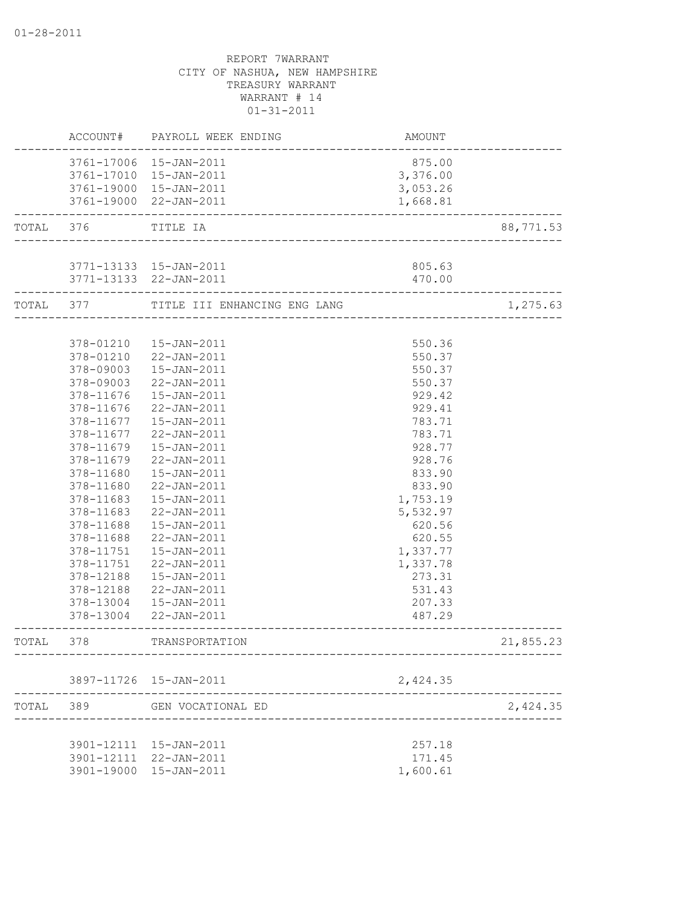|           |            | ACCOUNT# PAYROLL WEEK ENDING                        | AMOUNT   |           |
|-----------|------------|-----------------------------------------------------|----------|-----------|
|           |            | 3761-17006 15-JAN-2011                              | 875.00   |           |
|           |            | 3761-17010 15-JAN-2011                              | 3,376.00 |           |
|           |            | 3761-19000 15-JAN-2011                              | 3,053.26 |           |
|           |            | 3761-19000 22-JAN-2011<br>_________________________ | 1,668.81 |           |
| TOTAL 376 |            | TITLE IA<br>__________________________              |          | 88,771.53 |
|           |            |                                                     |          |           |
|           |            | 3771-13133 15-JAN-2011                              | 805.63   |           |
|           |            | 3771-13133 22-JAN-2011<br>________________________  | 470.00   |           |
| TOTAL 377 |            | TITLE III ENHANCING ENG LANG                        |          | 1,275.63  |
|           |            |                                                     |          |           |
|           | 378-01210  | 15-JAN-2011                                         | 550.36   |           |
|           | 378-01210  | 22-JAN-2011                                         | 550.37   |           |
|           | 378-09003  | 15-JAN-2011                                         | 550.37   |           |
|           | 378-09003  | 22-JAN-2011                                         | 550.37   |           |
|           | 378-11676  | 15-JAN-2011                                         | 929.42   |           |
|           | 378-11676  | 22-JAN-2011                                         | 929.41   |           |
|           | 378-11677  | 15-JAN-2011                                         | 783.71   |           |
|           | 378-11677  | 22-JAN-2011                                         | 783.71   |           |
|           | 378-11679  | 15-JAN-2011                                         | 928.77   |           |
|           | 378-11679  | $22 - JAN - 2011$                                   | 928.76   |           |
|           | 378-11680  | $15 - JAN - 2011$                                   | 833.90   |           |
|           | 378-11680  | 22-JAN-2011                                         | 833.90   |           |
|           | 378-11683  | $15 - JAN - 2011$                                   | 1,753.19 |           |
|           | 378-11683  | 22-JAN-2011                                         | 5,532.97 |           |
|           | 378-11688  | 15-JAN-2011                                         | 620.56   |           |
|           | 378-11688  | 22-JAN-2011                                         | 620.55   |           |
|           | 378-11751  | $15 - JAN - 2011$                                   | 1,337.77 |           |
|           | 378-11751  | 22-JAN-2011                                         | 1,337.78 |           |
|           | 378-12188  | $15 - JAN - 2011$                                   | 273.31   |           |
|           | 378-12188  | $22 - JAN - 2011$                                   | 531.43   |           |
|           | 378-13004  | $15 - JAN - 2011$                                   | 207.33   |           |
|           |            | 378-13004 22-JAN-2011                               | 487.29   |           |
| TOTAL     | 378        | TRANSPORTATION                                      |          | 21,855.23 |
|           |            | 3897-11726 15-JAN-2011                              | 2,424.35 |           |
| TOTAL     | 389        | GEN VOCATIONAL ED                                   |          | 2,424.35  |
|           |            |                                                     |          |           |
|           |            | 3901-12111 15-JAN-2011                              | 257.18   |           |
|           |            | 3901-12111 22-JAN-2011                              | 171.45   |           |
|           | 3901-19000 | 15-JAN-2011                                         | 1,600.61 |           |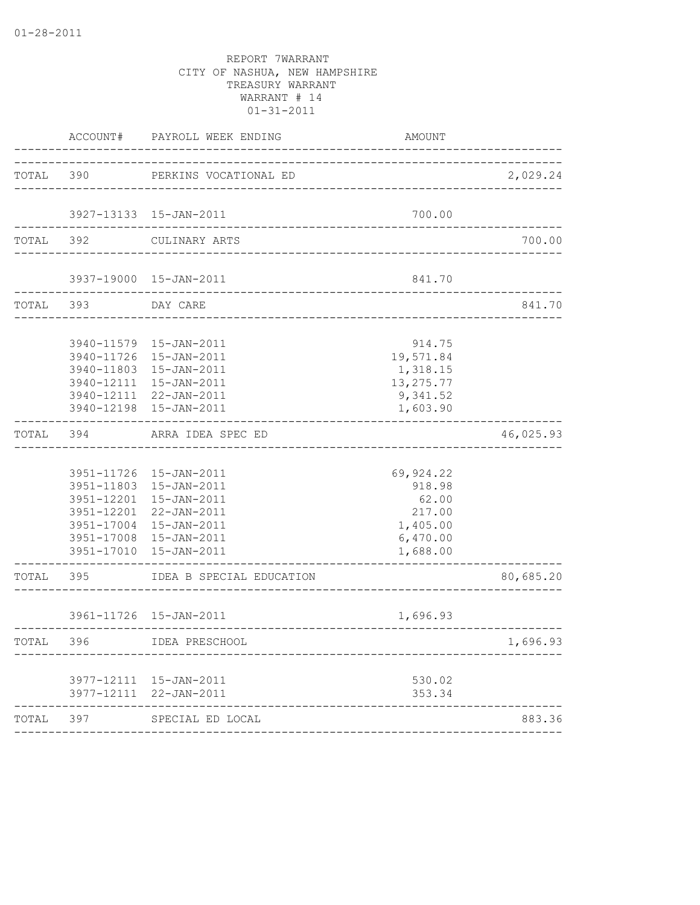|           | ACCOUNT#           | PAYROLL WEEK ENDING                                                                                                                                                                | AMOUNT                                                                     |           |
|-----------|--------------------|------------------------------------------------------------------------------------------------------------------------------------------------------------------------------------|----------------------------------------------------------------------------|-----------|
| TOTAL 390 |                    | PERKINS VOCATIONAL ED                                                                                                                                                              | ___________________________________                                        | 2,029.24  |
|           |                    | 3927-13133 15-JAN-2011                                                                                                                                                             | 700.00                                                                     |           |
| TOTAL 392 |                    | CULINARY ARTS                                                                                                                                                                      |                                                                            | 700.00    |
|           |                    | 3937-19000 15-JAN-2011<br>-----------------------------------                                                                                                                      | 841.70                                                                     |           |
|           | TOTAL 393 DAY CARE |                                                                                                                                                                                    |                                                                            | 841.70    |
|           |                    | 3940-11579 15-JAN-2011<br>3940-11726 15-JAN-2011<br>3940-11803 15-JAN-2011<br>3940-12111 15-JAN-2011<br>3940-12111 22-JAN-2011<br>3940-12198 15-JAN-2011                           | 914.75<br>19,571.84<br>1,318.15<br>13,275.77<br>9,341.52<br>1,603.90       |           |
|           |                    | TOTAL 394 ARRA IDEA SPEC ED                                                                                                                                                        |                                                                            | 46,025.93 |
|           |                    | 3951-11726 15-JAN-2011<br>3951-11803 15-JAN-2011<br>3951-12201 15-JAN-2011<br>3951-12201 22-JAN-2011<br>3951-17004 15-JAN-2011<br>3951-17008 15-JAN-2011<br>3951-17010 15-JAN-2011 | 69,924.22<br>918.98<br>62.00<br>217.00<br>1,405.00<br>6,470.00<br>1,688.00 |           |
|           | TOTAL 395          | IDEA B SPECIAL EDUCATION                                                                                                                                                           |                                                                            | 80,685.20 |
|           |                    | 3961-11726 15-JAN-2011                                                                                                                                                             | 1,696.93                                                                   |           |
| TOTAL 396 |                    | IDEA PRESCHOOL                                                                                                                                                                     |                                                                            | 1,696.93  |
|           |                    | 3977-12111 15-JAN-2011<br>3977-12111 22-JAN-2011                                                                                                                                   | 530.02<br>353.34                                                           |           |
| TOTAL     | 397                | SPECIAL ED LOCAL                                                                                                                                                                   |                                                                            | 883.36    |
|           |                    |                                                                                                                                                                                    |                                                                            |           |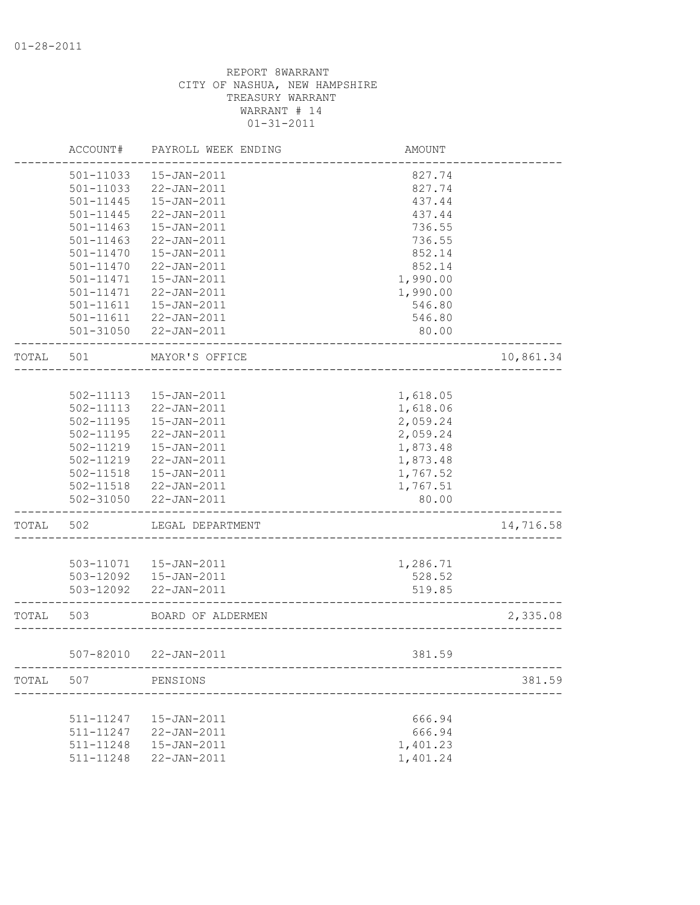|       | ACCOUNT#      | PAYROLL WEEK ENDING   | <b>AMOUNT</b>                 |           |
|-------|---------------|-----------------------|-------------------------------|-----------|
|       | 501-11033     | 15-JAN-2011           | 827.74                        |           |
|       | 501-11033     | 22-JAN-2011           | 827.74                        |           |
|       | 501-11445     | $15 - JAN - 2011$     | 437.44                        |           |
|       | 501-11445     | 22-JAN-2011           | 437.44                        |           |
|       | $501 - 11463$ | $15 - JAN - 2011$     | 736.55                        |           |
|       | 501-11463     | 22-JAN-2011           | 736.55                        |           |
|       | 501-11470     | $15 - JAN - 2011$     | 852.14                        |           |
|       | 501-11470     | 22-JAN-2011           | 852.14                        |           |
|       | 501-11471     | $15 - JAN - 2011$     | 1,990.00                      |           |
|       | 501-11471     | 22-JAN-2011           | 1,990.00                      |           |
|       | 501-11611     | 15-JAN-2011           | 546.80                        |           |
|       |               | 501-11611 22-JAN-2011 | 546.80                        |           |
|       |               | 501-31050 22-JAN-2011 | 80.00                         |           |
| TOTAL | 501           | MAYOR'S OFFICE        |                               | 10,861.34 |
|       |               |                       |                               |           |
|       | 502-11113     | 15-JAN-2011           | 1,618.05                      |           |
|       | 502-11113     | 22-JAN-2011           | 1,618.06                      |           |
|       | 502-11195     | 15-JAN-2011           | 2,059.24                      |           |
|       | 502-11195     | 22-JAN-2011           | 2,059.24                      |           |
|       | 502-11219     | 15-JAN-2011           | 1,873.48                      |           |
|       | 502-11219     | $22 - JAN - 2011$     | 1,873.48                      |           |
|       | 502-11518     | $15 - JAN - 2011$     | 1,767.52                      |           |
|       | 502-11518     | 22-JAN-2011           | 1,767.51                      |           |
|       | 502-31050     | 22-JAN-2011           | 80.00                         |           |
| TOTAL | 502           | LEGAL DEPARTMENT      |                               | 14,716.58 |
|       |               |                       |                               |           |
|       | 503-11071     | 15-JAN-2011           | 1,286.71                      |           |
|       | 503-12092     | 15-JAN-2011           | 528.52                        |           |
|       | 503-12092     | 22-JAN-2011           | 519.85                        |           |
| TOTAL | 503           | BOARD OF ALDERMEN     | _____________________________ | 2,335.08  |
|       |               | 507-82010 22-JAN-2011 | 381.59                        |           |
| TOTAL | 507           | PENSIONS              |                               | 381.59    |
|       |               |                       |                               |           |
|       | 511-11247     | 15-JAN-2011           | 666.94                        |           |
|       | 511-11247     | 22-JAN-2011           | 666.94                        |           |
|       | 511-11248     | $15 - JAN - 2011$     | 1,401.23                      |           |
|       | 511-11248     | $22 - JAN - 2011$     | 1,401.24                      |           |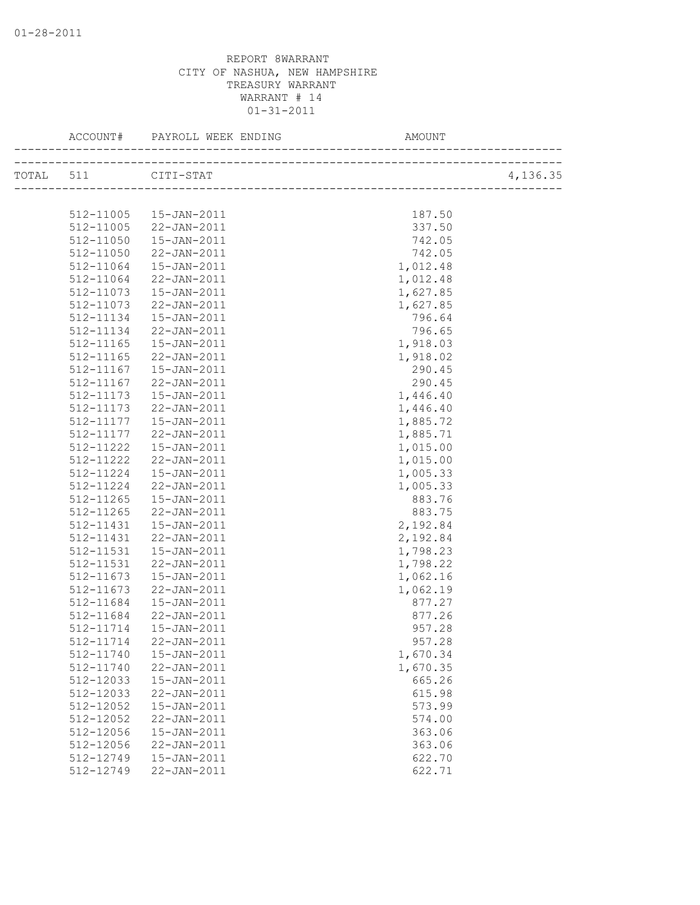|                     |                        | AMOUNT   |          |
|---------------------|------------------------|----------|----------|
| TOTAL 511 CITI-STAT |                        |          | 4,136.35 |
|                     |                        |          |          |
|                     | 512-11005  15-JAN-2011 | 187.50   |          |
|                     | 512-11005 22-JAN-2011  | 337.50   |          |
|                     | 512-11050  15-JAN-2011 | 742.05   |          |
| 512-11050           | 22-JAN-2011            | 742.05   |          |
| 512-11064           | 15-JAN-2011            | 1,012.48 |          |
| 512-11064           | 22-JAN-2011            | 1,012.48 |          |
| 512-11073           | 15-JAN-2011            | 1,627.85 |          |
| 512-11073           | 22-JAN-2011            | 1,627.85 |          |
| 512-11134           | 15-JAN-2011            | 796.64   |          |
| 512-11134           | 22-JAN-2011            | 796.65   |          |
| $512 - 11165$       | 15-JAN-2011            | 1,918.03 |          |
| 512-11165           | 22-JAN-2011            | 1,918.02 |          |
| 512-11167           | 15-JAN-2011            | 290.45   |          |
| 512-11167           | 22-JAN-2011            | 290.45   |          |
| 512-11173           | 15-JAN-2011            | 1,446.40 |          |
| 512-11173           | 22-JAN-2011            | 1,446.40 |          |
| 512-11177           | 15-JAN-2011            | 1,885.72 |          |
| 512-11177           | 22-JAN-2011            | 1,885.71 |          |
| 512-11222           | 15-JAN-2011            | 1,015.00 |          |
| 512-11222           | 22-JAN-2011            | 1,015.00 |          |
| 512-11224           | 15-JAN-2011            | 1,005.33 |          |
| 512-11224           | 22-JAN-2011            | 1,005.33 |          |
| 512-11265           | 15-JAN-2011            | 883.76   |          |
| 512-11265           | 22-JAN-2011            | 883.75   |          |
| 512-11431           | 15-JAN-2011            | 2,192.84 |          |
| 512-11431           | 22-JAN-2011            | 2,192.84 |          |
| 512-11531           | 15-JAN-2011            | 1,798.23 |          |
| 512-11531           | 22-JAN-2011            | 1,798.22 |          |
| 512-11673           | 15-JAN-2011            | 1,062.16 |          |
| 512-11673           | 22-JAN-2011            | 1,062.19 |          |
| 512-11684           | $15 - JAN - 2011$      | 877.27   |          |
| 512-11684           | 22-JAN-2011            | 877.26   |          |
| 512-11714           | 15-JAN-2011            | 957.28   |          |
| 512-11714           | $22 - JAN - 2011$      | 957.28   |          |
| 512-11740           | $15 - JAN - 2011$      | 1,670.34 |          |
| 512-11740           | $22 - JAN - 2011$      | 1,670.35 |          |
| 512-12033           | 15-JAN-2011            | 665.26   |          |
| 512-12033           | 22-JAN-2011            | 615.98   |          |
| 512-12052           | 15-JAN-2011            | 573.99   |          |
| 512-12052           | 22-JAN-2011            | 574.00   |          |
| 512-12056           | 15-JAN-2011            | 363.06   |          |
| 512-12056           | $22 - JAN - 2011$      | 363.06   |          |
| 512-12749           | $15 - JAN - 2011$      | 622.70   |          |
| 512-12749           | 22-JAN-2011            | 622.71   |          |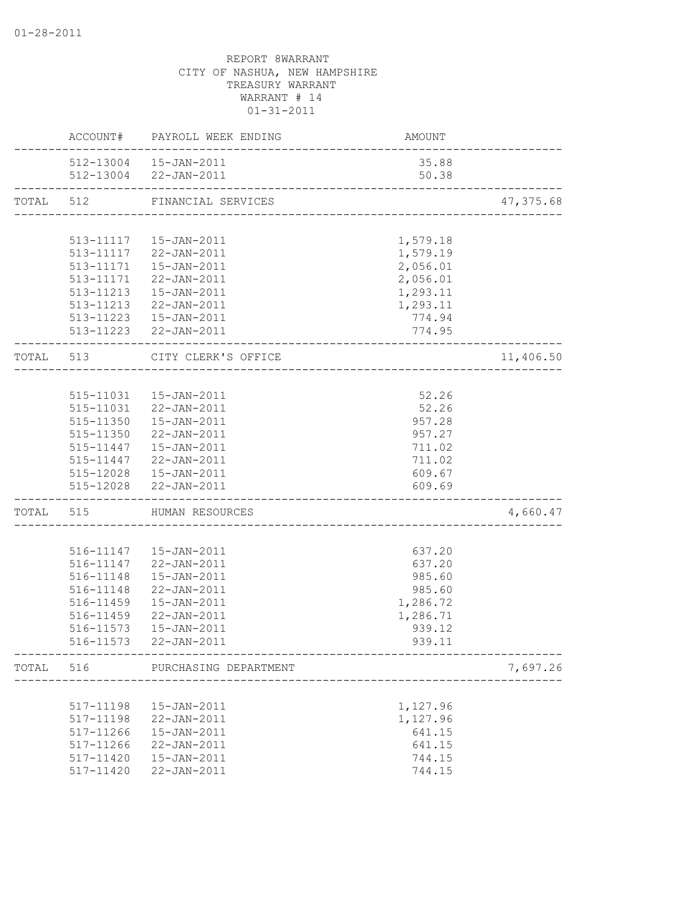|           |                    | ACCOUNT# PAYROLL WEEK ENDING                    | AMOUNT                     |           |
|-----------|--------------------|-------------------------------------------------|----------------------------|-----------|
|           |                    | 512-13004  15-JAN-2011<br>512-13004 22-JAN-2011 | 35.88<br>50.38             |           |
| TOTAL 512 |                    | FINANCIAL SERVICES                              |                            | 47,375.68 |
|           |                    |                                                 |                            |           |
|           |                    | 513-11117  15-JAN-2011                          | 1,579.18                   |           |
|           |                    | 513-11117 22-JAN-2011                           | 1,579.19                   |           |
|           |                    | 513-11171  15-JAN-2011                          | 2,056.01                   |           |
|           |                    | 513-11171 22-JAN-2011                           | 2,056.01                   |           |
|           |                    | 513-11213  15-JAN-2011                          | 1,293.11                   |           |
|           |                    | 513-11213 22-JAN-2011                           | 1,293.11                   |           |
|           |                    | 513-11223  15-JAN-2011                          | 774.94                     |           |
|           |                    | 513-11223 22-JAN-2011                           | 774.95                     |           |
|           |                    | TOTAL 513 CITY CLERK'S OFFICE                   | ---------------------      | 11,406.50 |
|           |                    |                                                 |                            |           |
|           |                    | 515-11031  15-JAN-2011                          | 52.26                      |           |
|           |                    | 515-11031 22-JAN-2011                           | 52.26                      |           |
|           |                    | 515-11350  15-JAN-2011                          | 957.28                     |           |
|           |                    | 515-11350 22-JAN-2011                           | 957.27                     |           |
|           |                    | 515-11447   15-JAN-2011                         | 711.02                     |           |
|           |                    | 515-11447 22-JAN-2011                           | 711.02                     |           |
|           |                    | 515-12028  15-JAN-2011                          | 609.67                     |           |
|           | ------------------ | 515-12028 22-JAN-2011                           | 609.69                     |           |
|           |                    | TOTAL 515 HUMAN RESOURCES                       | -------------------------- | 4,660.47  |
|           |                    |                                                 |                            |           |
|           |                    | 516-11147   15-JAN-2011                         | 637.20                     |           |
|           |                    | 516-11147 22-JAN-2011                           | 637.20                     |           |
|           | 516-11148          | 15-JAN-2011                                     | 985.60                     |           |
|           | 516-11148          | 22-JAN-2011                                     | 985.60                     |           |
|           | 516-11459          | $15 - JAN - 2011$<br>22-JAN-2011                | 1,286.72                   |           |
|           | 516-11459          | 516-11573   15-JAN-2011                         | 1,286.71<br>939.12         |           |
|           |                    | 516-11573 22-JAN-2011                           | 939.11                     |           |
| TOTAL     | 516                | PURCHASING DEPARTMENT                           |                            | 7,697.26  |
|           |                    |                                                 |                            |           |
|           | 517-11198          | 15-JAN-2011                                     | 1,127.96                   |           |
|           | 517-11198          | 22-JAN-2011                                     | 1,127.96                   |           |
|           | 517-11266          | $15 - JAN - 2011$                               | 641.15                     |           |
|           | 517-11266          | 22-JAN-2011                                     | 641.15                     |           |
|           | 517-11420          | $15 - JAN - 2011$                               | 744.15                     |           |
|           | 517-11420          | 22-JAN-2011                                     | 744.15                     |           |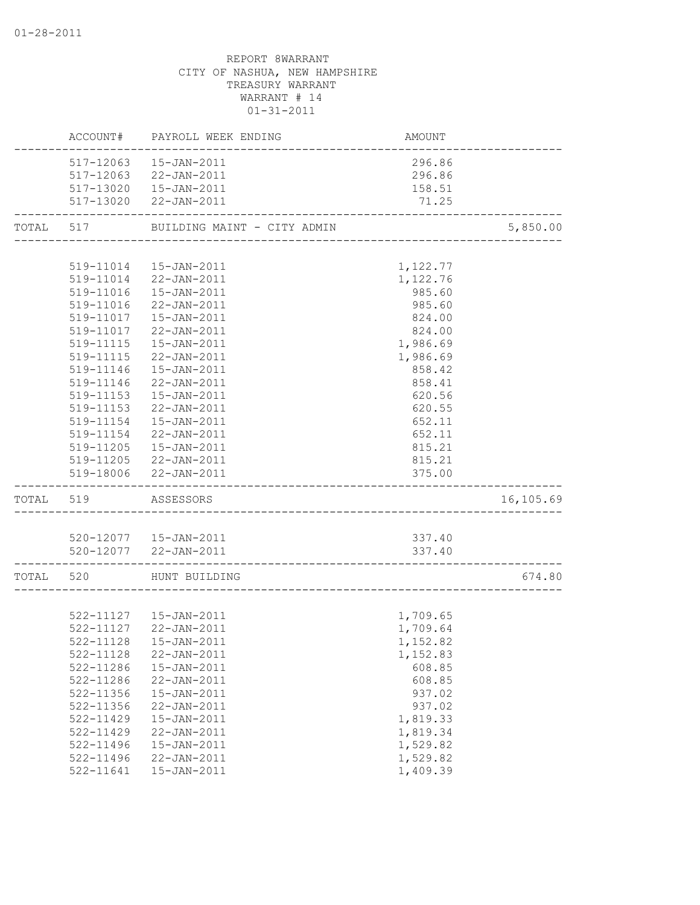|           |                        | ACCOUNT# PAYROLL WEEK ENDING          | AMOUNT   |           |
|-----------|------------------------|---------------------------------------|----------|-----------|
|           |                        | 517-12063  15-JAN-2011                | 296.86   |           |
|           | 517-12063              | 22-JAN-2011                           | 296.86   |           |
|           |                        | 517-13020  15-JAN-2011                | 158.51   |           |
|           | ---------------------- | 517-13020 22-JAN-2011                 | 71.25    |           |
|           |                        | TOTAL 517 BUILDING MAINT - CITY ADMIN |          | 5,850.00  |
|           |                        |                                       |          |           |
|           |                        | 519-11014  15-JAN-2011                | 1,122.77 |           |
|           |                        | 519-11014 22-JAN-2011                 | 1,122.76 |           |
|           |                        | 519-11016  15-JAN-2011                | 985.60   |           |
|           | 519-11016              | 22-JAN-2011                           | 985.60   |           |
|           | 519-11017              | 15-JAN-2011                           | 824.00   |           |
|           |                        | 519-11017 22-JAN-2011                 | 824.00   |           |
|           |                        | 519-11115  15-JAN-2011                | 1,986.69 |           |
|           |                        | 519-11115 22-JAN-2011                 | 1,986.69 |           |
|           |                        | 519-11146  15-JAN-2011                | 858.42   |           |
|           | 519-11146              | 22-JAN-2011                           | 858.41   |           |
|           | 519-11153              | 15-JAN-2011                           | 620.56   |           |
|           | 519-11153              | 22-JAN-2011                           | 620.55   |           |
|           | 519-11154              | 15-JAN-2011                           | 652.11   |           |
|           | 519-11154              | 22-JAN-2011                           | 652.11   |           |
|           | 519-11205              | 15-JAN-2011                           | 815.21   |           |
|           |                        | 519-11205 22-JAN-2011                 | 815.21   |           |
|           |                        | 519-18006 22-JAN-2011                 | 375.00   |           |
| TOTAL 519 |                        | ASSESSORS                             |          | 16,105.69 |
|           |                        |                                       |          |           |
|           |                        | 520-12077  15-JAN-2011                | 337.40   |           |
|           | -----------------      | 520-12077 22-JAN-2011                 | 337.40   |           |
|           |                        | TOTAL 520 HUNT BUILDING               |          | 674.80    |
|           |                        |                                       |          |           |
|           |                        | 522-11127  15-JAN-2011                | 1,709.65 |           |
|           |                        | 522-11127 22-JAN-2011                 | 1,709.64 |           |
|           |                        | 522-11128  15-JAN-2011                | 1,152.82 |           |
|           | 522-11128              | 22-JAN-2011                           | 1,152.83 |           |
|           | 522-11286              | 15-JAN-2011                           | 608.85   |           |
|           | 522-11286              | 22-JAN-2011                           | 608.85   |           |
|           | 522-11356              | $15 - JAN - 2011$                     | 937.02   |           |
|           | 522-11356              | 22-JAN-2011                           | 937.02   |           |
|           | $522 - 11429$          | 15-JAN-2011                           | 1,819.33 |           |
|           | 522-11429              | 22-JAN-2011                           | 1,819.34 |           |
|           | 522-11496              | 15-JAN-2011                           | 1,529.82 |           |
|           | 522-11496              | 22-JAN-2011                           | 1,529.82 |           |
|           | 522-11641              | 15-JAN-2011                           | 1,409.39 |           |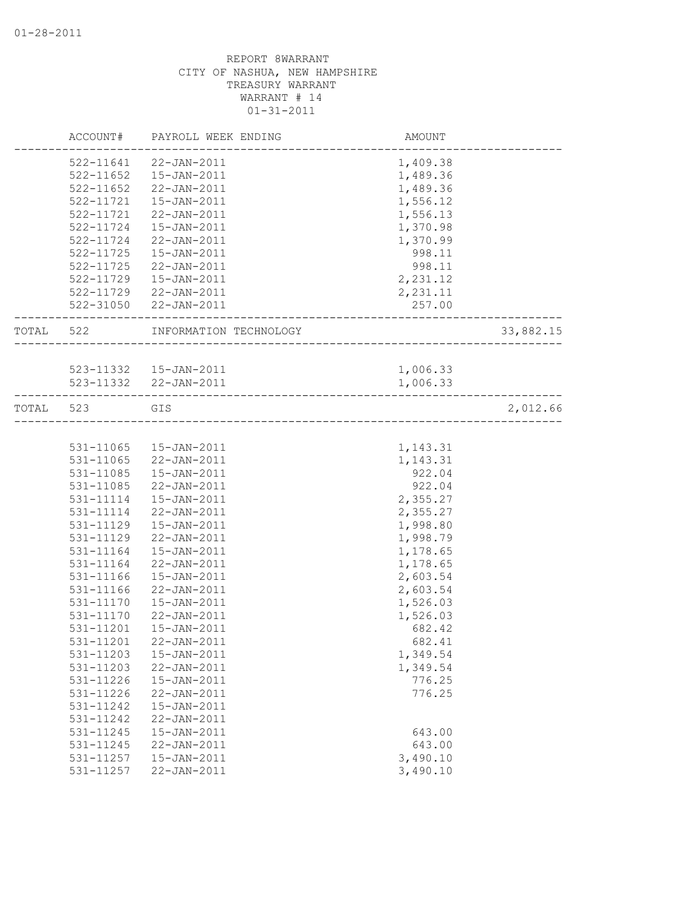|           | ACCOUNT#      | PAYROLL WEEK ENDING    | AMOUNT   |           |
|-----------|---------------|------------------------|----------|-----------|
|           |               | 522-11641 22-JAN-2011  | 1,409.38 |           |
|           | $522 - 11652$ | 15-JAN-2011            | 1,489.36 |           |
|           | 522-11652     | 22-JAN-2011            | 1,489.36 |           |
|           | 522-11721     | 15-JAN-2011            | 1,556.12 |           |
|           | 522-11721     | 22-JAN-2011            | 1,556.13 |           |
|           | 522-11724     | $15 - JAN - 2011$      | 1,370.98 |           |
|           | 522-11724     | 22-JAN-2011            | 1,370.99 |           |
|           | 522-11725     | $15 - JAN - 2011$      | 998.11   |           |
|           | 522-11725     | 22-JAN-2011            | 998.11   |           |
|           | 522-11729     | 15-JAN-2011            | 2,231.12 |           |
|           |               | 522-11729 22-JAN-2011  | 2,231.11 |           |
|           |               | 522-31050 22-JAN-2011  | 257.00   |           |
| TOTAL 522 |               | INFORMATION TECHNOLOGY |          | 33,882.15 |
|           |               |                        |          |           |
|           |               | 523-11332  15-JAN-2011 | 1,006.33 |           |
|           |               | 523-11332 22-JAN-2011  | 1,006.33 |           |
| TOTAL     | 523           | GIS                    |          | 2,012.66  |
|           |               |                        |          |           |
|           | 531-11065     | 15-JAN-2011            | 1,143.31 |           |
|           | 531-11065     | 22-JAN-2011            | 1,143.31 |           |
|           | 531-11085     | $15 - JAN - 2011$      | 922.04   |           |
|           | 531-11085     | 22-JAN-2011            | 922.04   |           |
|           | 531-11114     | 15-JAN-2011            | 2,355.27 |           |
|           | 531-11114     | 22-JAN-2011            | 2,355.27 |           |
|           | 531-11129     | 15-JAN-2011            | 1,998.80 |           |
|           | 531-11129     | 22-JAN-2011            | 1,998.79 |           |
|           | 531-11164     | 15-JAN-2011            | 1,178.65 |           |
|           | 531-11164     | 22-JAN-2011            | 1,178.65 |           |
|           | 531-11166     | $15 - JAN - 2011$      | 2,603.54 |           |
|           | 531-11166     | 22-JAN-2011            | 2,603.54 |           |
|           | 531-11170     | 15-JAN-2011            | 1,526.03 |           |
|           | 531-11170     | 22-JAN-2011            | 1,526.03 |           |
|           | 531-11201     | $15 - JAN - 2011$      | 682.42   |           |
|           | 531-11201     | $22 - JAN - 2011$      | 682.41   |           |
|           | 531-11203     | 15-JAN-2011            | 1,349.54 |           |
|           | 531-11203     | 22-JAN-2011            | 1,349.54 |           |
|           | 531-11226     | $15 - JAN - 2011$      | 776.25   |           |
|           | 531-11226     | 22-JAN-2011            | 776.25   |           |
|           | 531-11242     | 15-JAN-2011            |          |           |
|           | 531-11242     | $22 - JAN - 2011$      |          |           |
|           | 531-11245     | $15 - JAN - 2011$      | 643.00   |           |
|           | 531-11245     | 22-JAN-2011            | 643.00   |           |
|           | 531-11257     | $15 - JAN - 2011$      | 3,490.10 |           |
|           | 531-11257     | 22-JAN-2011            | 3,490.10 |           |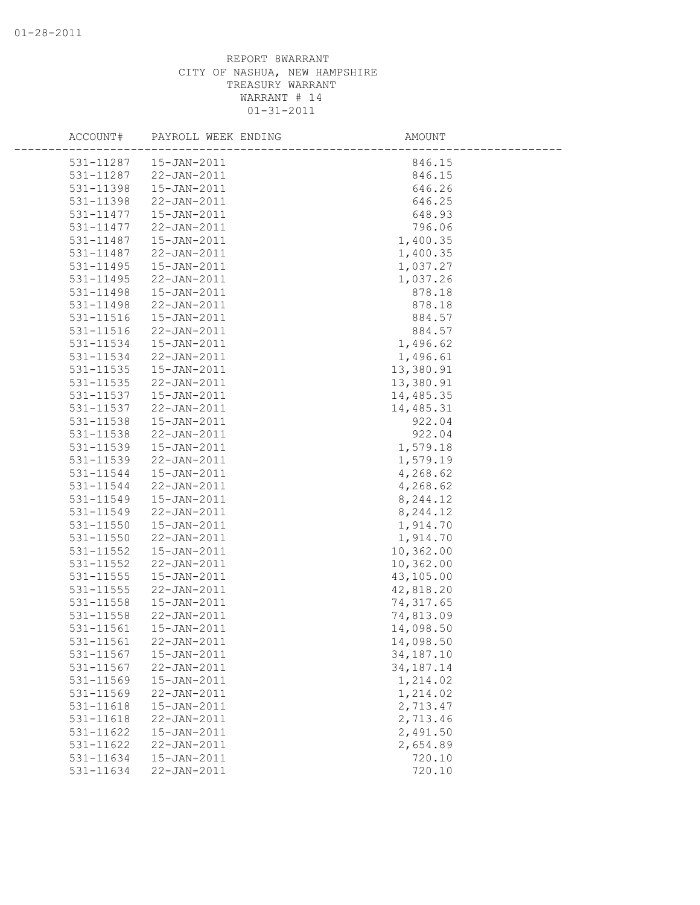| ACCOUNT#                       | PAYROLL WEEK ENDING | AMOUNT      |
|--------------------------------|---------------------|-------------|
| 15-JAN-2011<br>531-11287       |                     | 846.15      |
| 531-11287<br>22-JAN-2011       |                     | 846.15      |
| 531-11398<br>$15 - JAN - 2011$ |                     | 646.26      |
| 531-11398<br>22-JAN-2011       |                     | 646.25      |
| 531-11477<br>15-JAN-2011       |                     | 648.93      |
| 531-11477<br>22-JAN-2011       |                     | 796.06      |
| 531-11487<br>15-JAN-2011       |                     | 1,400.35    |
| 531-11487<br>22-JAN-2011       |                     | 1,400.35    |
| 531-11495<br>15-JAN-2011       |                     | 1,037.27    |
| 531-11495<br>22-JAN-2011       |                     | 1,037.26    |
| 15-JAN-2011<br>531-11498       |                     | 878.18      |
| 531-11498<br>22-JAN-2011       |                     | 878.18      |
| 531-11516<br>15-JAN-2011       |                     | 884.57      |
| 531-11516<br>22-JAN-2011       |                     | 884.57      |
| 531-11534<br>$15 - JAN - 2011$ |                     | 1,496.62    |
| 531-11534<br>22-JAN-2011       |                     | 1,496.61    |
| 531-11535<br>15-JAN-2011       |                     | 13,380.91   |
| 531-11535<br>22-JAN-2011       |                     | 13,380.91   |
| 531-11537<br>$15 - JAN - 2011$ |                     | 14,485.35   |
| 531-11537<br>22-JAN-2011       |                     | 14,485.31   |
| 531-11538<br>15-JAN-2011       |                     | 922.04      |
| 531-11538<br>22-JAN-2011       |                     | 922.04      |
| 531-11539<br>15-JAN-2011       |                     | 1,579.18    |
| 531-11539<br>22-JAN-2011       |                     | 1,579.19    |
| 531-11544<br>15-JAN-2011       |                     | 4,268.62    |
| 531-11544<br>22-JAN-2011       |                     | 4,268.62    |
| 531-11549<br>15-JAN-2011       |                     | 8,244.12    |
| 531-11549<br>22-JAN-2011       |                     | 8,244.12    |
| 15-JAN-2011<br>531-11550       |                     | 1,914.70    |
| 531-11550<br>22-JAN-2011       |                     | 1,914.70    |
| 531-11552<br>15-JAN-2011       |                     | 10,362.00   |
| 531-11552<br>22-JAN-2011       |                     | 10,362.00   |
| 531-11555<br>15-JAN-2011       |                     | 43,105.00   |
| 531-11555<br>22-JAN-2011       |                     | 42,818.20   |
| 531-11558<br>$15 - JAN - 2011$ |                     | 74, 317.65  |
| $531 - 11558$<br>22-JAN-2011   |                     | 74,813.09   |
| 531-11561<br>$15 - JAN - 2011$ |                     | 14,098.50   |
| 531-11561<br>22-JAN-2011       |                     | 14,098.50   |
| 531-11567<br>15-JAN-2011       |                     | 34,187.10   |
| 531-11567<br>22-JAN-2011       |                     | 34, 187. 14 |
| 531-11569<br>15-JAN-2011       |                     | 1,214.02    |
| 531-11569<br>22-JAN-2011       |                     | 1,214.02    |
| 531-11618<br>15-JAN-2011       |                     | 2,713.47    |
| 531-11618<br>22-JAN-2011       |                     | 2,713.46    |
| 531-11622<br>15-JAN-2011       |                     | 2,491.50    |
| 531-11622<br>$22 - JAN - 2011$ |                     | 2,654.89    |
| 531-11634<br>15-JAN-2011       |                     | 720.10      |
| 531-11634<br>22-JAN-2011       |                     | 720.10      |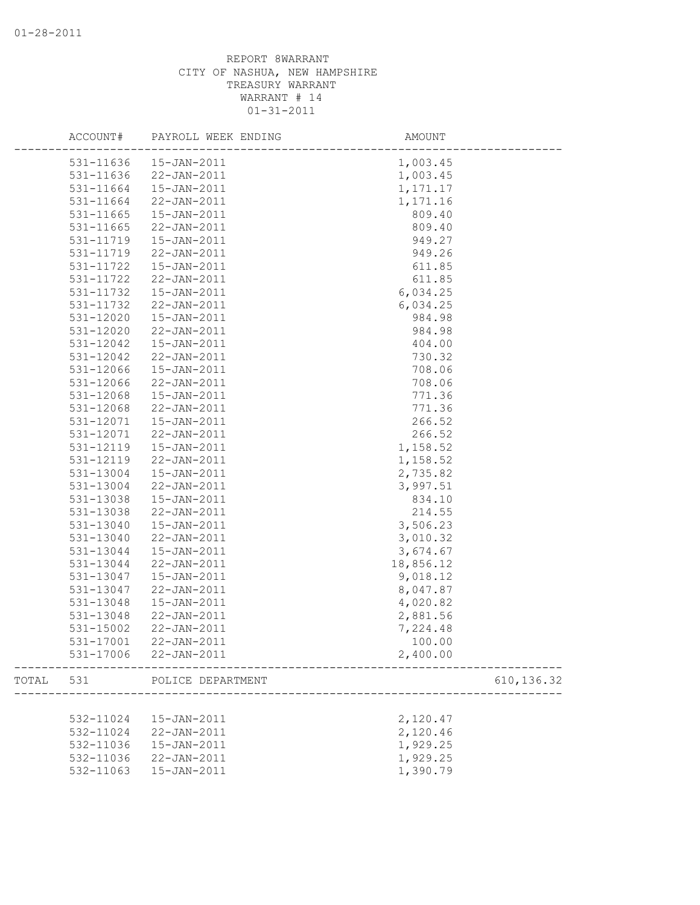|       | ACCOUNT#  | PAYROLL WEEK ENDING | AMOUNT      |  |
|-------|-----------|---------------------|-------------|--|
|       | 531-11636 | 15-JAN-2011         | 1,003.45    |  |
|       | 531-11636 | 22-JAN-2011         | 1,003.45    |  |
|       | 531-11664 | $15 - JAN - 2011$   | 1, 171. 17  |  |
|       | 531-11664 | 22-JAN-2011         | 1,171.16    |  |
|       | 531-11665 | 15-JAN-2011         | 809.40      |  |
|       | 531-11665 | 22-JAN-2011         | 809.40      |  |
|       | 531-11719 | $15 - JAN - 2011$   | 949.27      |  |
|       | 531-11719 | 22-JAN-2011         | 949.26      |  |
|       | 531-11722 | 15-JAN-2011         | 611.85      |  |
|       | 531-11722 | $22 - JAN - 2011$   | 611.85      |  |
|       | 531-11732 | $15 - JAN - 2011$   | 6,034.25    |  |
|       | 531-11732 | 22-JAN-2011         | 6,034.25    |  |
|       | 531-12020 | 15-JAN-2011         | 984.98      |  |
|       | 531-12020 | 22-JAN-2011         | 984.98      |  |
|       | 531-12042 | $15 - JAN - 2011$   | 404.00      |  |
|       | 531-12042 | 22-JAN-2011         | 730.32      |  |
|       | 531-12066 | 15-JAN-2011         | 708.06      |  |
|       | 531-12066 | $22 - JAN - 2011$   | 708.06      |  |
|       | 531-12068 | $15 - JAN - 2011$   | 771.36      |  |
|       | 531-12068 | 22-JAN-2011         | 771.36      |  |
|       | 531-12071 | $15 - JAN - 2011$   | 266.52      |  |
|       | 531-12071 | 22-JAN-2011         | 266.52      |  |
|       | 531-12119 | 15-JAN-2011         | 1,158.52    |  |
|       | 531-12119 | 22-JAN-2011         | 1,158.52    |  |
|       | 531-13004 | $15 - JAN - 2011$   | 2,735.82    |  |
|       | 531-13004 | 22-JAN-2011         | 3,997.51    |  |
|       | 531-13038 | 15-JAN-2011         | 834.10      |  |
|       | 531-13038 | 22-JAN-2011         | 214.55      |  |
|       | 531-13040 | $15 - JAN - 2011$   | 3,506.23    |  |
|       | 531-13040 | 22-JAN-2011         | 3,010.32    |  |
|       | 531-13044 | 15-JAN-2011         | 3,674.67    |  |
|       | 531-13044 | 22-JAN-2011         | 18,856.12   |  |
|       | 531-13047 | 15-JAN-2011         | 9,018.12    |  |
|       | 531-13047 | 22-JAN-2011         | 8,047.87    |  |
|       | 531-13048 | 15-JAN-2011         | 4,020.82    |  |
|       | 531-13048 | $22 - JAN - 2011$   | 2,881.56    |  |
|       | 531-15002 | $22 - JAN - 2011$   | 7,224.48    |  |
|       | 531-17001 | $22 - JAN - 2011$   | 100.00      |  |
|       | 531-17006 | 22-JAN-2011         | 2,400.00    |  |
| TOTAL | 531       | POLICE DEPARTMENT   | 610, 136.32 |  |
|       |           |                     |             |  |
|       | 532-11024 | 15-JAN-2011         | 2,120.47    |  |
|       | 532-11024 | 22-JAN-2011         | 2,120.46    |  |
|       | 532-11036 | 15-JAN-2011         | 1,929.25    |  |
|       | 532-11036 | 22-JAN-2011         | 1,929.25    |  |
|       | 532-11063 | 15-JAN-2011         | 1,390.79    |  |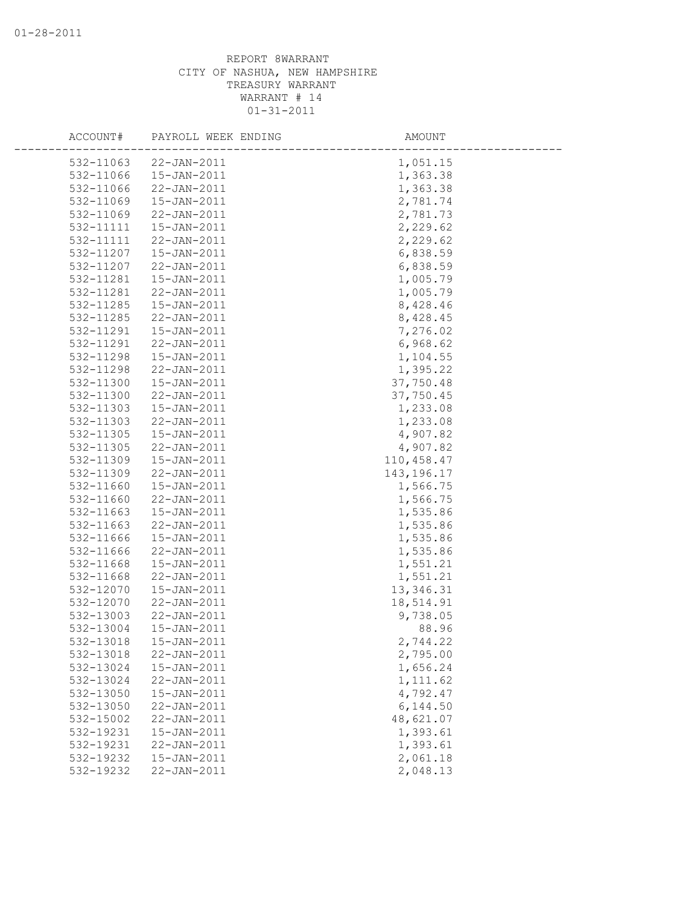| ACCOUNT#  | PAYROLL WEEK ENDING | AMOUNT       |  |
|-----------|---------------------|--------------|--|
| 532-11063 | 22-JAN-2011         | 1,051.15     |  |
| 532-11066 | 15-JAN-2011         | 1,363.38     |  |
| 532-11066 | 22-JAN-2011         | 1,363.38     |  |
| 532-11069 | 15-JAN-2011         | 2,781.74     |  |
| 532-11069 | 22-JAN-2011         | 2,781.73     |  |
| 532-11111 | 15-JAN-2011         | 2,229.62     |  |
| 532-11111 | 22-JAN-2011         | 2,229.62     |  |
| 532-11207 | 15-JAN-2011         | 6,838.59     |  |
| 532-11207 | 22-JAN-2011         | 6,838.59     |  |
| 532-11281 | 15-JAN-2011         | 1,005.79     |  |
| 532-11281 | 22-JAN-2011         | 1,005.79     |  |
| 532-11285 | 15-JAN-2011         | 8,428.46     |  |
| 532-11285 | 22-JAN-2011         | 8,428.45     |  |
| 532-11291 | 15-JAN-2011         | 7,276.02     |  |
| 532-11291 | 22-JAN-2011         | 6,968.62     |  |
| 532-11298 | 15-JAN-2011         | 1,104.55     |  |
| 532-11298 | 22-JAN-2011         | 1,395.22     |  |
| 532-11300 | 15-JAN-2011         | 37,750.48    |  |
| 532-11300 | 22-JAN-2011         | 37,750.45    |  |
| 532-11303 | $15 - JAN - 2011$   | 1,233.08     |  |
| 532-11303 | $22 - JAN - 2011$   | 1,233.08     |  |
| 532-11305 | 15-JAN-2011         | 4,907.82     |  |
| 532-11305 | 22-JAN-2011         | 4,907.82     |  |
| 532-11309 | 15-JAN-2011         | 110,458.47   |  |
| 532-11309 | 22-JAN-2011         | 143, 196. 17 |  |
| 532-11660 | $15 - JAN - 2011$   | 1,566.75     |  |
| 532-11660 | 22-JAN-2011         | 1,566.75     |  |
| 532-11663 | 15-JAN-2011         | 1,535.86     |  |
| 532-11663 | 22-JAN-2011         | 1,535.86     |  |
| 532-11666 | $15 - JAN - 2011$   | 1,535.86     |  |
| 532-11666 | 22-JAN-2011         | 1,535.86     |  |
| 532-11668 | 15-JAN-2011         | 1,551.21     |  |
| 532-11668 | 22-JAN-2011         | 1,551.21     |  |
| 532-12070 | 15-JAN-2011         | 13, 346.31   |  |
| 532-12070 | 22-JAN-2011         | 18,514.91    |  |
| 532-13003 | 22-JAN-2011         | 9,738.05     |  |
| 532-13004 | $15 - JAN - 2011$   | 88.96        |  |
| 532-13018 | 15-JAN-2011         | 2,744.22     |  |
| 532-13018 | 22-JAN-2011         | 2,795.00     |  |
| 532-13024 | 15-JAN-2011         | 1,656.24     |  |
| 532-13024 | 22-JAN-2011         | 1, 111.62    |  |
| 532-13050 | 15-JAN-2011         | 4,792.47     |  |
| 532-13050 | 22-JAN-2011         | 6,144.50     |  |
| 532-15002 | 22-JAN-2011         | 48,621.07    |  |
| 532-19231 | 15-JAN-2011         | 1,393.61     |  |
| 532-19231 | $22 - JAN - 2011$   | 1,393.61     |  |
| 532-19232 | 15-JAN-2011         | 2,061.18     |  |
| 532-19232 | 22-JAN-2011         | 2,048.13     |  |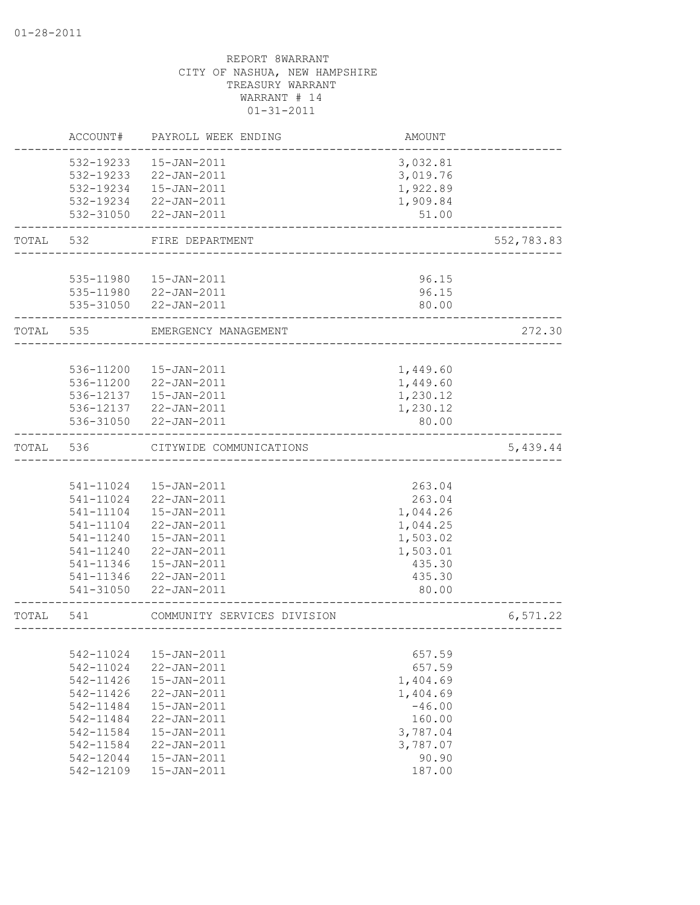|       | ACCOUNT#  | PAYROLL WEEK ENDING         | AMOUNT   |            |
|-------|-----------|-----------------------------|----------|------------|
|       | 532-19233 | 15-JAN-2011                 | 3,032.81 |            |
|       | 532-19233 | 22-JAN-2011                 | 3,019.76 |            |
|       |           | 532-19234  15-JAN-2011      | 1,922.89 |            |
|       |           | 532-19234 22-JAN-2011       | 1,909.84 |            |
|       |           | 532-31050 22-JAN-2011       | 51.00    |            |
|       |           |                             |          |            |
| TOTAL | 532       | FIRE DEPARTMENT             |          | 552,783.83 |
|       |           |                             |          |            |
|       |           | 535-11980  15-JAN-2011      | 96.15    |            |
|       |           | 535-11980 22-JAN-2011       | 96.15    |            |
|       |           | 535-31050 22-JAN-2011       | 80.00    |            |
| TOTAL | 535       | EMERGENCY MANAGEMENT        |          | 272.30     |
|       |           |                             |          |            |
|       | 536-11200 | 15-JAN-2011                 | 1,449.60 |            |
|       | 536-11200 | 22-JAN-2011                 | 1,449.60 |            |
|       | 536-12137 | $15 - JAN - 2011$           | 1,230.12 |            |
|       |           | 536-12137 22-JAN-2011       | 1,230.12 |            |
|       |           | 536-31050 22-JAN-2011       | 80.00    |            |
| TOTAL | 536       | CITYWIDE COMMUNICATIONS     |          | 5,439.44   |
|       |           |                             |          |            |
|       | 541-11024 | 15-JAN-2011                 | 263.04   |            |
|       | 541-11024 | 22-JAN-2011                 | 263.04   |            |
|       | 541-11104 | 15-JAN-2011                 | 1,044.26 |            |
|       | 541-11104 | 22-JAN-2011                 | 1,044.25 |            |
|       | 541-11240 | 15-JAN-2011                 | 1,503.02 |            |
|       | 541-11240 | 22-JAN-2011                 | 1,503.01 |            |
|       | 541-11346 | 15-JAN-2011                 | 435.30   |            |
|       | 541-11346 | 22-JAN-2011                 | 435.30   |            |
|       | 541-31050 | $22 - JAN - 2011$           | 80.00    |            |
| TOTAL | 541       | COMMUNITY SERVICES DIVISION |          | 6,571.22   |
|       |           |                             |          |            |
|       | 542-11024 | $15 - JAN - 2011$           | 657.59   |            |
|       | 542-11024 | 22-JAN-2011                 | 657.59   |            |
|       | 542-11426 | 15-JAN-2011                 | 1,404.69 |            |
|       | 542-11426 | 22-JAN-2011                 | 1,404.69 |            |
|       | 542-11484 | $15 - JAN - 2011$           | $-46.00$ |            |
|       | 542-11484 | 22-JAN-2011                 | 160.00   |            |
|       | 542-11584 | 15-JAN-2011                 | 3,787.04 |            |
|       | 542-11584 | $22 - JAN - 2011$           | 3,787.07 |            |
|       | 542-12044 | $15 - JAN - 2011$           | 90.90    |            |
|       | 542-12109 | 15-JAN-2011                 | 187.00   |            |
|       |           |                             |          |            |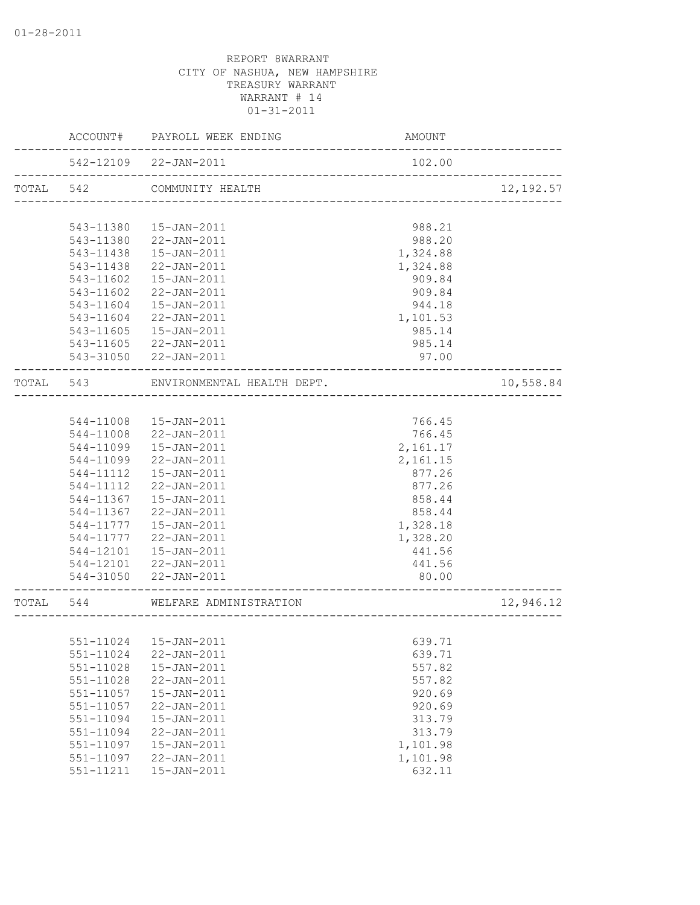|           |           | ACCOUNT# PAYROLL WEEK ENDING                                    | AMOUNT               |            |
|-----------|-----------|-----------------------------------------------------------------|----------------------|------------|
|           |           | 542-12109 22-JAN-2011<br>-------------------------------------- | 102.00               |            |
| TOTAL 542 |           | COMMUNITY HEALTH                                                |                      | 12, 192.57 |
|           |           |                                                                 |                      |            |
|           | 543-11380 | 15-JAN-2011                                                     | 988.21               |            |
|           | 543-11380 | 22-JAN-2011                                                     | 988.20               |            |
|           | 543-11438 | 15-JAN-2011                                                     | 1,324.88             |            |
|           | 543-11438 | 22-JAN-2011                                                     | 1,324.88             |            |
|           | 543-11602 | $15 - JAN - 2011$                                               | 909.84               |            |
|           | 543-11602 | 22-JAN-2011                                                     | 909.84               |            |
|           | 543-11604 | $15 - JAN - 2011$                                               | 944.18               |            |
|           | 543-11604 | 22-JAN-2011                                                     | 1,101.53             |            |
|           | 543-11605 | $15 - JAN - 2011$                                               | 985.14               |            |
|           | 543-11605 | 22-JAN-2011                                                     | 985.14               |            |
|           |           | 543-31050 22-JAN-2011                                           | 97.00                |            |
|           | TOTAL 543 | ENVIRONMENTAL HEALTH DEPT.<br>___________________________       |                      | 10,558.84  |
|           |           |                                                                 |                      |            |
|           |           | 544-11008  15-JAN-2011                                          | 766.45               |            |
|           |           | 544-11008 22-JAN-2011                                           | 766.45               |            |
|           | 544-11099 | 15-JAN-2011                                                     | 2,161.17             |            |
|           | 544-11099 | 22-JAN-2011                                                     | 2,161.15             |            |
|           | 544-11112 | 15-JAN-2011                                                     | 877.26               |            |
|           | 544-11112 | 22-JAN-2011                                                     | 877.26               |            |
|           | 544-11367 | 15-JAN-2011                                                     | 858.44               |            |
|           | 544-11367 | 22-JAN-2011                                                     | 858.44               |            |
|           |           | 544-11777   15-JAN-2011                                         | 1,328.18             |            |
|           |           | 544-11777 22-JAN-2011                                           | 1,328.20             |            |
|           |           | 544-12101  15-JAN-2011                                          | 441.56               |            |
|           |           | 544-12101 22-JAN-2011                                           | 441.56               |            |
|           |           | 544-31050 22-JAN-2011                                           | 80.00                |            |
|           |           | TOTAL 544 WELFARE ADMINISTRATION                                | -------------------- | 12,946.12  |
|           |           |                                                                 | ____________________ |            |
|           |           | 551-11024   15-JAN-2011                                         | 639.71               |            |
|           | 551-11024 | 22-JAN-2011                                                     | 639.71               |            |
|           | 551-11028 | $15 - JAN - 2011$                                               | 557.82               |            |
|           | 551-11028 | 22-JAN-2011                                                     | 557.82               |            |
|           | 551-11057 | 15-JAN-2011                                                     | 920.69               |            |
|           | 551-11057 | 22-JAN-2011                                                     | 920.69               |            |
|           | 551-11094 | 15-JAN-2011                                                     | 313.79               |            |
|           | 551-11094 | 22-JAN-2011                                                     | 313.79               |            |
|           | 551-11097 | 15-JAN-2011                                                     | 1,101.98             |            |
|           | 551-11097 | 22-JAN-2011                                                     | 1,101.98             |            |
|           | 551-11211 | 15-JAN-2011                                                     | 632.11               |            |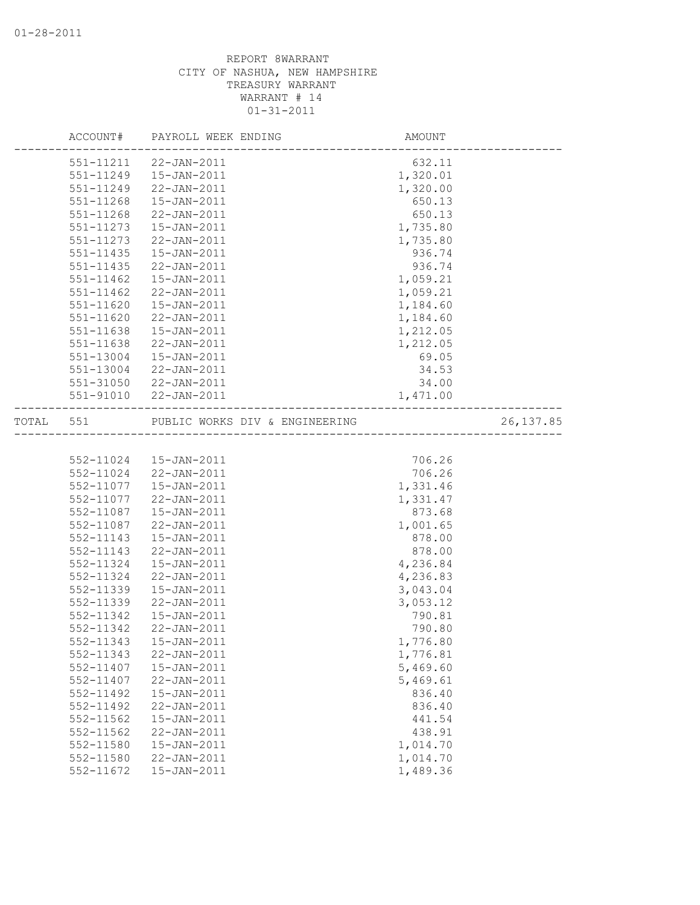|       |               | ACCOUNT# PAYROLL WEEK ENDING   | AMOUNT   |            |
|-------|---------------|--------------------------------|----------|------------|
|       |               | 551-11211 22-JAN-2011          | 632.11   |            |
|       |               | 551-11249  15-JAN-2011         | 1,320.01 |            |
|       | 551-11249     | 22-JAN-2011                    | 1,320.00 |            |
|       | 551-11268     | 15-JAN-2011                    | 650.13   |            |
|       | 551-11268     | 22-JAN-2011                    | 650.13   |            |
|       | 551-11273     | 15-JAN-2011                    | 1,735.80 |            |
|       | 551-11273     | 22-JAN-2011                    | 1,735.80 |            |
|       | $551 - 11435$ | 15-JAN-2011                    | 936.74   |            |
|       | $551 - 11435$ | 22-JAN-2011                    | 936.74   |            |
|       | $551 - 11462$ | 15-JAN-2011                    | 1,059.21 |            |
|       | 551-11462     | 22-JAN-2011                    | 1,059.21 |            |
|       | 551-11620     | 15-JAN-2011                    | 1,184.60 |            |
|       | 551-11620     | 22-JAN-2011                    | 1,184.60 |            |
|       | 551-11638     | 15-JAN-2011                    | 1,212.05 |            |
|       | 551-11638     | 22-JAN-2011                    | 1,212.05 |            |
|       | 551-13004     | 15-JAN-2011                    | 69.05    |            |
|       | 551-13004     | 22-JAN-2011                    | 34.53    |            |
|       |               | 551-31050 22-JAN-2011          | 34.00    |            |
|       |               | 551-91010 22-JAN-2011          | 1,471.00 |            |
|       |               |                                |          |            |
| TOTAL | 551           | PUBLIC WORKS DIV & ENGINEERING |          | 26, 137.85 |
|       |               |                                |          |            |
|       |               | 552-11024  15-JAN-2011         | 706.26   |            |
|       |               | 552-11024 22-JAN-2011          | 706.26   |            |
|       | 552-11077     | 15-JAN-2011                    | 1,331.46 |            |
|       | 552-11077     | 22-JAN-2011                    | 1,331.47 |            |
|       |               | 552-11087  15-JAN-2011         | 873.68   |            |
|       | 552-11087     | 22-JAN-2011                    | 1,001.65 |            |
|       | 552-11143     | 15-JAN-2011                    | 878.00   |            |
|       | 552-11143     | 22-JAN-2011                    | 878.00   |            |
|       | 552-11324     | 15-JAN-2011                    | 4,236.84 |            |
|       | 552-11324     | 22-JAN-2011                    | 4,236.83 |            |
|       | 552-11339     | $15 - JAN - 2011$              | 3,043.04 |            |
|       | 552-11339     | $22 - JAN - 2011$              | 3,053.12 |            |
|       | 552-11342     | 15-JAN-2011                    | 790.81   |            |
|       | 552-11342     | 22-JAN-2011                    | 790.80   |            |
|       | 552-11343     | 15-JAN-2011                    | 1,776.80 |            |
|       | 552-11343     | 22-JAN-2011                    | 1,776.81 |            |
|       | 552-11407     | $15 - JAN - 2011$              | 5,469.60 |            |
|       | 552-11407     | 22-JAN-2011                    | 5,469.61 |            |
|       | 552-11492     | $15 - JAN - 2011$              | 836.40   |            |
|       | 552-11492     | 22-JAN-2011                    | 836.40   |            |
|       | 552-11562     | $15 - JAN - 2011$              | 441.54   |            |
|       | 552-11562     | 22-JAN-2011                    | 438.91   |            |
|       | 552-11580     | $15 - JAN - 2011$              | 1,014.70 |            |
|       | 552-11580     | $22 - JAN - 2011$              | 1,014.70 |            |
|       | 552-11672     | 15-JAN-2011                    | 1,489.36 |            |
|       |               |                                |          |            |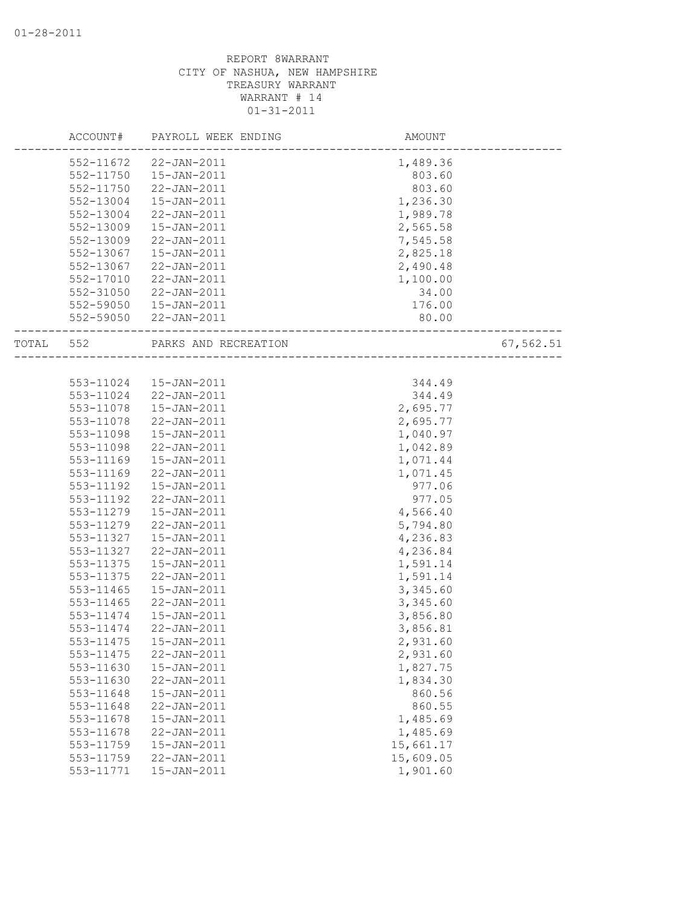|       | ACCOUNT#  | PAYROLL WEEK ENDING    | AMOUNT               |           |
|-------|-----------|------------------------|----------------------|-----------|
|       | 552-11672 | 22-JAN-2011            | 1,489.36             |           |
|       | 552-11750 | 15-JAN-2011            | 803.60               |           |
|       | 552-11750 | 22-JAN-2011            | 803.60               |           |
|       | 552-13004 | 15-JAN-2011            | 1,236.30             |           |
|       | 552-13004 | 22-JAN-2011            | 1,989.78             |           |
|       | 552-13009 | $15 - JAN - 2011$      | 2,565.58             |           |
|       | 552-13009 | 22-JAN-2011            | 7,545.58             |           |
|       | 552-13067 | $15 - JAN - 2011$      | 2,825.18             |           |
|       | 552-13067 | 22-JAN-2011            | 2,490.48             |           |
|       | 552-17010 | 22-JAN-2011            | 1,100.00             |           |
|       | 552-31050 | 22-JAN-2011            | 34.00                |           |
|       | 552-59050 | 15-JAN-2011            | 176.00               |           |
|       |           | 552-59050 22-JAN-2011  | 80.00                |           |
| TOTAL | 552       | PARKS AND RECREATION   |                      | 67,562.51 |
|       |           |                        | -------------------- |           |
|       |           | 553-11024  15-JAN-2011 | 344.49               |           |
|       | 553-11024 | 22-JAN-2011            | 344.49               |           |
|       | 553-11078 | 15-JAN-2011            | 2,695.77             |           |
|       | 553-11078 | 22-JAN-2011            | 2,695.77             |           |
|       | 553-11098 | 15-JAN-2011            | 1,040.97             |           |
|       | 553-11098 | 22-JAN-2011            | 1,042.89             |           |
|       | 553-11169 | $15 - JAN - 2011$      | 1,071.44             |           |
|       | 553-11169 | 22-JAN-2011            | 1,071.45             |           |
|       | 553-11192 | $15 - JAN - 2011$      | 977.06               |           |
|       | 553-11192 | 22-JAN-2011            | 977.05               |           |
|       | 553-11279 | 15-JAN-2011            | 4,566.40             |           |
|       | 553-11279 | 22-JAN-2011            | 5,794.80             |           |
|       | 553-11327 | $15 - JAN - 2011$      | 4,236.83             |           |
|       | 553-11327 | 22-JAN-2011            | 4,236.84             |           |
|       | 553-11375 | $15 - JAN - 2011$      | 1,591.14             |           |
|       | 553-11375 | 22-JAN-2011            | 1,591.14             |           |
|       | 553-11465 | $15 - JAN - 2011$      | 3,345.60             |           |
|       | 553-11465 | $22 - JAN - 2011$      | 3,345.60             |           |
|       | 553-11474 | $15 - JAN - 2011$      | 3,856.80             |           |
|       | 553-11474 | 22-JAN-2011            | 3,856.81             |           |
|       | 553-11475 | $15 - JAN - 2011$      | 2,931.60             |           |
|       | 553-11475 | 22-JAN-2011            | 2,931.60             |           |
|       | 553-11630 | 15-JAN-2011            | 1,827.75             |           |
|       | 553-11630 | $22 - JAN - 2011$      | 1,834.30             |           |
|       | 553-11648 | 15-JAN-2011            | 860.56               |           |
|       | 553-11648 | 22-JAN-2011            | 860.55               |           |
|       | 553-11678 | $15 - JAN - 2011$      | 1,485.69             |           |
|       | 553-11678 | 22-JAN-2011            | 1,485.69             |           |
|       | 553-11759 | $15 - JAN - 2011$      | 15,661.17            |           |
|       | 553-11759 | 22-JAN-2011            | 15,609.05            |           |
|       | 553-11771 | 15-JAN-2011            | 1,901.60             |           |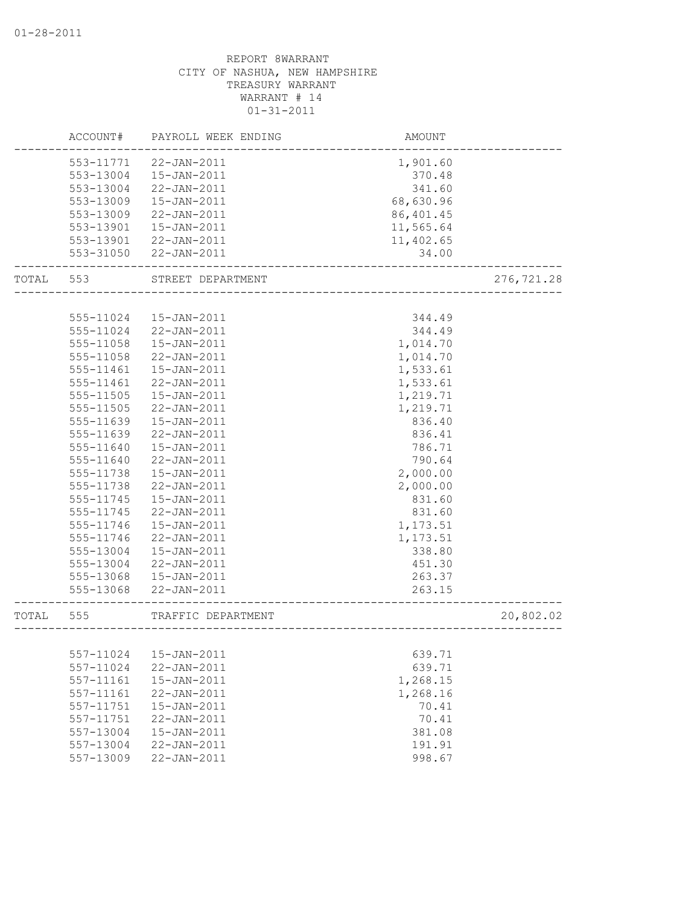|       | ACCOUNT#  | PAYROLL WEEK ENDING | AMOUNT                 |             |
|-------|-----------|---------------------|------------------------|-------------|
|       | 553-11771 | 22-JAN-2011         | 1,901.60               |             |
|       | 553-13004 | $15 - JAN - 2011$   | 370.48                 |             |
|       | 553-13004 | 22-JAN-2011         | 341.60                 |             |
|       | 553-13009 | $15 - JAN - 2011$   | 68,630.96              |             |
|       | 553-13009 | 22-JAN-2011         | 86,401.45              |             |
|       | 553-13901 | 15-JAN-2011         | 11,565.64              |             |
|       | 553-13901 | 22-JAN-2011         | 11,402.65              |             |
|       | 553-31050 | $22 - JAN - 2011$   | 34.00                  |             |
| TOTAL | 553       | STREET DEPARTMENT   |                        | 276, 721.28 |
|       |           |                     |                        |             |
|       | 555-11024 | $15 - JAN - 2011$   | 344.49                 |             |
|       | 555-11024 | 22-JAN-2011         | 344.49                 |             |
|       | 555-11058 | $15 - JAN - 2011$   | 1,014.70               |             |
|       | 555-11058 | 22-JAN-2011         | 1,014.70               |             |
|       | 555-11461 | $15 - JAN - 2011$   | 1,533.61               |             |
|       | 555-11461 | 22-JAN-2011         | 1,533.61               |             |
|       | 555-11505 | $15 - JAN - 2011$   | 1,219.71               |             |
|       | 555-11505 | 22-JAN-2011         | 1,219.71               |             |
|       | 555-11639 | $15 - JAN - 2011$   | 836.40                 |             |
|       | 555-11639 | $22 - JAN - 2011$   | 836.41                 |             |
|       | 555-11640 | 15-JAN-2011         | 786.71                 |             |
|       | 555-11640 | 22-JAN-2011         | 790.64                 |             |
|       | 555-11738 | 15-JAN-2011         | 2,000.00               |             |
|       | 555-11738 | 22-JAN-2011         | 2,000.00               |             |
|       | 555-11745 | 15-JAN-2011         | 831.60                 |             |
|       | 555-11745 | 22-JAN-2011         | 831.60                 |             |
|       | 555-11746 | 15-JAN-2011         | 1,173.51               |             |
|       | 555-11746 | 22-JAN-2011         | 1,173.51               |             |
|       | 555-13004 | $15 - JAN - 2011$   | 338.80                 |             |
|       | 555-13004 | 22-JAN-2011         | 451.30                 |             |
|       | 555-13068 | 15-JAN-2011         | 263.37                 |             |
|       | 555-13068 | $22 - JAN - 2011$   | 263.15                 |             |
| TOTAL | 555       | TRAFFIC DEPARTMENT  | ______________________ | 20,802.02   |
|       |           |                     |                        |             |
|       | 557-11024 | 15-JAN-2011         | 639.71                 |             |
|       | 557-11024 | 22-JAN-2011         | 639.71                 |             |
|       | 557-11161 | 15-JAN-2011         | 1,268.15               |             |
|       | 557-11161 | 22-JAN-2011         | 1,268.16               |             |
|       | 557-11751 | 15-JAN-2011         | 70.41                  |             |
|       | 557-11751 | 22-JAN-2011         | 70.41                  |             |
|       | 557-13004 | 15-JAN-2011         | 381.08                 |             |
|       | 557-13004 | 22-JAN-2011         | 191.91                 |             |
|       | 557-13009 | 22-JAN-2011         | 998.67                 |             |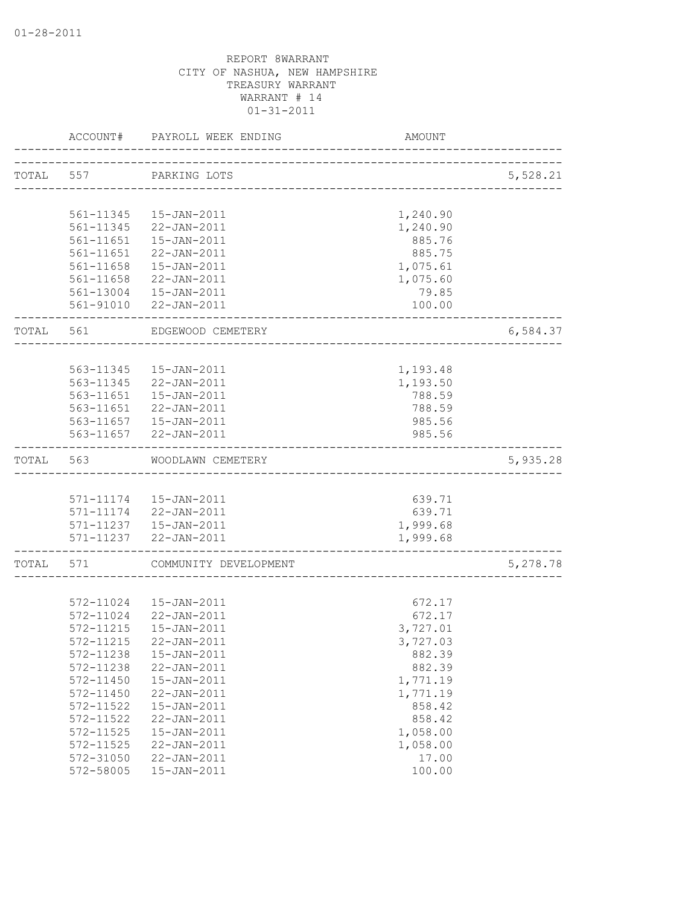|           | ACCOUNT#  | PAYROLL WEEK ENDING                             | AMOUNT                          |          |
|-----------|-----------|-------------------------------------------------|---------------------------------|----------|
|           |           |                                                 |                                 |          |
| TOTAL 557 |           | PARKING LOTS                                    | ------------------------------- | 5,528.21 |
|           |           |                                                 |                                 |          |
|           | 561-11345 | 15-JAN-2011                                     | 1,240.90                        |          |
|           | 561-11345 | 22-JAN-2011                                     | 1,240.90                        |          |
|           | 561-11651 | 15-JAN-2011                                     | 885.76                          |          |
|           | 561-11651 | 22-JAN-2011                                     | 885.75                          |          |
|           | 561-11658 | 15-JAN-2011                                     | 1,075.61                        |          |
|           | 561-11658 | 22-JAN-2011                                     | 1,075.60                        |          |
|           |           | 561-13004  15-JAN-2011<br>561-91010 22-JAN-2011 | 79.85<br>100.00                 |          |
|           |           |                                                 |                                 |          |
| TOTAL     | 561       | EDGEWOOD CEMETERY                               |                                 | 6,584.37 |
|           |           |                                                 |                                 |          |
|           | 563-11345 | 15-JAN-2011                                     | 1,193.48                        |          |
|           | 563-11345 | 22-JAN-2011                                     | 1,193.50                        |          |
|           | 563-11651 | 15-JAN-2011                                     | 788.59                          |          |
|           |           | 563-11651 22-JAN-2011                           | 788.59                          |          |
|           |           | 563-11657  15-JAN-2011                          | 985.56                          |          |
|           |           | 563-11657 22-JAN-2011                           | 985.56                          |          |
| TOTAL     | 563       | WOODLAWN CEMETERY                               |                                 | 5,935.28 |
|           |           |                                                 |                                 |          |
|           |           | 571-11174  15-JAN-2011                          | 639.71                          |          |
|           |           | 571-11174 22-JAN-2011                           | 639.71                          |          |
|           |           | 571-11237  15-JAN-2011                          | 1,999.68                        |          |
|           |           | 571-11237 22-JAN-2011                           | 1,999.68                        |          |
| TOTAL     | 571       | COMMUNITY DEVELOPMENT                           |                                 | 5,278.78 |
|           |           |                                                 |                                 |          |
|           | 572-11024 | 15-JAN-2011                                     | 672.17                          |          |
|           | 572-11024 | 22-JAN-2011                                     | 672.17                          |          |
|           | 572-11215 | $15 - JAN - 2011$                               | 3,727.01                        |          |
|           | 572-11215 | 22-JAN-2011                                     | 3,727.03                        |          |
|           | 572-11238 | 15-JAN-2011                                     | 882.39                          |          |
|           | 572-11238 | $22 - JAN - 2011$                               | 882.39                          |          |
|           | 572-11450 | 15-JAN-2011                                     | 1,771.19                        |          |
|           | 572-11450 | 22-JAN-2011                                     | 1,771.19                        |          |
|           | 572-11522 | 15-JAN-2011                                     | 858.42                          |          |
|           | 572-11522 | 22-JAN-2011                                     | 858.42                          |          |
|           | 572-11525 | 15-JAN-2011                                     | 1,058.00                        |          |
|           | 572-11525 | 22-JAN-2011                                     | 1,058.00                        |          |
|           | 572-31050 | $22 - JAN - 2011$                               | 17.00                           |          |
|           | 572-58005 | 15-JAN-2011                                     | 100.00                          |          |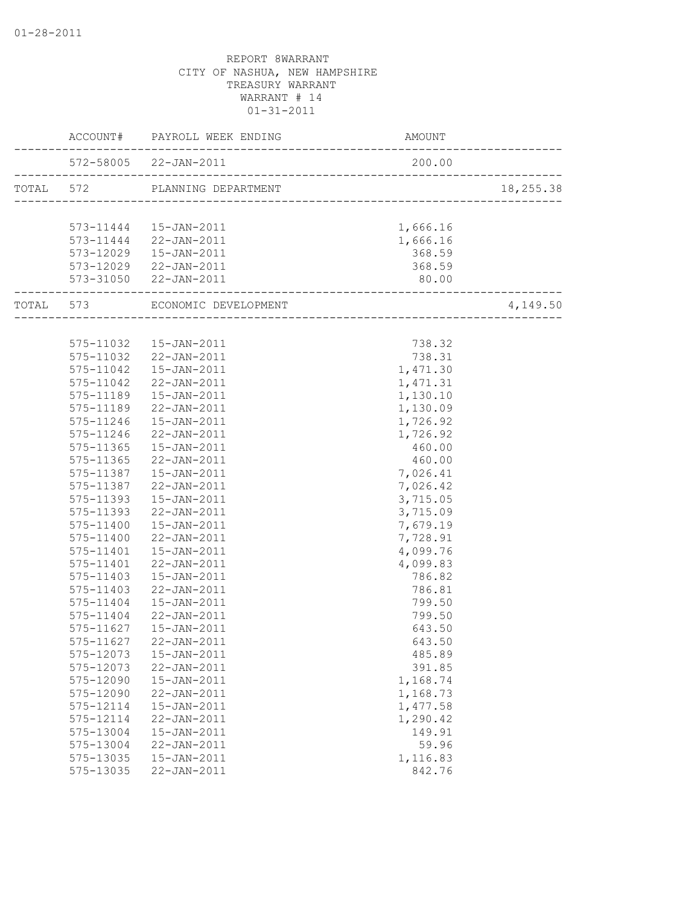|                      | ACCOUNT# PAYROLL WEEK ENDING   | AMOUNT                             |           |
|----------------------|--------------------------------|------------------------------------|-----------|
|                      | 572-58005 22-JAN-2011          | 200.00                             |           |
|                      | TOTAL 572 PLANNING DEPARTMENT  |                                    | 18,255.38 |
|                      |                                |                                    |           |
|                      | 573-11444   15-JAN-2011        | 1,666.16                           |           |
|                      | 573-11444 22-JAN-2011          | 1,666.16                           |           |
|                      | $573-12029$ $15-JAN-2011$      | 368.59                             |           |
|                      | 573-12029 22-JAN-2011          | 368.59                             |           |
|                      | 573-31050 22-JAN-2011          | 80.00<br>------------------------- |           |
| ____________________ | TOTAL 573 ECONOMIC DEVELOPMENT |                                    | 4,149.50  |
|                      |                                |                                    |           |
|                      | 575-11032  15-JAN-2011         | 738.32                             |           |
|                      | 575-11032 22-JAN-2011          | 738.31                             |           |
| 575-11042            | $15 - JAN - 2011$              | 1,471.30                           |           |
|                      | 575-11042 22-JAN-2011          | 1,471.31                           |           |
|                      | 575-11189  15-JAN-2011         | 1,130.10                           |           |
|                      | 575-11189 22-JAN-2011          | 1,130.09                           |           |
|                      | 575-11246  15-JAN-2011         | 1,726.92                           |           |
|                      | 575-11246 22-JAN-2011          | 1,726.92                           |           |
|                      | 575-11365  15-JAN-2011         | 460.00                             |           |
| 575-11365            | $22 - JAN - 2011$              | 460.00                             |           |
|                      | 575-11387  15-JAN-2011         | 7,026.41                           |           |
| 575-11387            | 22-JAN-2011                    | 7,026.42                           |           |
| 575-11393            | $15 - JAN - 2011$              | 3,715.05                           |           |
|                      | 575-11393 22-JAN-2011          | 3,715.09                           |           |
|                      | 575-11400  15-JAN-2011         | 7,679.19                           |           |
|                      | 575-11400 22-JAN-2011          | 7,728.91                           |           |
| 575-11401            | $15 - JAN - 2011$              | 4,099.76                           |           |
| 575-11401            | 22-JAN-2011                    | 4,099.83                           |           |
| 575-11403            | 15-JAN-2011                    | 786.82                             |           |
| 575-11403            | 22-JAN-2011                    | 786.81                             |           |
| 575-11404            | 15-JAN-2011                    | 799.50                             |           |
| 575-11404            | $22 - JAN - 2011$              | 799.50                             |           |
| 575-11627            | $15 - JAN - 2011$              | 643.50                             |           |
|                      | 575-11627 22-JAN-2011          | 643.50                             |           |
| 575-12073            | 15-JAN-2011                    | 485.89                             |           |
| 575-12073            | $22 - JAN - 2011$              | 391.85                             |           |
| 575-12090            | 15-JAN-2011                    | 1,168.74                           |           |
| 575-12090            | 22-JAN-2011                    | 1,168.73                           |           |
| 575-12114            | 15-JAN-2011                    | 1,477.58                           |           |
| 575-12114            | 22-JAN-2011                    | 1,290.42                           |           |
| 575-13004            | 15-JAN-2011                    | 149.91                             |           |
| 575-13004            | 22-JAN-2011                    | 59.96                              |           |
| 575-13035            | 15-JAN-2011                    | 1,116.83                           |           |
| 575-13035            | 22-JAN-2011                    | 842.76                             |           |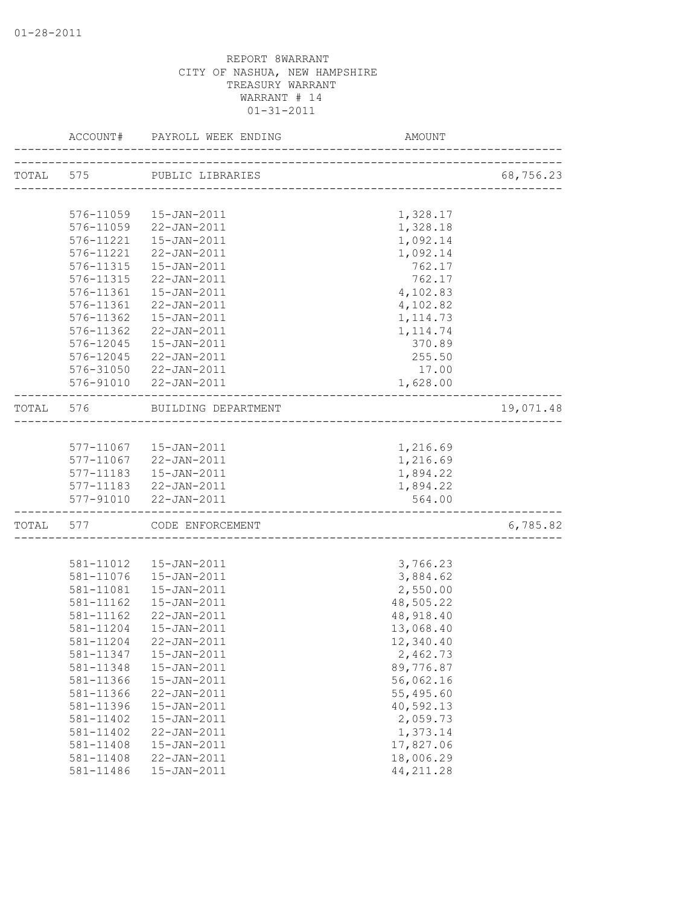|           | ACCOUNT# PAYROLL WEEK ENDING  | AMOUNT                               |           |
|-----------|-------------------------------|--------------------------------------|-----------|
|           | TOTAL 575 PUBLIC LIBRARIES    |                                      | 68,756.23 |
|           |                               | ------------------------------------ |           |
|           | 576-11059  15-JAN-2011        | 1,328.17                             |           |
|           | 576-11059 22-JAN-2011         | 1,328.18                             |           |
|           | 576-11221  15-JAN-2011        | 1,092.14                             |           |
| 576-11221 | 22-JAN-2011                   | 1,092.14                             |           |
| 576-11315 | 15-JAN-2011                   | 762.17                               |           |
| 576-11315 | 22-JAN-2011                   | 762.17                               |           |
| 576-11361 | $15 - JAN - 2011$             | 4,102.83                             |           |
|           | 576-11361 22-JAN-2011         | 4,102.82                             |           |
|           | 576-11362  15-JAN-2011        | 1, 114.73                            |           |
|           | 576-11362 22-JAN-2011         | 1, 114.74                            |           |
| 576-12045 | 15-JAN-2011                   | 370.89                               |           |
| 576-12045 | 22-JAN-2011                   | 255.50                               |           |
|           | 576-31050 22-JAN-2011         | 17.00                                |           |
|           | 576-91010 22-JAN-2011         | 1,628.00                             |           |
|           | TOTAL 576 BUILDING DEPARTMENT |                                      | 19,071.48 |
|           |                               |                                      |           |
|           | 577-11067  15-JAN-2011        | 1,216.69                             |           |
|           | 577-11067 22-JAN-2011         | 1,216.69                             |           |
|           | 577-11183  15-JAN-2011        | 1,894.22                             |           |
|           | 577-11183 22-JAN-2011         | 1,894.22                             |           |
|           | 577-91010 22-JAN-2011         | 564.00                               |           |
|           | TOTAL 577 CODE ENFORCEMENT    |                                      | 6,785.82  |
|           |                               |                                      |           |
|           | 581-11012  15-JAN-2011        | 3,766.23                             |           |
|           | 581-11076  15-JAN-2011        | 3,884.62                             |           |
| 581-11081 | 15-JAN-2011                   | 2,550.00                             |           |
| 581-11162 | 15-JAN-2011                   | 48,505.22                            |           |
| 581-11162 | 22-JAN-2011                   | 48, 918.40                           |           |
| 581-11204 | 15-JAN-2011                   | 13,068.40                            |           |
| 581-11204 | 22-JAN-2011                   | 12,340.40                            |           |
| 581-11347 | 15-JAN-2011                   | 2,462.73                             |           |
| 581-11348 | 15-JAN-2011                   | 89,776.87                            |           |
| 581-11366 | 15-JAN-2011                   | 56,062.16                            |           |
| 581-11366 | 22-JAN-2011                   | 55,495.60                            |           |
| 581-11396 | 15-JAN-2011                   | 40,592.13                            |           |
| 581-11402 | $15 - JAN - 2011$             | 2,059.73                             |           |
| 581-11402 | 22-JAN-2011                   | 1,373.14                             |           |
| 581-11408 | 15-JAN-2011                   | 17,827.06                            |           |
| 581-11408 | 22-JAN-2011                   | 18,006.29                            |           |
| 581-11486 | 15-JAN-2011                   | 44, 211.28                           |           |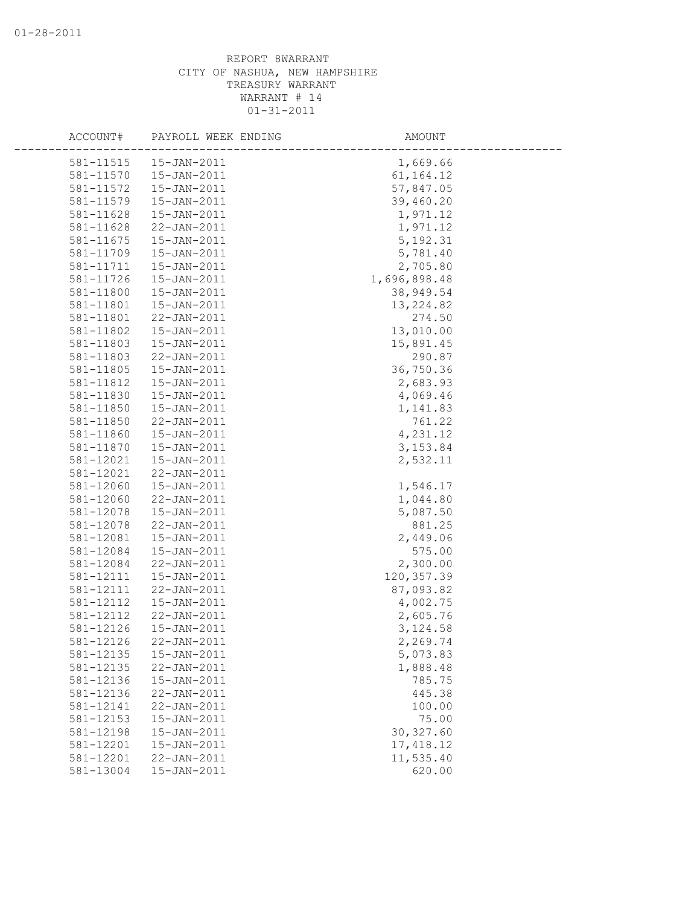| ACCOUNT#  | PAYROLL WEEK ENDING | AMOUNT       |  |
|-----------|---------------------|--------------|--|
| 581-11515 | 15-JAN-2011         | 1,669.66     |  |
| 581-11570 | 15-JAN-2011         | 61, 164. 12  |  |
| 581-11572 | 15-JAN-2011         | 57,847.05    |  |
| 581-11579 | 15-JAN-2011         | 39,460.20    |  |
| 581-11628 | 15-JAN-2011         | 1,971.12     |  |
| 581-11628 | 22-JAN-2011         | 1,971.12     |  |
| 581-11675 | 15-JAN-2011         | 5, 192.31    |  |
| 581-11709 | 15-JAN-2011         | 5,781.40     |  |
| 581-11711 | 15-JAN-2011         | 2,705.80     |  |
| 581-11726 | 15-JAN-2011         | 1,696,898.48 |  |
| 581-11800 | 15-JAN-2011         | 38,949.54    |  |
| 581-11801 | 15-JAN-2011         | 13, 224.82   |  |
| 581-11801 | 22-JAN-2011         | 274.50       |  |
| 581-11802 | 15-JAN-2011         | 13,010.00    |  |
| 581-11803 | $15 - JAN - 2011$   | 15,891.45    |  |
| 581-11803 | $22 - JAN - 2011$   | 290.87       |  |
| 581-11805 | 15-JAN-2011         | 36,750.36    |  |
| 581-11812 | 15-JAN-2011         | 2,683.93     |  |
| 581-11830 | $15 - JAN - 2011$   | 4,069.46     |  |
| 581-11850 | 15-JAN-2011         | 1,141.83     |  |
| 581-11850 | 22-JAN-2011         | 761.22       |  |
| 581-11860 | 15-JAN-2011         | 4,231.12     |  |
| 581-11870 | 15-JAN-2011         | 3, 153.84    |  |
| 581-12021 | $15 - JAN - 2011$   | 2,532.11     |  |
| 581-12021 | $22 - JAN - 2011$   |              |  |
| 581-12060 | 15-JAN-2011         | 1,546.17     |  |
| 581-12060 | 22-JAN-2011         | 1,044.80     |  |
| 581-12078 | 15-JAN-2011         | 5,087.50     |  |
| 581-12078 | 22-JAN-2011         | 881.25       |  |
| 581-12081 | $15 - JAN - 2011$   | 2,449.06     |  |
| 581-12084 | $15 - JAN - 2011$   | 575.00       |  |
| 581-12084 | 22-JAN-2011         | 2,300.00     |  |
| 581-12111 | 15-JAN-2011         | 120, 357.39  |  |
| 581-12111 | $22 - JAN - 2011$   | 87,093.82    |  |
| 581-12112 | 15-JAN-2011         | 4,002.75     |  |
| 581-12112 | $22 - JAN - 2011$   | 2,605.76     |  |
| 581-12126 | $15 - JAN - 2011$   | 3, 124.58    |  |
| 581-12126 | $22 - JAN - 2011$   | 2,269.74     |  |
| 581-12135 | 15-JAN-2011         | 5,073.83     |  |
| 581-12135 | 22-JAN-2011         | 1,888.48     |  |
| 581-12136 | 15-JAN-2011         | 785.75       |  |
| 581-12136 | 22-JAN-2011         | 445.38       |  |
| 581-12141 | 22-JAN-2011         | 100.00       |  |
| 581-12153 | $15 - JAN - 2011$   | 75.00        |  |
| 581-12198 | 15-JAN-2011         | 30, 327.60   |  |
| 581-12201 | $15 - JAN - 2011$   | 17, 418.12   |  |
| 581-12201 | 22-JAN-2011         | 11,535.40    |  |
| 581-13004 | 15-JAN-2011         | 620.00       |  |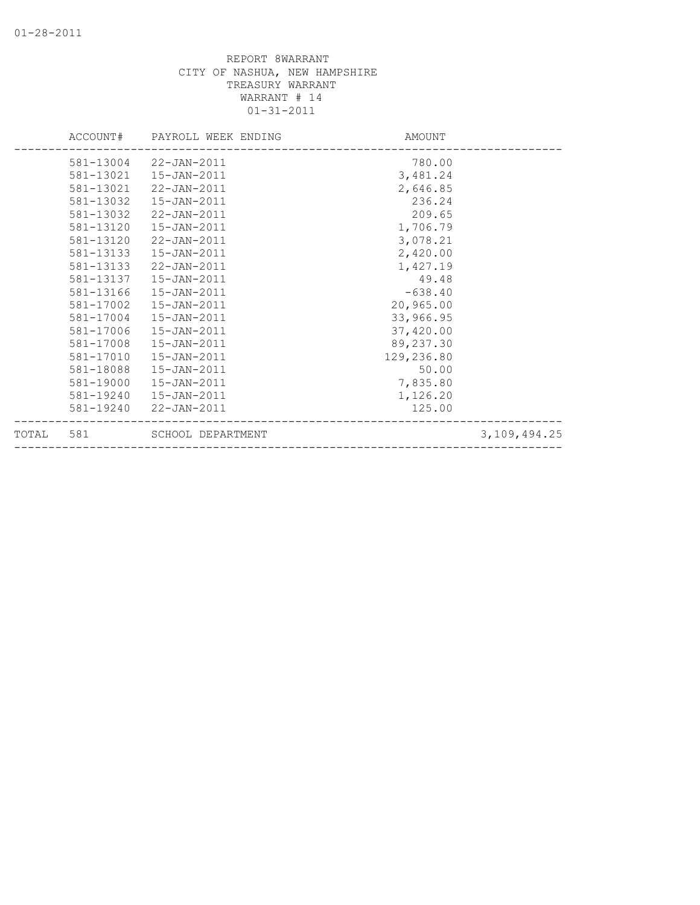|       |           | ACCOUNT# PAYROLL WEEK ENDING | AMOUNT     |                 |
|-------|-----------|------------------------------|------------|-----------------|
|       |           | 581-13004 22-JAN-2011        | 780.00     |                 |
|       | 581-13021 | 15-JAN-2011                  | 3,481.24   |                 |
|       | 581-13021 | 22-JAN-2011                  | 2,646.85   |                 |
|       | 581-13032 | $15 - JAN - 2011$            | 236.24     |                 |
|       | 581-13032 | 22-JAN-2011                  | 209.65     |                 |
|       | 581-13120 | $15 - JAN - 2011$            | 1,706.79   |                 |
|       | 581-13120 | 22-JAN-2011                  | 3,078.21   |                 |
|       | 581-13133 | 15-JAN-2011                  | 2,420.00   |                 |
|       | 581-13133 | 22-JAN-2011                  | 1,427.19   |                 |
|       | 581-13137 | 15-JAN-2011                  | 49.48      |                 |
|       | 581-13166 | 15-JAN-2011                  | $-638.40$  |                 |
|       | 581-17002 | 15-JAN-2011                  | 20,965.00  |                 |
|       | 581-17004 | 15-JAN-2011                  | 33,966.95  |                 |
|       | 581-17006 | 15-JAN-2011                  | 37,420.00  |                 |
|       | 581-17008 | 15-JAN-2011                  | 89,237.30  |                 |
|       | 581-17010 | 15-JAN-2011                  | 129,236.80 |                 |
|       | 581-18088 | 15-JAN-2011                  | 50.00      |                 |
|       | 581-19000 | 15-JAN-2011                  | 7,835.80   |                 |
|       | 581-19240 | 15-JAN-2011                  | 1,126.20   |                 |
|       | 581-19240 | 22-JAN-2011                  | 125.00     |                 |
| TOTAL | 581       | SCHOOL DEPARTMENT            |            | 3, 109, 494. 25 |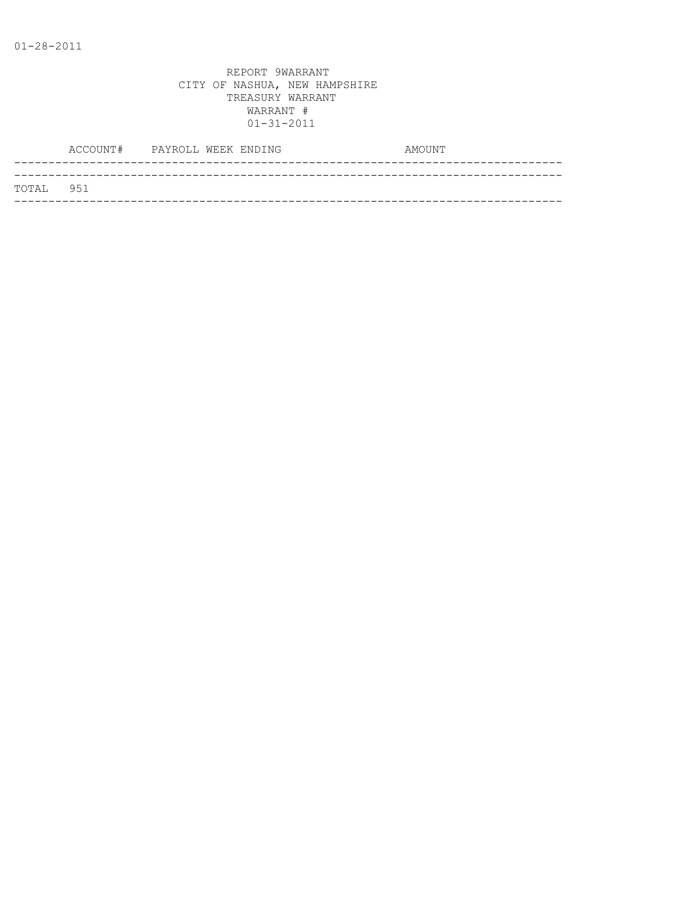|           | ACCOUNT# PAYROLL WEEK ENDING |  |  | AMOUNT |
|-----------|------------------------------|--|--|--------|
|           |                              |  |  |        |
| TOTAL 951 |                              |  |  |        |
|           |                              |  |  |        |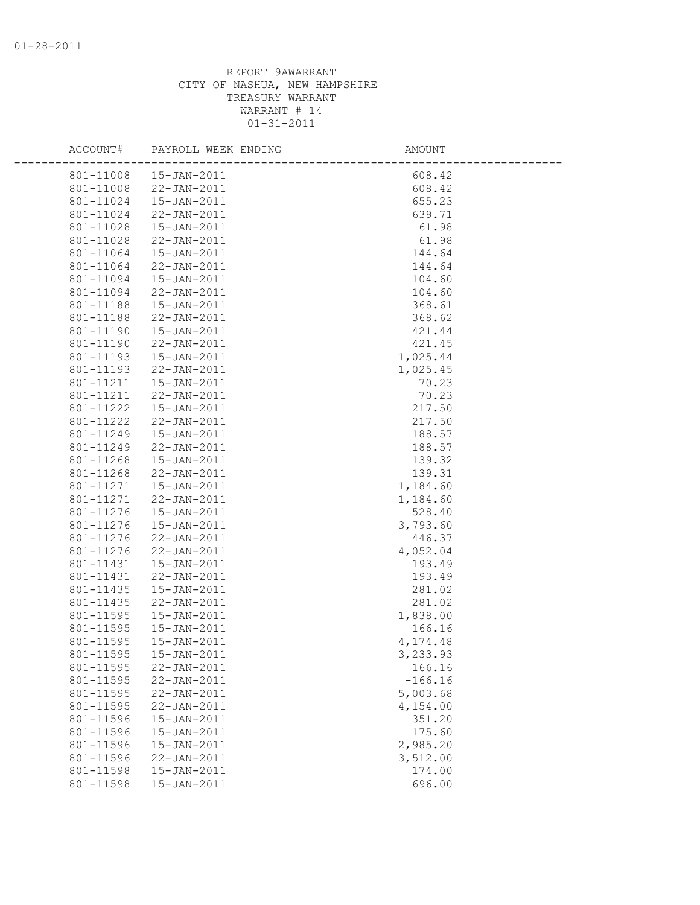| ACCOUNT#  | PAYROLL WEEK ENDING | AMOUNT    |  |
|-----------|---------------------|-----------|--|
| 801-11008 | 15-JAN-2011         | 608.42    |  |
| 801-11008 | 22-JAN-2011         | 608.42    |  |
| 801-11024 | 15-JAN-2011         | 655.23    |  |
| 801-11024 | 22-JAN-2011         | 639.71    |  |
| 801-11028 | 15-JAN-2011         | 61.98     |  |
| 801-11028 | 22-JAN-2011         | 61.98     |  |
| 801-11064 | 15-JAN-2011         | 144.64    |  |
| 801-11064 | 22-JAN-2011         | 144.64    |  |
| 801-11094 | 15-JAN-2011         | 104.60    |  |
| 801-11094 | 22-JAN-2011         | 104.60    |  |
| 801-11188 | 15-JAN-2011         | 368.61    |  |
| 801-11188 | 22-JAN-2011         | 368.62    |  |
| 801-11190 | 15-JAN-2011         | 421.44    |  |
| 801-11190 | 22-JAN-2011         | 421.45    |  |
| 801-11193 | 15-JAN-2011         | 1,025.44  |  |
| 801-11193 | 22-JAN-2011         | 1,025.45  |  |
| 801-11211 | $15 - JAN - 2011$   | 70.23     |  |
| 801-11211 | 22-JAN-2011         | 70.23     |  |
| 801-11222 | 15-JAN-2011         | 217.50    |  |
| 801-11222 | 22-JAN-2011         | 217.50    |  |
| 801-11249 | $15 - JAN - 2011$   | 188.57    |  |
| 801-11249 | 22-JAN-2011         | 188.57    |  |
| 801-11268 | $15 - JAN - 2011$   | 139.32    |  |
| 801-11268 | 22-JAN-2011         | 139.31    |  |
| 801-11271 | 15-JAN-2011         | 1,184.60  |  |
| 801-11271 | 22-JAN-2011         | 1,184.60  |  |
| 801-11276 | 15-JAN-2011         | 528.40    |  |
| 801-11276 | 15-JAN-2011         | 3,793.60  |  |
| 801-11276 | 22-JAN-2011         | 446.37    |  |
| 801-11276 | 22-JAN-2011         | 4,052.04  |  |
| 801-11431 | 15-JAN-2011         | 193.49    |  |
| 801-11431 | 22-JAN-2011         | 193.49    |  |
| 801-11435 | 15-JAN-2011         | 281.02    |  |
| 801-11435 | 22-JAN-2011         | 281.02    |  |
| 801-11595 | 15-JAN-2011         | 1,838.00  |  |
| 801-11595 | 15-JAN-2011         | 166.16    |  |
| 801-11595 | 15-JAN-2011         | 4,174.48  |  |
| 801-11595 | 15-JAN-2011         | 3,233.93  |  |
| 801-11595 | 22-JAN-2011         | 166.16    |  |
| 801-11595 | 22-JAN-2011         | $-166.16$ |  |
| 801-11595 | 22-JAN-2011         | 5,003.68  |  |
| 801-11595 | 22-JAN-2011         | 4,154.00  |  |
| 801-11596 | 15-JAN-2011         | 351.20    |  |
| 801-11596 | $15 - JAN - 2011$   | 175.60    |  |
| 801-11596 | 15-JAN-2011         | 2,985.20  |  |
| 801-11596 | $22 - JAN - 2011$   | 3,512.00  |  |
| 801-11598 | 15-JAN-2011         | 174.00    |  |
| 801-11598 | 15-JAN-2011         | 696.00    |  |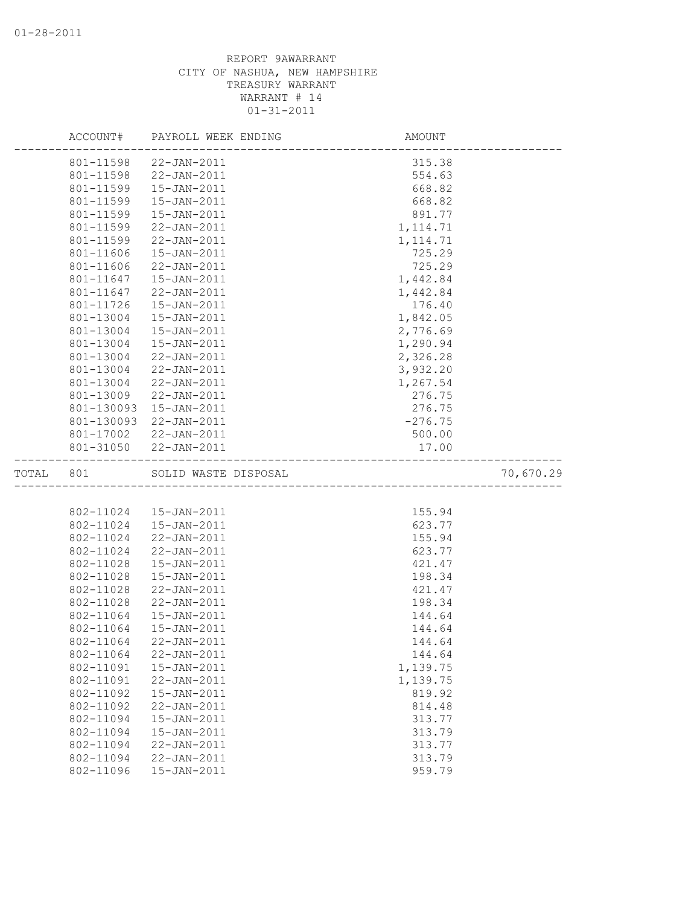|       | ACCOUNT#   | PAYROLL WEEK ENDING                                     | AMOUNT                          |           |
|-------|------------|---------------------------------------------------------|---------------------------------|-----------|
|       | 801-11598  | 22-JAN-2011                                             | 315.38                          |           |
|       | 801-11598  | 22-JAN-2011                                             | 554.63                          |           |
|       | 801-11599  | $15 - JAN - 2011$                                       | 668.82                          |           |
|       | 801-11599  | $15 - JAN - 2011$                                       | 668.82                          |           |
|       | 801-11599  | 15-JAN-2011                                             | 891.77                          |           |
|       | 801-11599  | 22-JAN-2011                                             | 1, 114.71                       |           |
|       | 801-11599  | $22 - JAN - 2011$                                       | 1, 114.71                       |           |
|       | 801-11606  | 15-JAN-2011                                             | 725.29                          |           |
|       | 801-11606  | 22-JAN-2011                                             | 725.29                          |           |
|       | 801-11647  | $15 - JAN - 2011$                                       | 1,442.84                        |           |
|       | 801-11647  | $22 - JAN - 2011$                                       | 1,442.84                        |           |
|       | 801-11726  | $15 - JAN - 2011$                                       | 176.40                          |           |
|       | 801-13004  | $15 - JAN - 2011$                                       | 1,842.05                        |           |
|       | 801-13004  | 15-JAN-2011                                             | 2,776.69                        |           |
|       | 801-13004  | 15-JAN-2011                                             | 1,290.94                        |           |
|       | 801-13004  | 22-JAN-2011                                             | 2,326.28                        |           |
|       | 801-13004  | 22-JAN-2011                                             | 3,932.20                        |           |
|       | 801-13004  | 22-JAN-2011                                             | 1,267.54                        |           |
|       | 801-13009  | $22 - JAN - 2011$                                       | 276.75                          |           |
|       | 801-130093 | $15 - JAN - 2011$                                       | 276.75                          |           |
|       | 801-130093 | 22-JAN-2011                                             | $-276.75$                       |           |
|       |            | 801-17002 22-JAN-2011                                   | 500.00                          |           |
|       |            | 801-31050 22-JAN-2011                                   | 17.00                           |           |
|       |            |                                                         |                                 |           |
| TOTAL | 801        | SOLID WASTE DISPOSAL                                    | _______________________________ | 70,670.29 |
|       |            | D WASTE DISPOSAL<br>----------------------------------- |                                 |           |
|       |            |                                                         |                                 |           |
|       | 802-11024  | 802-11024  15-JAN-2011<br>15-JAN-2011                   | 155.94                          |           |
|       | 802-11024  | 22-JAN-2011                                             | 623.77<br>155.94                |           |
|       | 802-11024  | 22-JAN-2011                                             | 623.77                          |           |
|       | 802-11028  | 15-JAN-2011                                             | 421.47                          |           |
|       | 802-11028  | 15-JAN-2011                                             | 198.34                          |           |
|       | 802-11028  | $22 - JAN - 2011$                                       | 421.47                          |           |
|       | 802-11028  | 22-JAN-2011                                             | 198.34                          |           |
|       | 802-11064  | $15 - JAN - 2011$                                       | 144.64                          |           |
|       | 802-11064  | $15 - JAN - 2011$                                       | 144.64                          |           |
|       | 802-11064  | $22 - JAN - 2011$                                       | 144.64                          |           |
|       | 802-11064  | 22-JAN-2011                                             | 144.64                          |           |
|       | 802-11091  | 15-JAN-2011                                             | 1,139.75                        |           |
|       | 802-11091  | 22-JAN-2011                                             | 1,139.75                        |           |
|       | 802-11092  | 15-JAN-2011                                             | 819.92                          |           |
|       | 802-11092  | 22-JAN-2011                                             | 814.48                          |           |
|       | 802-11094  | 15-JAN-2011                                             | 313.77                          |           |
|       | 802-11094  | 15-JAN-2011                                             | 313.79                          |           |
|       | 802-11094  | 22-JAN-2011                                             | 313.77                          |           |
|       | 802-11094  | 22-JAN-2011                                             | 313.79                          |           |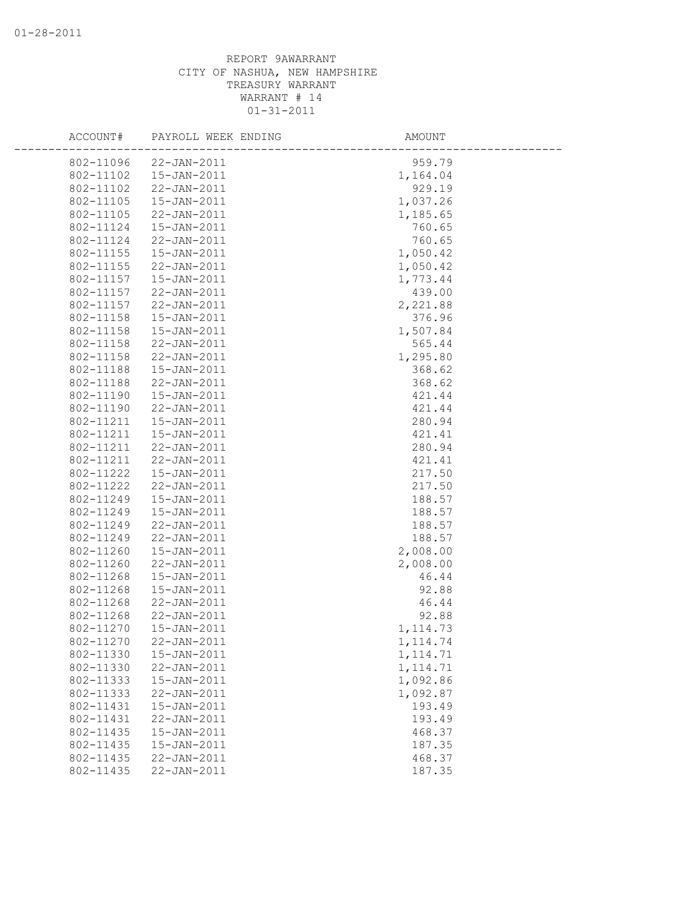| ACCOUNT#  | PAYROLL WEEK ENDING | AMOUNT     |  |
|-----------|---------------------|------------|--|
| 802-11096 | 22-JAN-2011         | 959.79     |  |
| 802-11102 | 15-JAN-2011         | 1,164.04   |  |
| 802-11102 | 22-JAN-2011         | 929.19     |  |
| 802-11105 | 15-JAN-2011         | 1,037.26   |  |
| 802-11105 | 22-JAN-2011         | 1,185.65   |  |
| 802-11124 | 15-JAN-2011         | 760.65     |  |
| 802-11124 | 22-JAN-2011         | 760.65     |  |
| 802-11155 | 15-JAN-2011         | 1,050.42   |  |
| 802-11155 | 22-JAN-2011         | 1,050.42   |  |
| 802-11157 | 15-JAN-2011         | 1,773.44   |  |
| 802-11157 | 22-JAN-2011         | 439.00     |  |
| 802-11157 | 22-JAN-2011         | 2,221.88   |  |
| 802-11158 | 15-JAN-2011         | 376.96     |  |
| 802-11158 | 15-JAN-2011         | 1,507.84   |  |
| 802-11158 | 22-JAN-2011         | 565.44     |  |
| 802-11158 | 22-JAN-2011         | 1,295.80   |  |
| 802-11188 | 15-JAN-2011         | 368.62     |  |
| 802-11188 | 22-JAN-2011         | 368.62     |  |
| 802-11190 | 15-JAN-2011         | 421.44     |  |
| 802-11190 | 22-JAN-2011         | 421.44     |  |
| 802-11211 | 15-JAN-2011         | 280.94     |  |
| 802-11211 | $15 - JAN - 2011$   | 421.41     |  |
| 802-11211 | 22-JAN-2011         | 280.94     |  |
| 802-11211 | 22-JAN-2011         | 421.41     |  |
| 802-11222 | 15-JAN-2011         | 217.50     |  |
| 802-11222 | 22-JAN-2011         | 217.50     |  |
| 802-11249 | 15-JAN-2011         | 188.57     |  |
| 802-11249 | 15-JAN-2011         | 188.57     |  |
| 802-11249 | 22-JAN-2011         | 188.57     |  |
| 802-11249 | 22-JAN-2011         | 188.57     |  |
| 802-11260 | $15 - JAN - 2011$   | 2,008.00   |  |
| 802-11260 | 22-JAN-2011         | 2,008.00   |  |
| 802-11268 | $15 - JAN - 2011$   | 46.44      |  |
| 802-11268 | 15-JAN-2011         | 92.88      |  |
| 802-11268 | $22 - JAN - 2011$   | 46.44      |  |
| 802-11268 | 22-JAN-2011         | 92.88      |  |
| 802-11270 | $15 - JAN - 2011$   | 1, 114.73  |  |
| 802-11270 | $22 - JAN - 2011$   | 1, 114, 74 |  |
| 802-11330 | 15-JAN-2011         | 1, 114.71  |  |
| 802-11330 | 22-JAN-2011         | 1, 114.71  |  |
| 802-11333 | 15-JAN-2011         | 1,092.86   |  |
| 802-11333 | 22-JAN-2011         | 1,092.87   |  |
| 802-11431 | 15-JAN-2011         | 193.49     |  |
| 802-11431 | $22 - JAN - 2011$   | 193.49     |  |
| 802-11435 | 15-JAN-2011         | 468.37     |  |
| 802-11435 | $15 - JAN - 2011$   | 187.35     |  |
| 802-11435 | $22 - JAN - 2011$   | 468.37     |  |
| 802-11435 | 22-JAN-2011         | 187.35     |  |